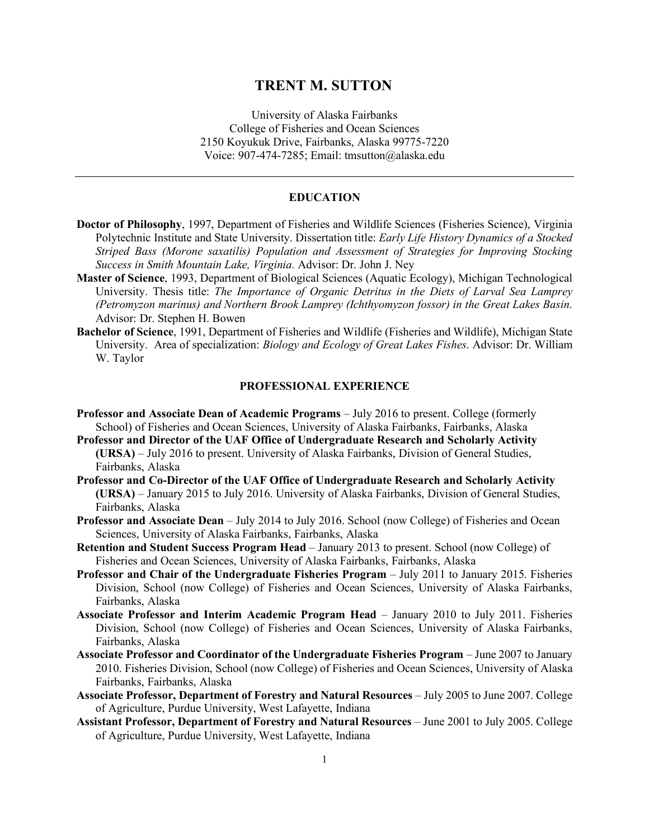# **TRENT M. SUTTON**

University of Alaska Fairbanks College of Fisheries and Ocean Sciences 2150 Koyukuk Drive, Fairbanks, Alaska 99775-7220 Voice: 907-474-7285; Email: tmsutton@alaska.edu

#### **EDUCATION**

- **Doctor of Philosophy**, 1997, Department of Fisheries and Wildlife Sciences (Fisheries Science), Virginia Polytechnic Institute and State University. Dissertation title: *Early Life History Dynamics of a Stocked Striped Bass (Morone saxatilis) Population and Assessment of Strategies for Improving Stocking Success in Smith Mountain Lake, Virginia.* Advisor: Dr. John J. Ney
- **Master of Science**, 1993, Department of Biological Sciences (Aquatic Ecology), Michigan Technological University. Thesis title: *The Importance of Organic Detritus in the Diets of Larval Sea Lamprey (Petromyzon marinus) and Northern Brook Lamprey (Ichthyomyzon fossor) in the Great Lakes Basin*. Advisor: Dr. Stephen H. Bowen
- **Bachelor of Science**, 1991, Department of Fisheries and Wildlife (Fisheries and Wildlife), Michigan State University. Area of specialization: *Biology and Ecology of Great Lakes Fishes*. Advisor: Dr. William W. Taylor

#### **PROFESSIONAL EXPERIENCE**

- **Professor and Associate Dean of Academic Programs** July 2016 to present. College (formerly School) of Fisheries and Ocean Sciences, University of Alaska Fairbanks, Fairbanks, Alaska
- **Professor and Director of the UAF Office of Undergraduate Research and Scholarly Activity (URSA)** – July 2016 to present. University of Alaska Fairbanks, Division of General Studies, Fairbanks, Alaska
- **Professor and Co-Director of the UAF Office of Undergraduate Research and Scholarly Activity (URSA)** – January 2015 to July 2016. University of Alaska Fairbanks, Division of General Studies, Fairbanks, Alaska
- **Professor and Associate Dean** July 2014 to July 2016. School (now College) of Fisheries and Ocean Sciences, University of Alaska Fairbanks, Fairbanks, Alaska
- Retention and Student Success Program Head January 2013 to present. School (now College) of Fisheries and Ocean Sciences, University of Alaska Fairbanks, Fairbanks, Alaska
- **Professor and Chair of the Undergraduate Fisheries Program** July 2011 to January 2015. Fisheries Division, School (now College) of Fisheries and Ocean Sciences, University of Alaska Fairbanks, Fairbanks, Alaska
- **Associate Professor and Interim Academic Program Head** January 2010 to July 2011. Fisheries Division, School (now College) of Fisheries and Ocean Sciences, University of Alaska Fairbanks, Fairbanks, Alaska
- **Associate Professor and Coordinator of the Undergraduate Fisheries Program**  June 2007 to January 2010. Fisheries Division, School (now College) of Fisheries and Ocean Sciences, University of Alaska Fairbanks, Fairbanks, Alaska
- **Associate Professor, Department of Forestry and Natural Resources** July 2005 to June 2007. College of Agriculture, Purdue University, West Lafayette, Indiana
- **Assistant Professor, Department of Forestry and Natural Resources** June 2001 to July 2005. College of Agriculture, Purdue University, West Lafayette, Indiana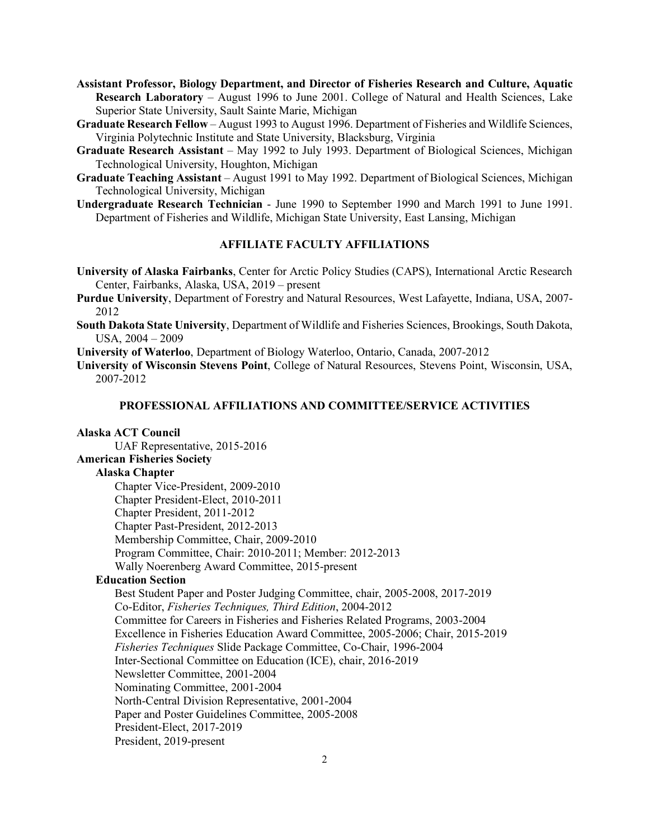- **Assistant Professor, Biology Department, and Director of Fisheries Research and Culture, Aquatic Research Laboratory** – August 1996 to June 2001. College of Natural and Health Sciences, Lake Superior State University, Sault Sainte Marie, Michigan
- **Graduate Research Fellow** August 1993 to August 1996. Department of Fisheries and Wildlife Sciences, Virginia Polytechnic Institute and State University, Blacksburg, Virginia
- **Graduate Research Assistant** May 1992 to July 1993. Department of Biological Sciences, Michigan Technological University, Houghton, Michigan
- **Graduate Teaching Assistant** August 1991 to May 1992. Department of Biological Sciences, Michigan Technological University, Michigan
- **Undergraduate Research Technician** June 1990 to September 1990 and March 1991 to June 1991. Department of Fisheries and Wildlife, Michigan State University, East Lansing, Michigan

### **AFFILIATE FACULTY AFFILIATIONS**

- **University of Alaska Fairbanks**, Center for Arctic Policy Studies (CAPS), International Arctic Research Center, Fairbanks, Alaska, USA, 2019 – present
- **Purdue University**, Department of Forestry and Natural Resources, West Lafayette, Indiana, USA, 2007- 2012
- **South Dakota State University**, Department of Wildlife and Fisheries Sciences, Brookings, South Dakota, USA, 2004 – 2009
- **University of Waterloo**, Department of Biology Waterloo, Ontario, Canada, 2007-2012
- **University of Wisconsin Stevens Point**, College of Natural Resources, Stevens Point, Wisconsin, USA, 2007-2012

#### **PROFESSIONAL AFFILIATIONS AND COMMITTEE/SERVICE ACTIVITIES**

### **Alaska ACT Council**

UAF Representative, 2015-2016

### **American Fisheries Society**

### **Alaska Chapter**

Chapter Vice-President, 2009-2010 Chapter President-Elect, 2010-2011 Chapter President, 2011-2012 Chapter Past-President, 2012-2013 Membership Committee, Chair, 2009-2010 Program Committee, Chair: 2010-2011; Member: 2012-2013 Wally Noerenberg Award Committee, 2015-present

### **Education Section**

Best Student Paper and Poster Judging Committee, chair, 2005-2008, 2017-2019 Co-Editor, *Fisheries Techniques, Third Edition*, 2004-2012 Committee for Careers in Fisheries and Fisheries Related Programs, 2003-2004 Excellence in Fisheries Education Award Committee, 2005-2006; Chair, 2015-2019 *Fisheries Techniques* Slide Package Committee, Co-Chair, 1996-2004 Inter-Sectional Committee on Education (ICE), chair, 2016-2019 Newsletter Committee, 2001-2004 Nominating Committee, 2001-2004 North-Central Division Representative, 2001-2004 Paper and Poster Guidelines Committee, 2005-2008 President-Elect, 2017-2019 President, 2019-present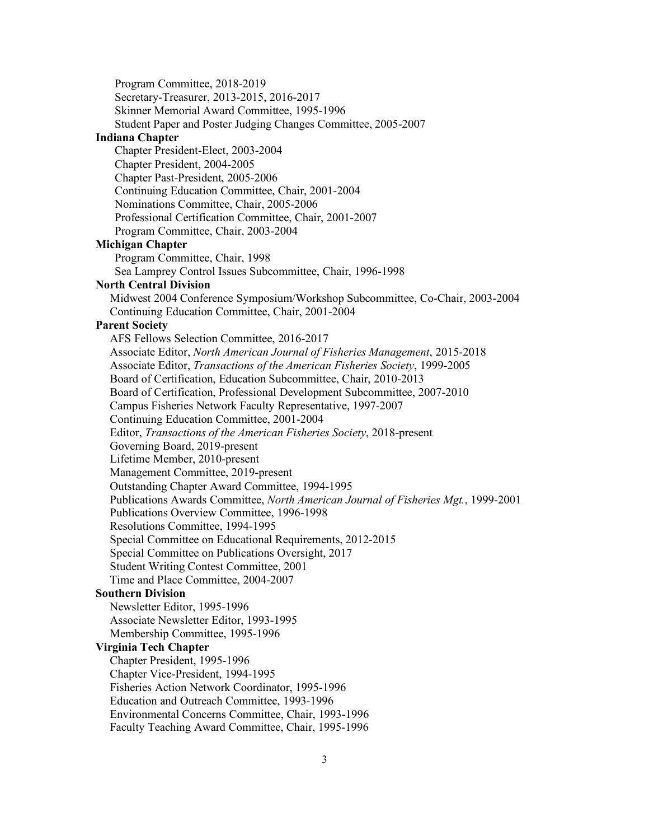Program Committee, 2018-2019 Secretary-Treasurer, 2013-2015, 2016-2017 Skinner Memorial Award Committee, 1995-1996 Student Paper and Poster Judging Changes Committee, 2005-2007

#### **Indiana Chapter**

Chapter President-Elect, 2003-2004 Chapter President, 2004-2005 Chapter Past-President, 2005-2006 Continuing Education Committee, Chair, 2001-2004 Nominations Committee, Chair, 2005-2006 Professional Certification Committee, Chair, 2001-2007 Program Committee, Chair, 2003-2004

#### **Michigan Chapter**

Program Committee, Chair, 1998

Sea Lamprey Control Issues Subcommittee, Chair, 1996-1998

#### **North Central Division**

Midwest 2004 Conference Symposium/Workshop Subcommittee, Co-Chair, 2003-2004 Continuing Education Committee, Chair, 2001-2004

### **Parent Society**

AFS Fellows Selection Committee, 2016-2017 Associate Editor, *North American Journal of Fisheries Management*, 2015-2018 Associate Editor, *Transactions of the American Fisheries Society*, 1999-2005 Board of Certification, Education Subcommittee, Chair, 2010-2013 Board of Certification, Professional Development Subcommittee, 2007-2010 Campus Fisheries Network Faculty Representative, 1997-2007 Continuing Education Committee, 2001-2004 Editor, *Transactions of the American Fisheries Society*, 2018-present Governing Board, 2019-present Lifetime Member, 2010-present Management Committee, 2019-present Outstanding Chapter Award Committee, 1994-1995 Publications Awards Committee, *North American Journal of Fisheries Mgt.*, 1999-2001 Publications Overview Committee, 1996-1998 Resolutions Committee, 1994-1995 Special Committee on Educational Requirements, 2012-2015 Special Committee on Publications Oversight, 2017 Student Writing Contest Committee, 2001 Time and Place Committee, 2004-2007 **Southern Division** Newsletter Editor, 1995-1996

# Associate Newsletter Editor, 1993-1995

Membership Committee, 1995-1996

#### **Virginia Tech Chapter**

Chapter President, 1995-1996

Chapter Vice-President, 1994-1995

Fisheries Action Network Coordinator, 1995-1996

Education and Outreach Committee, 1993-1996

Environmental Concerns Committee, Chair, 1993-1996

Faculty Teaching Award Committee, Chair, 1995-1996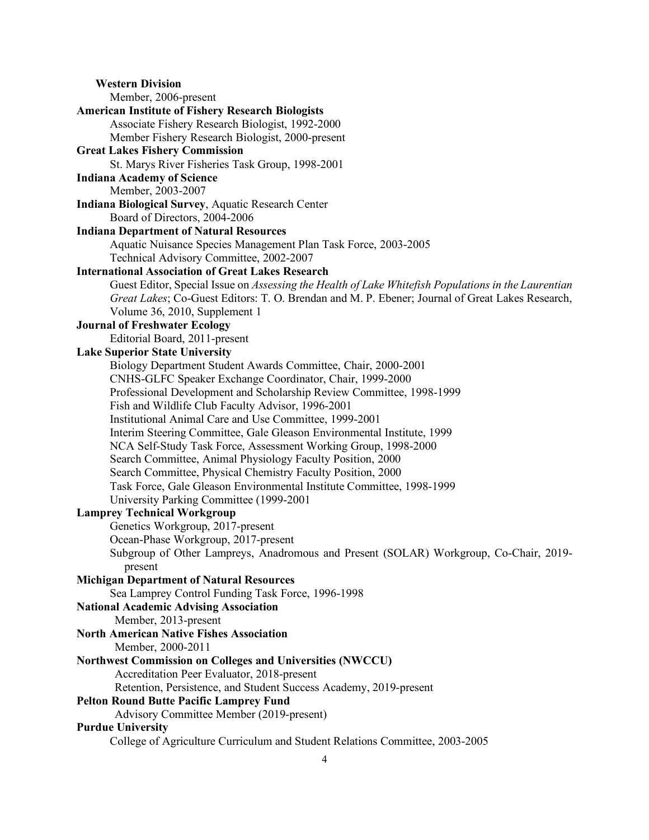**Western Division**  Member, 2006-present **American Institute of Fishery Research Biologists** Associate Fishery Research Biologist, 1992-2000 Member Fishery Research Biologist, 2000-present **Great Lakes Fishery Commission** St. Marys River Fisheries Task Group, 1998-2001 **Indiana Academy of Science** Member, 2003-2007 **Indiana Biological Survey**, Aquatic Research Center Board of Directors, 2004-2006 **Indiana Department of Natural Resources** Aquatic Nuisance Species Management Plan Task Force, 2003-2005 Technical Advisory Committee, 2002-2007 **International Association of Great Lakes Research** Guest Editor, Special Issue on *Assessing the Health of Lake Whitefish Populations in the Laurentian Great Lakes*; Co-Guest Editors: T. O. Brendan and M. P. Ebener; Journal of Great Lakes Research, Volume 36, 2010, Supplement 1 **Journal of Freshwater Ecology** Editorial Board, 2011-present **Lake Superior State University** Biology Department Student Awards Committee, Chair, 2000-2001 CNHS-GLFC Speaker Exchange Coordinator, Chair, 1999-2000 Professional Development and Scholarship Review Committee, 1998-1999 Fish and Wildlife Club Faculty Advisor, 1996-2001 Institutional Animal Care and Use Committee, 1999-2001 Interim Steering Committee, Gale Gleason Environmental Institute, 1999 NCA Self-Study Task Force, Assessment Working Group, 1998-2000 Search Committee, Animal Physiology Faculty Position, 2000 Search Committee, Physical Chemistry Faculty Position, 2000 Task Force, Gale Gleason Environmental Institute Committee, 1998-1999 University Parking Committee (1999-2001 **Lamprey Technical Workgroup** Genetics Workgroup, 2017-present Ocean-Phase Workgroup, 2017-present Subgroup of Other Lampreys, Anadromous and Present (SOLAR) Workgroup, Co-Chair, 2019 present **Michigan Department of Natural Resources** Sea Lamprey Control Funding Task Force, 1996-1998 **National Academic Advising Association**  Member, 2013-present **North American Native Fishes Association** Member, 2000-2011 **Northwest Commission on Colleges and Universities (NWCCU)** Accreditation Peer Evaluator, 2018-present Retention, Persistence, and Student Success Academy, 2019-present **Pelton Round Butte Pacific Lamprey Fund** Advisory Committee Member (2019-present) **Purdue University** College of Agriculture Curriculum and Student Relations Committee, 2003-2005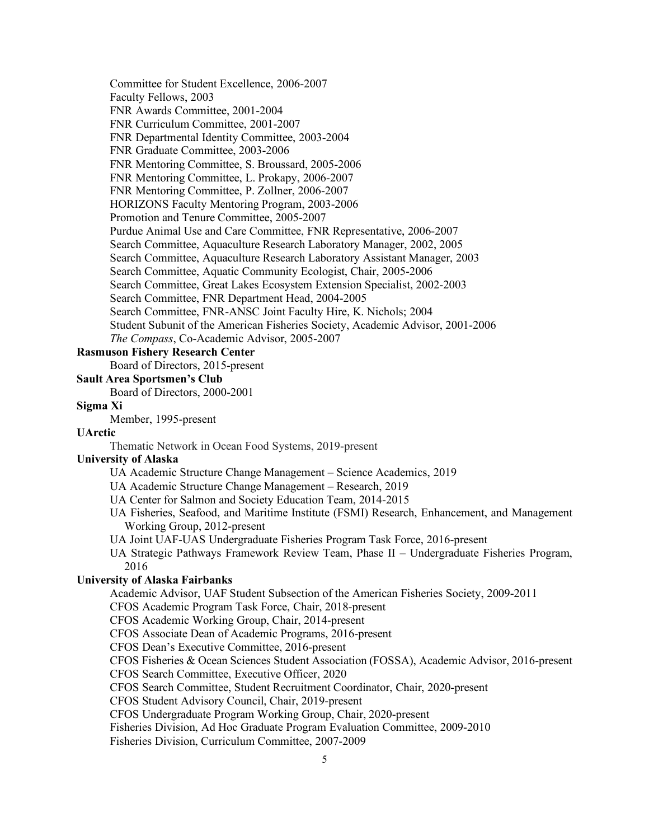Committee for Student Excellence, 2006-2007 Faculty Fellows, 2003 FNR Awards Committee, 2001-2004 FNR Curriculum Committee, 2001-2007 FNR Departmental Identity Committee, 2003-2004 FNR Graduate Committee, 2003-2006 FNR Mentoring Committee, S. Broussard, 2005-2006 FNR Mentoring Committee, L. Prokapy, 2006-2007 FNR Mentoring Committee, P. Zollner, 2006-2007 HORIZONS Faculty Mentoring Program, 2003-2006 Promotion and Tenure Committee, 2005-2007 Purdue Animal Use and Care Committee, FNR Representative, 2006-2007 Search Committee, Aquaculture Research Laboratory Manager, 2002, 2005 Search Committee, Aquaculture Research Laboratory Assistant Manager, 2003 Search Committee, Aquatic Community Ecologist, Chair, 2005-2006 Search Committee, Great Lakes Ecosystem Extension Specialist, 2002-2003 Search Committee, FNR Department Head, 2004-2005 Search Committee, FNR-ANSC Joint Faculty Hire, K. Nichols; 2004 Student Subunit of the American Fisheries Society, Academic Advisor, 2001-2006 *The Compass*, Co-Academic Advisor, 2005-2007

# **Rasmuson Fishery Research Center**

Board of Directors, 2015-present

### **Sault Area Sportsmen's Club**

Board of Directors, 2000-2001

#### **Sigma Xi**

Member, 1995-present

### **UArctic**

Thematic Network in Ocean Food Systems, 2019-present

### **University of Alaska**

- UA Academic Structure Change Management Science Academics, 2019
- UA Academic Structure Change Management Research, 2019
- UA Center for Salmon and Society Education Team, 2014-2015
- UA Fisheries, Seafood, and Maritime Institute (FSMI) Research, Enhancement, and Management Working Group, 2012-present
- UA Joint UAF-UAS Undergraduate Fisheries Program Task Force, 2016-present

UA Strategic Pathways Framework Review Team, Phase II – Undergraduate Fisheries Program, 2016

# **University of Alaska Fairbanks**

Academic Advisor, UAF Student Subsection of the American Fisheries Society, 2009-2011

CFOS Academic Program Task Force, Chair, 2018-present

CFOS Academic Working Group, Chair, 2014-present

CFOS Associate Dean of Academic Programs, 2016-present

CFOS Dean's Executive Committee, 2016-present

CFOS Fisheries & Ocean Sciences Student Association (FOSSA), Academic Advisor, 2016-present

CFOS Search Committee, Executive Officer, 2020

CFOS Search Committee, Student Recruitment Coordinator, Chair, 2020-present

CFOS Student Advisory Council, Chair, 2019-present

CFOS Undergraduate Program Working Group, Chair, 2020-present

Fisheries Division, Ad Hoc Graduate Program Evaluation Committee, 2009-2010

Fisheries Division, Curriculum Committee, 2007-2009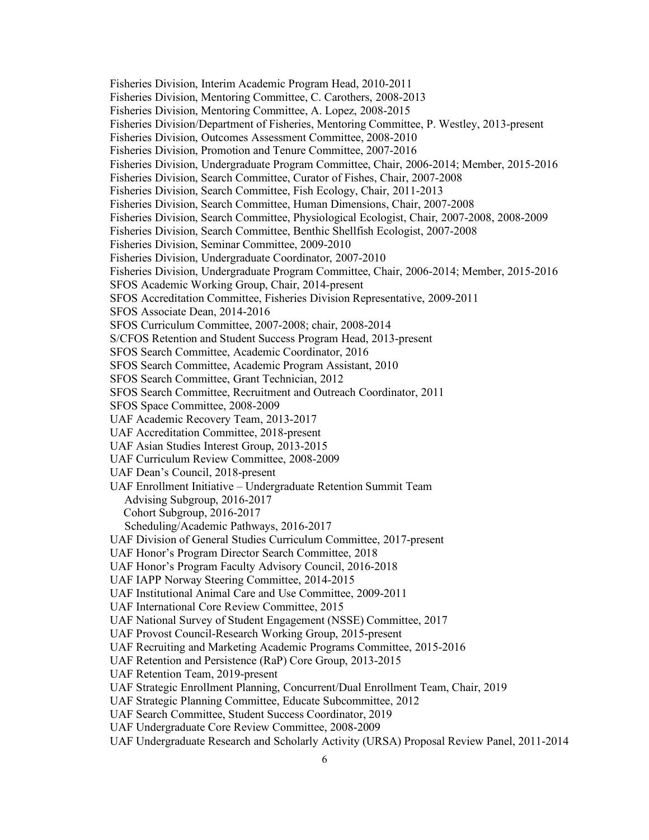Fisheries Division, Interim Academic Program Head, 2010-2011 Fisheries Division, Mentoring Committee, C. Carothers, 2008-2013 Fisheries Division, Mentoring Committee, A. Lopez, 2008-2015 Fisheries Division/Department of Fisheries, Mentoring Committee, P. Westley, 2013-present Fisheries Division, Outcomes Assessment Committee, 2008-2010 Fisheries Division, Promotion and Tenure Committee, 2007-2016 Fisheries Division, Undergraduate Program Committee, Chair, 2006-2014; Member, 2015-2016 Fisheries Division, Search Committee, Curator of Fishes, Chair, 2007-2008 Fisheries Division, Search Committee, Fish Ecology, Chair, 2011-2013 Fisheries Division, Search Committee, Human Dimensions, Chair, 2007-2008 Fisheries Division, Search Committee, Physiological Ecologist, Chair, 2007-2008, 2008-2009 Fisheries Division, Search Committee, Benthic Shellfish Ecologist, 2007-2008 Fisheries Division, Seminar Committee, 2009-2010 Fisheries Division, Undergraduate Coordinator, 2007-2010 Fisheries Division, Undergraduate Program Committee, Chair, 2006-2014; Member, 2015-2016 SFOS Academic Working Group, Chair, 2014-present SFOS Accreditation Committee, Fisheries Division Representative, 2009-2011 SFOS Associate Dean, 2014-2016 SFOS Curriculum Committee, 2007-2008; chair, 2008-2014 S/CFOS Retention and Student Success Program Head, 2013-present SFOS Search Committee, Academic Coordinator, 2016 SFOS Search Committee, Academic Program Assistant, 2010 SFOS Search Committee, Grant Technician, 2012 SFOS Search Committee, Recruitment and Outreach Coordinator, 2011 SFOS Space Committee, 2008-2009 UAF Academic Recovery Team, 2013-2017 UAF Accreditation Committee, 2018-present UAF Asian Studies Interest Group, 2013-2015 UAF Curriculum Review Committee, 2008-2009 UAF Dean's Council, 2018-present UAF Enrollment Initiative – Undergraduate Retention Summit Team Advising Subgroup, 2016-2017 Cohort Subgroup, 2016-2017 Scheduling/Academic Pathways, 2016-2017 UAF Division of General Studies Curriculum Committee, 2017-present UAF Honor's Program Director Search Committee, 2018 UAF Honor's Program Faculty Advisory Council, 2016-2018 UAF IAPP Norway Steering Committee, 2014-2015 UAF Institutional Animal Care and Use Committee, 2009-2011 UAF International Core Review Committee, 2015 UAF National Survey of Student Engagement (NSSE) Committee, 2017 UAF Provost Council-Research Working Group, 2015-present UAF Recruiting and Marketing Academic Programs Committee, 2015-2016 UAF Retention and Persistence (RaP) Core Group, 2013-2015 UAF Retention Team, 2019-present UAF Strategic Enrollment Planning, Concurrent/Dual Enrollment Team, Chair, 2019 UAF Strategic Planning Committee, Educate Subcommittee, 2012 UAF Search Committee, Student Success Coordinator, 2019 UAF Undergraduate Core Review Committee, 2008-2009

UAF Undergraduate Research and Scholarly Activity (URSA) Proposal Review Panel, 2011-2014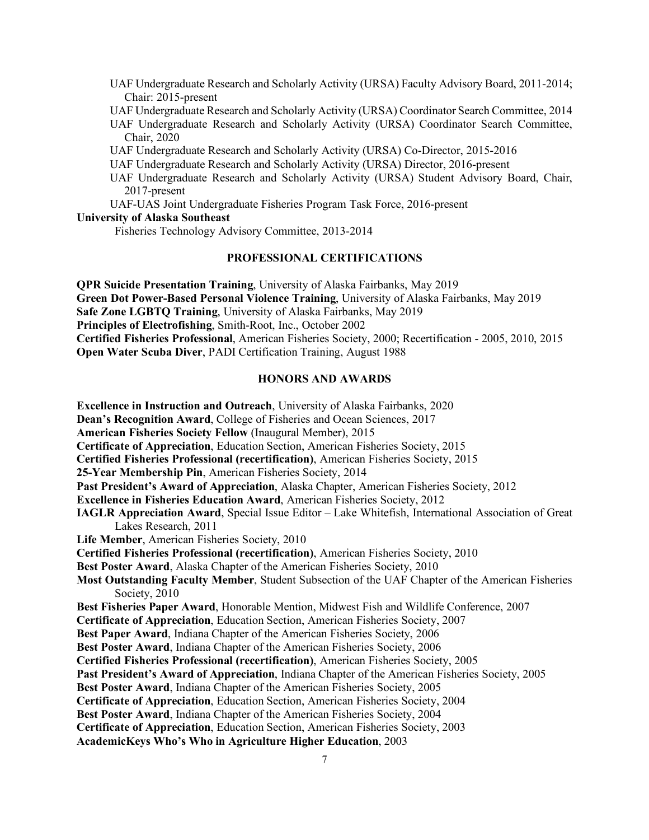- UAF Undergraduate Research and Scholarly Activity (URSA) Faculty Advisory Board, 2011-2014; Chair: 2015-present
- UAF Undergraduate Research and Scholarly Activity (URSA) Coordinator Search Committee, 2014
- UAF Undergraduate Research and Scholarly Activity (URSA) Coordinator Search Committee, Chair, 2020
- UAF Undergraduate Research and Scholarly Activity (URSA) Co-Director, 2015-2016
- UAF Undergraduate Research and Scholarly Activity (URSA) Director, 2016-present
- UAF Undergraduate Research and Scholarly Activity (URSA) Student Advisory Board, Chair, 2017-present
- UAF-UAS Joint Undergraduate Fisheries Program Task Force, 2016-present

### **University of Alaska Southeast**

Fisheries Technology Advisory Committee, 2013-2014

### **PROFESSIONAL CERTIFICATIONS**

**QPR Suicide Presentation Training**, University of Alaska Fairbanks, May 2019 **Green Dot Power-Based Personal Violence Training**, University of Alaska Fairbanks, May 2019 **Safe Zone LGBTQ Training**, University of Alaska Fairbanks, May 2019 **Principles of Electrofishing**, Smith-Root, Inc., October 2002 **Certified Fisheries Professional**, American Fisheries Society, 2000; Recertification - 2005, 2010, 2015 **Open Water Scuba Diver**, PADI Certification Training, August 1988

### **HONORS AND AWARDS**

**Excellence in Instruction and Outreach**, University of Alaska Fairbanks, 2020 **Dean's Recognition Award**, College of Fisheries and Ocean Sciences, 2017 **American Fisheries Society Fellow** (Inaugural Member), 2015 **Certificate of Appreciation**, Education Section, American Fisheries Society, 2015 **Certified Fisheries Professional (recertification)**, American Fisheries Society, 2015 **25-Year Membership Pin**, American Fisheries Society, 2014 **Past President's Award of Appreciation**, Alaska Chapter, American Fisheries Society, 2012 **Excellence in Fisheries Education Award**, American Fisheries Society, 2012 **IAGLR Appreciation Award**, Special Issue Editor – Lake Whitefish, International Association of Great Lakes Research, 2011 **Life Member**, American Fisheries Society, 2010 **Certified Fisheries Professional (recertification)**, American Fisheries Society, 2010 **Best Poster Award**, Alaska Chapter of the American Fisheries Society, 2010 **Most Outstanding Faculty Member**, Student Subsection of the UAF Chapter of the American Fisheries Society, 2010 **Best Fisheries Paper Award**, Honorable Mention, Midwest Fish and Wildlife Conference, 2007 **Certificate of Appreciation**, Education Section, American Fisheries Society, 2007 **Best Paper Award**, Indiana Chapter of the American Fisheries Society, 2006 **Best Poster Award**, Indiana Chapter of the American Fisheries Society, 2006 **Certified Fisheries Professional (recertification)**, American Fisheries Society, 2005 **Past President's Award of Appreciation**, Indiana Chapter of the American Fisheries Society, 2005 **Best Poster Award**, Indiana Chapter of the American Fisheries Society, 2005 **Certificate of Appreciation**, Education Section, American Fisheries Society, 2004 **Best Poster Award**, Indiana Chapter of the American Fisheries Society, 2004 **Certificate of Appreciation**, Education Section, American Fisheries Society, 2003 **AcademicKeys Who's Who in Agriculture Higher Education**, 2003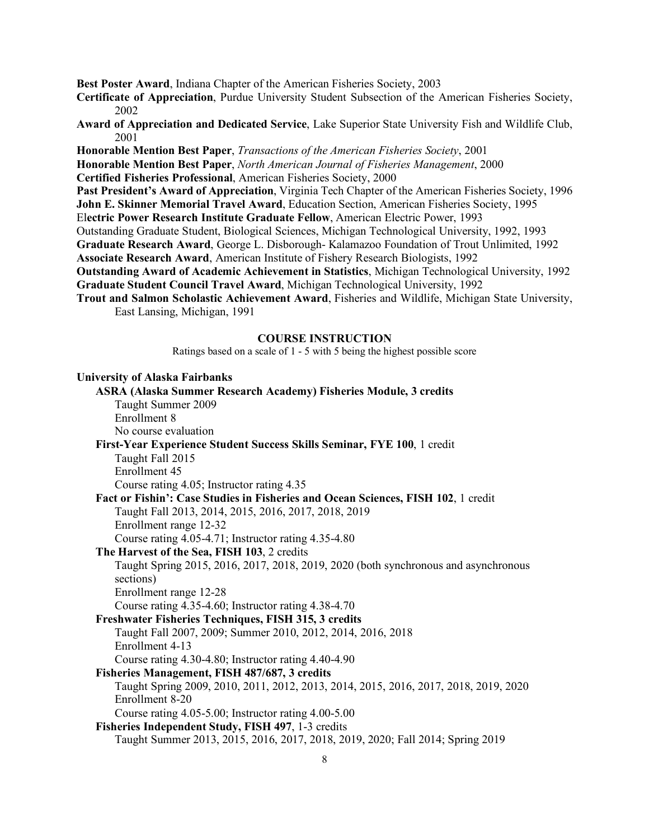**Best Poster Award**, Indiana Chapter of the American Fisheries Society, 2003

- **Certificate of Appreciation**, Purdue University Student Subsection of the American Fisheries Society, 2002
- **Award of Appreciation and Dedicated Service**, Lake Superior State University Fish and Wildlife Club, 2001
- **Honorable Mention Best Paper**, *Transactions of the American Fisheries Society*, 2001
- **Honorable Mention Best Paper**, *North American Journal of Fisheries Management*, 2000
- **Certified Fisheries Professional**, American Fisheries Society, 2000
- **Past President's Award of Appreciation**, Virginia Tech Chapter of the American Fisheries Society, 1996 **John E. Skinner Memorial Travel Award**, Education Section, American Fisheries Society, 1995
- El**ectric Power Research Institute Graduate Fellow**, American Electric Power, 1993
- Outstanding Graduate Student, Biological Sciences, Michigan Technological University, 1992, 1993
- **Graduate Research Award**, George L. Disborough- Kalamazoo Foundation of Trout Unlimited, 1992 **Associate Research Award**, American Institute of Fishery Research Biologists, 1992
- 
- **Outstanding Award of Academic Achievement in Statistics**, Michigan Technological University, 1992 **Graduate Student Council Travel Award**, Michigan Technological University, 1992
- **Trout and Salmon Scholastic Achievement Award**, Fisheries and Wildlife, Michigan State University, East Lansing, Michigan, 1991

#### **COURSE INSTRUCTION**

Ratings based on a scale of 1 - 5 with 5 being the highest possible score

| <b>University of Alaska Fairbanks</b>                                                |
|--------------------------------------------------------------------------------------|
| <b>ASRA (Alaska Summer Research Academy) Fisheries Module, 3 credits</b>             |
| Taught Summer 2009                                                                   |
| Enrollment 8                                                                         |
| No course evaluation                                                                 |
| First-Year Experience Student Success Skills Seminar, FYE 100, 1 credit              |
| Taught Fall 2015                                                                     |
| Enrollment 45                                                                        |
| Course rating 4.05; Instructor rating 4.35                                           |
| Fact or Fishin': Case Studies in Fisheries and Ocean Sciences, FISH 102, 1 credit    |
| Taught Fall 2013, 2014, 2015, 2016, 2017, 2018, 2019                                 |
| Enrollment range 12-32                                                               |
| Course rating 4.05-4.71; Instructor rating 4.35-4.80                                 |
| The Harvest of the Sea, FISH 103, 2 credits                                          |
| Taught Spring 2015, 2016, 2017, 2018, 2019, 2020 (both synchronous and asynchronous  |
| sections)                                                                            |
| Enrollment range 12-28                                                               |
| Course rating 4.35-4.60; Instructor rating 4.38-4.70                                 |
| Freshwater Fisheries Techniques, FISH 315, 3 credits                                 |
| Taught Fall 2007, 2009; Summer 2010, 2012, 2014, 2016, 2018                          |
| Enrollment 4-13                                                                      |
| Course rating 4.30-4.80; Instructor rating 4.40-4.90                                 |
| Fisheries Management, FISH 487/687, 3 credits                                        |
| Taught Spring 2009, 2010, 2011, 2012, 2013, 2014, 2015, 2016, 2017, 2018, 2019, 2020 |
| Enrollment 8-20                                                                      |
| Course rating 4.05-5.00; Instructor rating 4.00-5.00                                 |
| Fisheries Independent Study, FISH 497, 1-3 credits                                   |
| Taught Summer 2013, 2015, 2016, 2017, 2018, 2019, 2020; Fall 2014; Spring 2019       |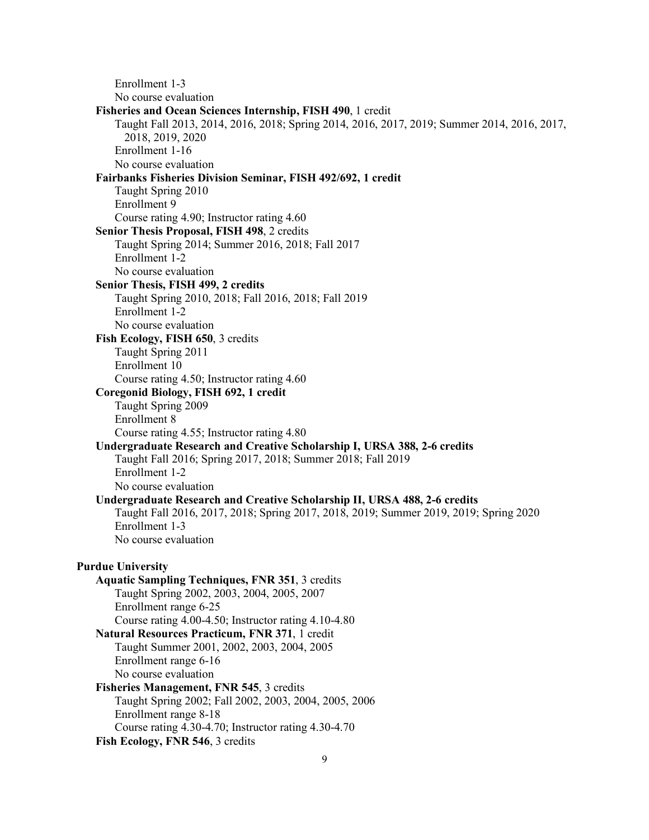Enrollment 1-3 No course evaluation **Fisheries and Ocean Sciences Internship, FISH 490**, 1 credit Taught Fall 2013, 2014, 2016, 2018; Spring 2014, 2016, 2017, 2019; Summer 2014, 2016, 2017, 2018, 2019, 2020 Enrollment 1-16 No course evaluation **Fairbanks Fisheries Division Seminar, FISH 492/692, 1 credit** Taught Spring 2010 Enrollment 9 Course rating 4.90; Instructor rating 4.60 **Senior Thesis Proposal, FISH 498**, 2 credits Taught Spring 2014; Summer 2016, 2018; Fall 2017 Enrollment 1-2 No course evaluation **Senior Thesis, FISH 499, 2 credits** Taught Spring 2010, 2018; Fall 2016, 2018; Fall 2019 Enrollment 1-2 No course evaluation **Fish Ecology, FISH 650**, 3 credits Taught Spring 2011 Enrollment 10 Course rating 4.50; Instructor rating 4.60 **Coregonid Biology, FISH 692, 1 credit** Taught Spring 2009 Enrollment 8 Course rating 4.55; Instructor rating 4.80 **Undergraduate Research and Creative Scholarship I, URSA 388, 2-6 credits** Taught Fall 2016; Spring 2017, 2018; Summer 2018; Fall 2019 Enrollment 1-2 No course evaluation **Undergraduate Research and Creative Scholarship II, URSA 488, 2-6 credits** Taught Fall 2016, 2017, 2018; Spring 2017, 2018, 2019; Summer 2019, 2019; Spring 2020 Enrollment 1-3 No course evaluation **Purdue University Aquatic Sampling Techniques, FNR 351**, 3 credits Taught Spring 2002, 2003, 2004, 2005, 2007 Enrollment range 6-25 Course rating 4.00-4.50; Instructor rating 4.10-4.80 **Natural Resources Practicum, FNR 371**, 1 credit Taught Summer 2001, 2002, 2003, 2004, 2005 Enrollment range 6-16 No course evaluation **Fisheries Management, FNR 545**, 3 credits Taught Spring 2002; Fall 2002, 2003, 2004, 2005, 2006 Enrollment range 8-18 Course rating 4.30-4.70; Instructor rating 4.30-4.70 **Fish Ecology, FNR 546**, 3 credits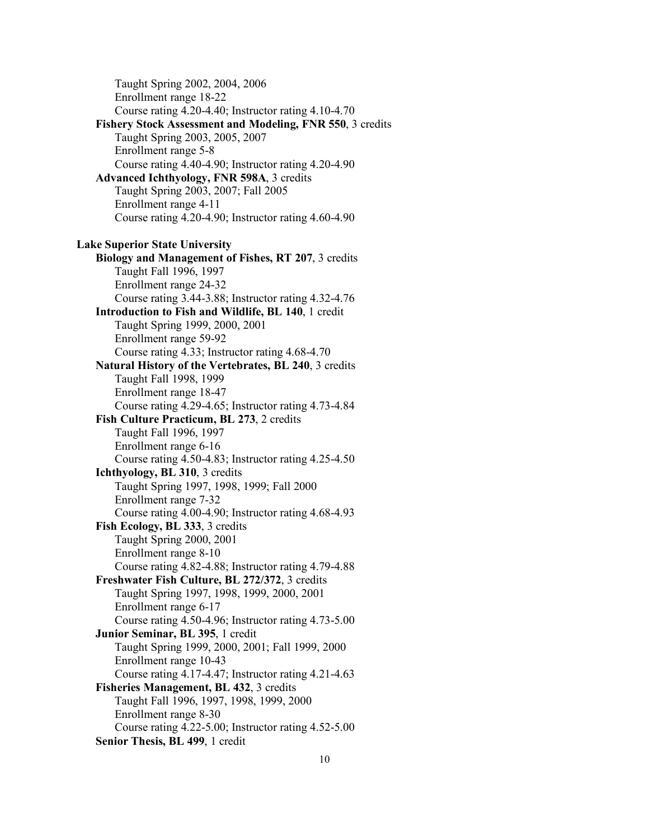Taught Spring 2002, 2004, 2006 Enrollment range 18-22 Course rating 4.20-4.40; Instructor rating 4.10-4.70 **Fishery Stock Assessment and Modeling, FNR 550**, 3 credits Taught Spring 2003, 2005, 2007 Enrollment range 5-8 Course rating 4.40-4.90; Instructor rating 4.20-4.90 **Advanced Ichthyology, FNR 598A**, 3 credits Taught Spring 2003, 2007; Fall 2005 Enrollment range 4-11 Course rating 4.20-4.90; Instructor rating 4.60-4.90 **Lake Superior State University Biology and Management of Fishes, RT 207**, 3 credits Taught Fall 1996, 1997 Enrollment range 24-32 Course rating 3.44-3.88; Instructor rating 4.32-4.76 **Introduction to Fish and Wildlife, BL 140**, 1 credit Taught Spring 1999, 2000, 2001 Enrollment range 59-92 Course rating 4.33; Instructor rating 4.68-4.70 **Natural History of the Vertebrates, BL 240**, 3 credits Taught Fall 1998, 1999 Enrollment range 18-47 Course rating 4.29-4.65; Instructor rating 4.73-4.84 **Fish Culture Practicum, BL 273**, 2 credits Taught Fall 1996, 1997 Enrollment range 6-16 Course rating 4.50-4.83; Instructor rating 4.25-4.50 **Ichthyology, BL 310**, 3 credits Taught Spring 1997, 1998, 1999; Fall 2000 Enrollment range 7-32 Course rating 4.00-4.90; Instructor rating 4.68-4.93 **Fish Ecology, BL 333**, 3 credits Taught Spring 2000, 2001 Enrollment range 8-10 Course rating 4.82-4.88; Instructor rating 4.79-4.88 **Freshwater Fish Culture, BL 272/372**, 3 credits Taught Spring 1997, 1998, 1999, 2000, 2001 Enrollment range 6-17 Course rating 4.50-4.96; Instructor rating 4.73-5.00 **Junior Seminar, BL 395**, 1 credit Taught Spring 1999, 2000, 2001; Fall 1999, 2000 Enrollment range 10-43 Course rating 4.17-4.47; Instructor rating 4.21-4.63 **Fisheries Management, BL 432**, 3 credits Taught Fall 1996, 1997, 1998, 1999, 2000 Enrollment range 8-30 Course rating 4.22-5.00; Instructor rating 4.52-5.00 **Senior Thesis, BL 499**, 1 credit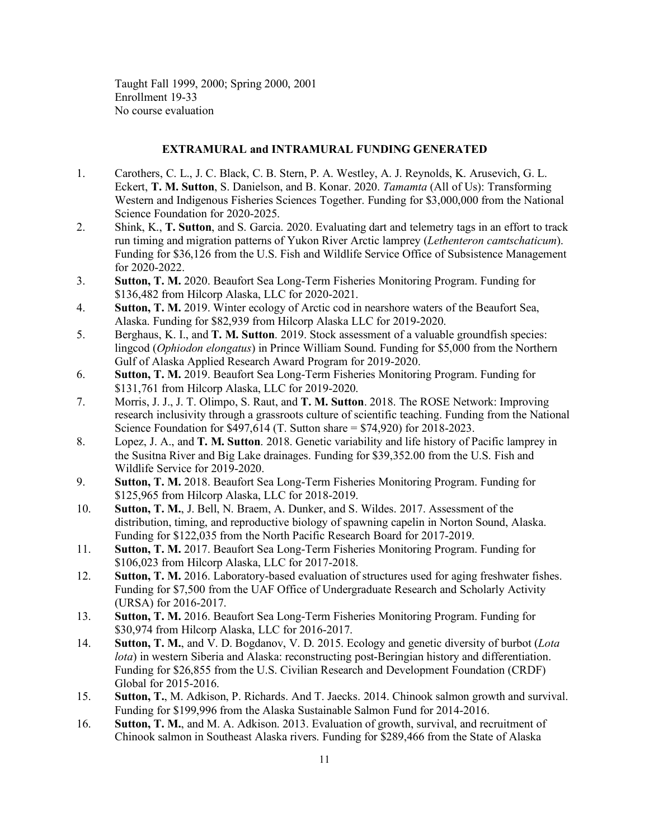Taught Fall 1999, 2000; Spring 2000, 2001 Enrollment 19-33 No course evaluation

### **EXTRAMURAL and INTRAMURAL FUNDING GENERATED**

- 1. Carothers, C. L., J. C. Black, C. B. Stern, P. A. Westley, A. J. Reynolds, K. Arusevich, G. L. Eckert, **T. M. Sutton**, S. Danielson, and B. Konar. 2020. *Tamamta* (All of Us): Transforming Western and Indigenous Fisheries Sciences Together. Funding for \$3,000,000 from the National Science Foundation for 2020-2025.
- 2. Shink, K., **T. Sutton**, and S. Garcia. 2020. Evaluating dart and telemetry tags in an effort to track run timing and migration patterns of Yukon River Arctic lamprey (*Lethenteron camtschaticum*). Funding for \$36,126 from the U.S. Fish and Wildlife Service Office of Subsistence Management for 2020-2022.
- 3. **Sutton, T. M.** 2020. Beaufort Sea Long-Term Fisheries Monitoring Program. Funding for \$136,482 from Hilcorp Alaska, LLC for 2020-2021.
- 4. **Sutton, T. M.** 2019. Winter ecology of Arctic cod in nearshore waters of the Beaufort Sea, Alaska. Funding for \$82,939 from Hilcorp Alaska LLC for 2019-2020.
- 5. Berghaus, K. I., and **T. M. Sutton**. 2019. Stock assessment of a valuable groundfish species: lingcod (*Ophiodon elongatus*) in Prince William Sound. Funding for \$5,000 from the Northern Gulf of Alaska Applied Research Award Program for 2019-2020.
- 6. **Sutton, T. M.** 2019. Beaufort Sea Long-Term Fisheries Monitoring Program. Funding for \$131,761 from Hilcorp Alaska, LLC for 2019-2020.
- 7. Morris, J. J., J. T. Olimpo, S. Raut, and **T. M. Sutton**. 2018. The ROSE Network: Improving research inclusivity through a grassroots culture of scientific teaching. Funding from the National Science Foundation for \$497,614 (T. Sutton share = \$74,920) for 2018-2023.
- 8. Lopez, J. A., and **T. M. Sutton**. 2018. Genetic variability and life history of Pacific lamprey in the Susitna River and Big Lake drainages. Funding for \$39,352.00 from the U.S. Fish and Wildlife Service for 2019-2020.
- 9. **Sutton, T. M.** 2018. Beaufort Sea Long-Term Fisheries Monitoring Program. Funding for \$125,965 from Hilcorp Alaska, LLC for 2018-2019.
- 10. **Sutton, T. M.**, J. Bell, N. Braem, A. Dunker, and S. Wildes. 2017. Assessment of the distribution, timing, and reproductive biology of spawning capelin in Norton Sound, Alaska. Funding for \$122,035 from the North Pacific Research Board for 2017-2019.
- 11. **Sutton, T. M.** 2017. Beaufort Sea Long-Term Fisheries Monitoring Program. Funding for \$106,023 from Hilcorp Alaska, LLC for 2017-2018.
- 12. **Sutton, T. M.** 2016. Laboratory-based evaluation of structures used for aging freshwater fishes. Funding for \$7,500 from the UAF Office of Undergraduate Research and Scholarly Activity (URSA) for 2016-2017.
- 13. **Sutton, T. M.** 2016. Beaufort Sea Long-Term Fisheries Monitoring Program. Funding for \$30,974 from Hilcorp Alaska, LLC for 2016-2017.
- 14. **Sutton, T. M.**, and V. D. Bogdanov, V. D. 2015. Ecology and genetic diversity of burbot (*Lota lota*) in western Siberia and Alaska: reconstructing post-Beringian history and differentiation. Funding for \$26,855 from the U.S. Civilian Research and Development Foundation (CRDF) Global for 2015-2016.
- 15. **Sutton, T.**, M. Adkison, P. Richards. And T. Jaecks. 2014. Chinook salmon growth and survival. Funding for \$199,996 from the Alaska Sustainable Salmon Fund for 2014-2016.
- 16. **Sutton, T. M.**, and M. A. Adkison. 2013. Evaluation of growth, survival, and recruitment of Chinook salmon in Southeast Alaska rivers. Funding for \$289,466 from the State of Alaska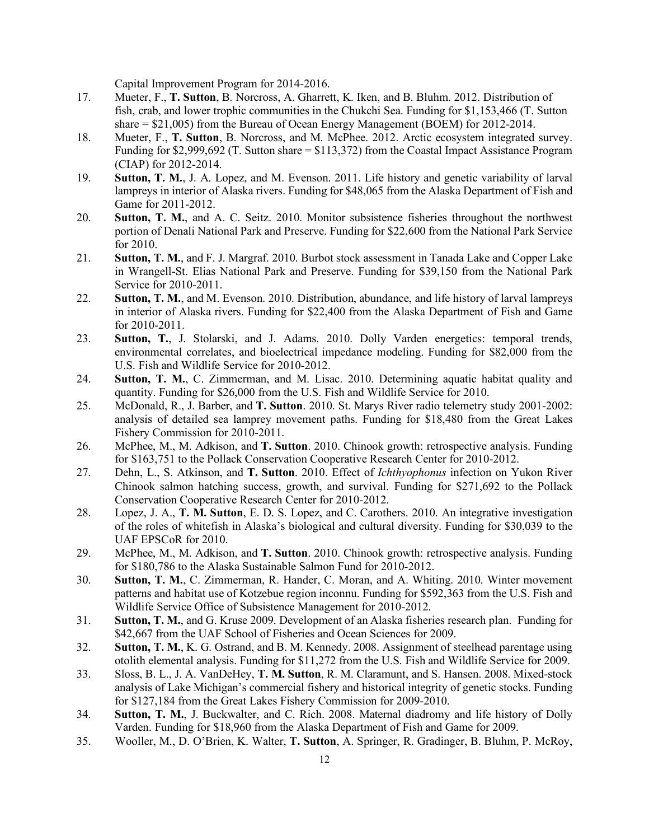Capital Improvement Program for 2014-2016.

- 17. Mueter, F., **T. Sutton**, B. Norcross, A. Gharrett, K. Iken, and B. Bluhm. 2012. Distribution of fish, crab, and lower trophic communities in the Chukchi Sea. Funding for \$1,153,466 (T. Sutton share = \$21,005) from the Bureau of Ocean Energy Management (BOEM) for 2012-2014.
- 18. Mueter, F., **T. Sutton**, B. Norcross, and M. McPhee. 2012. Arctic ecosystem integrated survey. Funding for \$2,999,692 (T. Sutton share = \$113,372) from the Coastal Impact Assistance Program (CIAP) for 2012-2014.
- 19. **Sutton, T. M.**, J. A. Lopez, and M. Evenson. 2011. Life history and genetic variability of larval lampreys in interior of Alaska rivers. Funding for \$48,065 from the Alaska Department of Fish and Game for 2011-2012.
- 20. **Sutton, T. M.**, and A. C. Seitz. 2010. Monitor subsistence fisheries throughout the northwest portion of Denali National Park and Preserve. Funding for \$22,600 from the National Park Service for 2010.
- 21. **Sutton, T. M.**, and F. J. Margraf. 2010. Burbot stock assessment in Tanada Lake and Copper Lake in Wrangell-St. Elias National Park and Preserve. Funding for \$39,150 from the National Park Service for 2010-2011.
- 22. **Sutton, T. M.**, and M. Evenson. 2010. Distribution, abundance, and life history of larval lampreys in interior of Alaska rivers. Funding for \$22,400 from the Alaska Department of Fish and Game for 2010-2011.
- 23. **Sutton, T.**, J. Stolarski, and J. Adams. 2010. Dolly Varden energetics: temporal trends, environmental correlates, and bioelectrical impedance modeling. Funding for \$82,000 from the U.S. Fish and Wildlife Service for 2010-2012.
- 24. **Sutton, T. M.**, C. Zimmerman, and M. Lisac. 2010. Determining aquatic habitat quality and quantity. Funding for \$26,000 from the U.S. Fish and Wildlife Service for 2010.
- 25. McDonald, R., J. Barber, and **T. Sutton**. 2010. St. Marys River radio telemetry study 2001-2002: analysis of detailed sea lamprey movement paths. Funding for \$18,480 from the Great Lakes Fishery Commission for 2010-2011.
- 26. McPhee, M., M. Adkison, and **T. Sutton**. 2010. Chinook growth: retrospective analysis. Funding for \$163,751 to the Pollack Conservation Cooperative Research Center for 2010-2012.
- 27. Dehn, L., S. Atkinson, and **T. Sutton**. 2010. Effect of *Ichthyophonus* infection on Yukon River Chinook salmon hatching success, growth, and survival. Funding for \$271,692 to the Pollack Conservation Cooperative Research Center for 2010-2012.
- 28. Lopez, J. A., **T. M. Sutton**, E. D. S. Lopez, and C. Carothers. 2010. An integrative investigation of the roles of whitefish in Alaska's biological and cultural diversity. Funding for \$30,039 to the UAF EPSCoR for 2010.
- 29. McPhee, M., M. Adkison, and **T. Sutton**. 2010. Chinook growth: retrospective analysis. Funding for \$180,786 to the Alaska Sustainable Salmon Fund for 2010-2012.
- 30. **Sutton, T. M.**, C. Zimmerman, R. Hander, C. Moran, and A. Whiting. 2010. Winter movement patterns and habitat use of Kotzebue region inconnu. Funding for \$592,363 from the U.S. Fish and Wildlife Service Office of Subsistence Management for 2010-2012.
- 31. **Sutton, T. M.**, and G. Kruse 2009. Development of an Alaska fisheries research plan. Funding for \$42,667 from the UAF School of Fisheries and Ocean Sciences for 2009.
- 32. **Sutton, T. M.**, K. G. Ostrand, and B. M. Kennedy. 2008. Assignment of steelhead parentage using otolith elemental analysis. Funding for \$11,272 from the U.S. Fish and Wildlife Service for 2009.
- 33. Sloss, B. L., J. A. VanDeHey, **T. M. Sutton**, R. M. Claramunt, and S. Hansen. 2008. Mixed-stock analysis of Lake Michigan's commercial fishery and historical integrity of genetic stocks. Funding for \$127,184 from the Great Lakes Fishery Commission for 2009-2010.
- 34. **Sutton, T. M.**, J. Buckwalter, and C. Rich. 2008. Maternal diadromy and life history of Dolly Varden. Funding for \$18,960 from the Alaska Department of Fish and Game for 2009.
- 35. Wooller, M., D. O'Brien, K. Walter, **T. Sutton**, A. Springer, R. Gradinger, B. Bluhm, P. McRoy,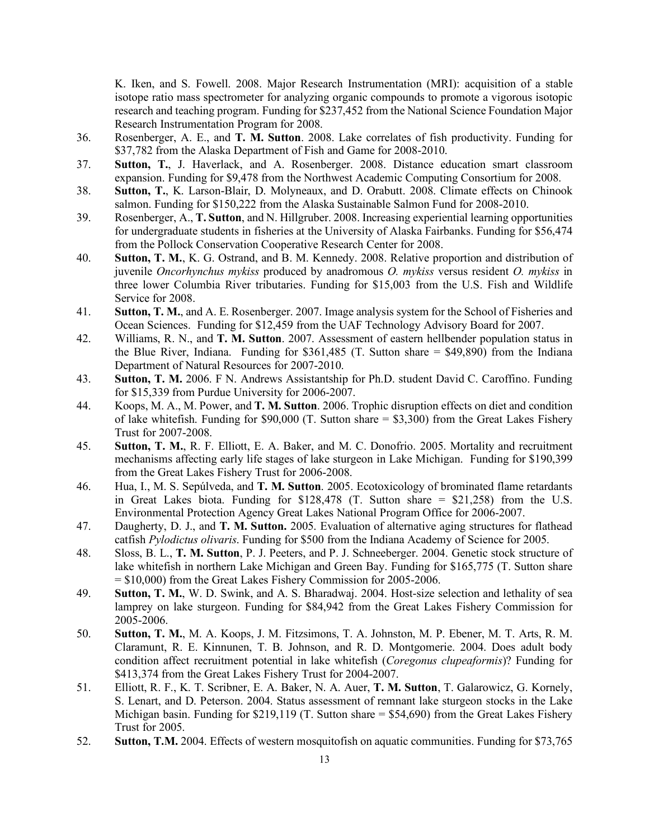K. Iken, and S. Fowell. 2008. Major Research Instrumentation (MRI): acquisition of a stable isotope ratio mass spectrometer for analyzing organic compounds to promote a vigorous isotopic research and teaching program. Funding for \$237,452 from the National Science Foundation Major Research Instrumentation Program for 2008.

- 36. Rosenberger, A. E., and **T. M. Sutton**. 2008. Lake correlates of fish productivity. Funding for \$37,782 from the Alaska Department of Fish and Game for 2008-2010.
- 37. **Sutton, T.**, J. Haverlack, and A. Rosenberger. 2008. Distance education smart classroom expansion. Funding for \$9,478 from the Northwest Academic Computing Consortium for 2008.
- 38. **Sutton, T.**, K. Larson-Blair, D. Molyneaux, and D. Orabutt. 2008. Climate effects on Chinook salmon. Funding for \$150,222 from the Alaska Sustainable Salmon Fund for 2008-2010.
- 39. Rosenberger, A., **T. Sutton**, and N. Hillgruber. 2008. Increasing experiential learning opportunities for undergraduate students in fisheries at the University of Alaska Fairbanks. Funding for \$56,474 from the Pollock Conservation Cooperative Research Center for 2008.
- 40. **Sutton, T. M.**, K. G. Ostrand, and B. M. Kennedy. 2008. Relative proportion and distribution of juvenile *Oncorhynchus mykiss* produced by anadromous *O. mykiss* versus resident *O. mykiss* in three lower Columbia River tributaries. Funding for \$15,003 from the U.S. Fish and Wildlife Service for 2008.
- 41. **Sutton, T. M.**, and A. E. Rosenberger. 2007. Image analysis system for the School of Fisheries and Ocean Sciences. Funding for \$12,459 from the UAF Technology Advisory Board for 2007.
- 42. Williams, R. N., and **T. M. Sutton**. 2007. Assessment of eastern hellbender population status in the Blue River, Indiana. Funding for \$361,485 (T. Sutton share  $=$  \$49,890) from the Indiana Department of Natural Resources for 2007-2010.
- 43. **Sutton, T. M.** 2006. F N. Andrews Assistantship for Ph.D. student David C. Caroffino. Funding for \$15,339 from Purdue University for 2006-2007.
- 44. Koops, M. A., M. Power, and **T. M. Sutton**. 2006. Trophic disruption effects on diet and condition of lake whitefish. Funding for  $$90,000$  (T. Sutton share  $= $3,300$ ) from the Great Lakes Fishery Trust for 2007-2008.
- 45. **Sutton, T. M.**, R. F. Elliott, E. A. Baker, and M. C. Donofrio. 2005. Mortality and recruitment mechanisms affecting early life stages of lake sturgeon in Lake Michigan. Funding for \$190,399 from the Great Lakes Fishery Trust for 2006-2008.
- 46. Hua, I., M. S. Sepúlveda, and **T. M. Sutton**. 2005. Ecotoxicology of brominated flame retardants in Great Lakes biota. Funding for \$128,478 (T. Sutton share = \$21,258) from the U.S. Environmental Protection Agency Great Lakes National Program Office for 2006-2007.
- 47. Daugherty, D. J., and **T. M. Sutton.** 2005. Evaluation of alternative aging structures for flathead catfish *Pylodictus olivaris*. Funding for \$500 from the Indiana Academy of Science for 2005.
- 48. Sloss, B. L., **T. M. Sutton**, P. J. Peeters, and P. J. Schneeberger. 2004. Genetic stock structure of lake whitefish in northern Lake Michigan and Green Bay. Funding for \$165,775 (T. Sutton share = \$10,000) from the Great Lakes Fishery Commission for 2005-2006.
- 49. **Sutton, T. M.**, W. D. Swink, and A. S. Bharadwaj. 2004. Host-size selection and lethality of sea lamprey on lake sturgeon. Funding for \$84,942 from the Great Lakes Fishery Commission for 2005-2006.
- 50. **Sutton, T. M.**, M. A. Koops, J. M. Fitzsimons, T. A. Johnston, M. P. Ebener, M. T. Arts, R. M. Claramunt, R. E. Kinnunen, T. B. Johnson, and R. D. Montgomerie. 2004. Does adult body condition affect recruitment potential in lake whitefish (*Coregonus clupeaformis*)? Funding for \$413,374 from the Great Lakes Fishery Trust for 2004-2007.
- 51. Elliott, R. F., K. T. Scribner, E. A. Baker, N. A. Auer, **T. M. Sutton**, T. Galarowicz, G. Kornely, S. Lenart, and D. Peterson. 2004. Status assessment of remnant lake sturgeon stocks in the Lake Michigan basin. Funding for  $$219,119$  (T. Sutton share =  $$54,690$ ) from the Great Lakes Fishery Trust for 2005.
- 52. **Sutton, T.M.** 2004. Effects of western mosquitofish on aquatic communities. Funding for \$73,765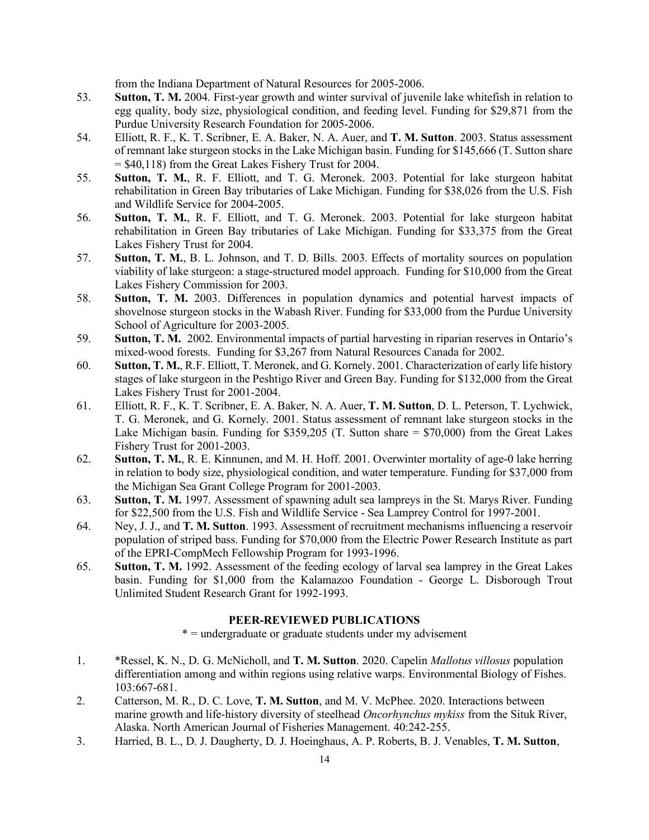from the Indiana Department of Natural Resources for 2005-2006.

- 53. **Sutton, T. M.** 2004. First-year growth and winter survival of juvenile lake whitefish in relation to egg quality, body size, physiological condition, and feeding level. Funding for \$29,871 from the Purdue University Research Foundation for 2005-2006.
- 54. Elliott, R. F., K. T. Scribner, E. A. Baker, N. A. Auer, and **T. M. Sutton**. 2003. Status assessment of remnant lake sturgeon stocks in the Lake Michigan basin. Funding for \$145,666 (T. Sutton share = \$40,118) from the Great Lakes Fishery Trust for 2004.
- 55. **Sutton, T. M.**, R. F. Elliott, and T. G. Meronek. 2003. Potential for lake sturgeon habitat rehabilitation in Green Bay tributaries of Lake Michigan. Funding for \$38,026 from the U.S. Fish and Wildlife Service for 2004-2005.
- 56. **Sutton, T. M.**, R. F. Elliott, and T. G. Meronek. 2003. Potential for lake sturgeon habitat rehabilitation in Green Bay tributaries of Lake Michigan. Funding for \$33,375 from the Great Lakes Fishery Trust for 2004.
- 57. **Sutton, T. M.**, B. L. Johnson, and T. D. Bills. 2003. Effects of mortality sources on population viability of lake sturgeon: a stage-structured model approach. Funding for \$10,000 from the Great Lakes Fishery Commission for 2003.
- 58. **Sutton, T. M.** 2003. Differences in population dynamics and potential harvest impacts of shovelnose sturgeon stocks in the Wabash River. Funding for \$33,000 from the Purdue University School of Agriculture for 2003-2005.
- 59. **Sutton, T. M.** 2002. Environmental impacts of partial harvesting in riparian reserves in Ontario's mixed-wood forests. Funding for \$3,267 from Natural Resources Canada for 2002.
- 60. **Sutton, T. M.**, R.F. Elliott, T. Meronek, and G. Kornely. 2001. Characterization of early life history stages of lake sturgeon in the Peshtigo River and Green Bay. Funding for \$132,000 from the Great Lakes Fishery Trust for 2001-2004.
- 61. Elliott, R. F., K. T. Scribner, E. A. Baker, N. A. Auer, **T. M. Sutton**, D. L. Peterson, T. Lychwick, T. G. Meronek, and G. Kornely. 2001. Status assessment of remnant lake sturgeon stocks in the Lake Michigan basin. Funding for \$359,205 (T. Sutton share  $=$  \$70,000) from the Great Lakes Fishery Trust for 2001-2003.
- 62. **Sutton, T. M.**, R. E. Kinnunen, and M. H. Hoff. 2001. Overwinter mortality of age-0 lake herring in relation to body size, physiological condition, and water temperature. Funding for \$37,000 from the Michigan Sea Grant College Program for 2001-2003.
- 63. **Sutton, T. M.** 1997. Assessment of spawning adult sea lampreys in the St. Marys River. Funding for \$22,500 from the U.S. Fish and Wildlife Service - Sea Lamprey Control for 1997-2001.
- 64. Ney, J. J., and **T. M. Sutton**. 1993. Assessment of recruitment mechanisms influencing a reservoir population of striped bass. Funding for \$70,000 from the Electric Power Research Institute as part of the EPRI-CompMech Fellowship Program for 1993-1996.
- 65. **Sutton, T. M.** 1992. Assessment of the feeding ecology of larval sea lamprey in the Great Lakes basin. Funding for \$1,000 from the Kalamazoo Foundation - George L. Disborough Trout Unlimited Student Research Grant for 1992-1993.

### **PEER-REVIEWED PUBLICATIONS**

\* = undergraduate or graduate students under my advisement

- 1. \*Ressel, K. N., D. G. McNicholl, and **T. M. Sutton**. 2020. Capelin *Mallotus villosus* population differentiation among and within regions using relative warps. Environmental Biology of Fishes. 103:667-681.
- 2. Catterson, M. R., D. C. Love, **T. M. Sutton**, and M. V. McPhee. 2020. Interactions between marine growth and life-history diversity of steelhead *Oncorhynchus mykiss* from the Situk River, Alaska. North American Journal of Fisheries Management. 40:242-255.
- 3. Harried, B. L., D. J. Daugherty, D. J. Hoeinghaus, A. P. Roberts, B. J. Venables, **T. M. Sutton**,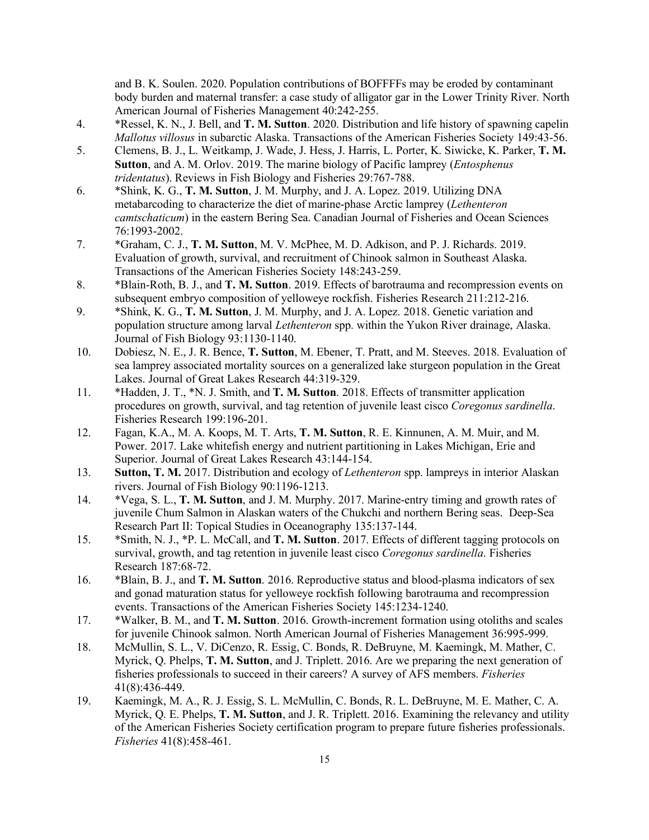and B. K. Soulen. 2020. Population contributions of BOFFFFs may be eroded by contaminant body burden and maternal transfer: a case study of alligator gar in the Lower Trinity River. North American Journal of Fisheries Management 40:242-255.

- 4. \*Ressel, K. N., J. Bell, and **T. M. Sutton**. 2020. Distribution and life history of spawning capelin *Mallotus villosus* in subarctic Alaska. Transactions of the American Fisheries Society 149:43-56.
- 5. Clemens, B. J., L. Weitkamp, J. Wade, J. Hess, J. Harris, L. Porter, K. Siwicke, K. Parker, **T. M. Sutton**, and A. M. Orlov. 2019. The marine biology of Pacific lamprey (*Entosphenus tridentatus*). Reviews in Fish Biology and Fisheries 29:767-788.
- 6. \*Shink, K. G., **T. M. Sutton**, J. M. Murphy, and J. A. Lopez. 2019. Utilizing DNA metabarcoding to characterize the diet of marine-phase Arctic lamprey (*Lethenteron camtschaticum*) in the eastern Bering Sea. Canadian Journal of Fisheries and Ocean Sciences 76:1993-2002.
- 7. \*Graham, C. J., **T. M. Sutton**, M. V. McPhee, M. D. Adkison, and P. J. Richards. 2019. Evaluation of growth, survival, and recruitment of Chinook salmon in Southeast Alaska. Transactions of the American Fisheries Society 148:243-259.
- 8. \*Blain-Roth, B. J., and **T. M. Sutton**. 2019. Effects of barotrauma and recompression events on subsequent embryo composition of yelloweye rockfish. Fisheries Research 211:212-216.
- 9. \*Shink, K. G., **T. M. Sutton**, J. M. Murphy, and J. A. Lopez. 2018. Genetic variation and population structure among larval *Lethenteron* spp. within the Yukon River drainage, Alaska. Journal of Fish Biology 93:1130-1140.
- 10. Dobiesz, N. E., J. R. Bence, **T. Sutton**, M. Ebener, T. Pratt, and M. Steeves. 2018. Evaluation of sea lamprey associated mortality sources on a generalized lake sturgeon population in the Great Lakes. Journal of Great Lakes Research 44:319-329.
- 11. \*Hadden, J. T., \*N. J. Smith, and **T. M. Sutton**. 2018. Effects of transmitter application procedures on growth, survival, and tag retention of juvenile least cisco *Coregonus sardinella*. Fisheries Research 199:196-201.
- 12. Fagan, K.A., M. A. Koops, M. T. Arts, **T. M. Sutton**, R. E. Kinnunen, A. M. Muir, and M. Power. 2017. Lake whitefish energy and nutrient partitioning in Lakes Michigan, Erie and Superior. Journal of Great Lakes Research 43:144-154.
- 13. **Sutton, T. M.** 2017. Distribution and ecology of *Lethenteron* spp. lampreys in interior Alaskan rivers. Journal of Fish Biology 90:1196-1213.
- 14. \*Vega, S. L., **T. M. Sutton**, and J. M. Murphy. 2017. Marine-entry timing and growth rates of juvenile Chum Salmon in Alaskan waters of the Chukchi and northern Bering seas. Deep-Sea Research Part II: Topical Studies in Oceanography 135:137-144.
- 15. \*Smith, N. J., \*P. L. McCall, and **T. M. Sutton**. 2017. Effects of different tagging protocols on survival, growth, and tag retention in juvenile least cisco *Coregonus sardinella*. Fisheries Research 187:68-72.
- 16. \*Blain, B. J., and **T. M. Sutton**. 2016. Reproductive status and blood-plasma indicators of sex and gonad maturation status for yelloweye rockfish following barotrauma and recompression events. Transactions of the American Fisheries Society 145:1234-1240.
- 17. \*Walker, B. M., and **T. M. Sutton**. 2016. Growth-increment formation using otoliths and scales for juvenile Chinook salmon. North American Journal of Fisheries Management 36:995-999.
- 18. McMullin, S. L., V. DiCenzo, R. Essig, C. Bonds, R. DeBruyne, M. Kaemingk, M. Mather, C. Myrick, Q. Phelps, **T. M. Sutton**, and J. Triplett. 2016. Are we preparing the next generation of fisheries professionals to succeed in their careers? A survey of AFS members. *Fisheries* 41(8):436-449.
- 19. Kaemingk, M. A., R. J. Essig, S. L. McMullin, C. Bonds, R. L. DeBruyne, M. E. Mather, C. A. Myrick, Q. E. Phelps, **T. M. Sutton**, and J. R. Triplett. 2016. Examining the relevancy and utility of the American Fisheries Society certification program to prepare future fisheries professionals. *Fisheries* 41(8):458-461.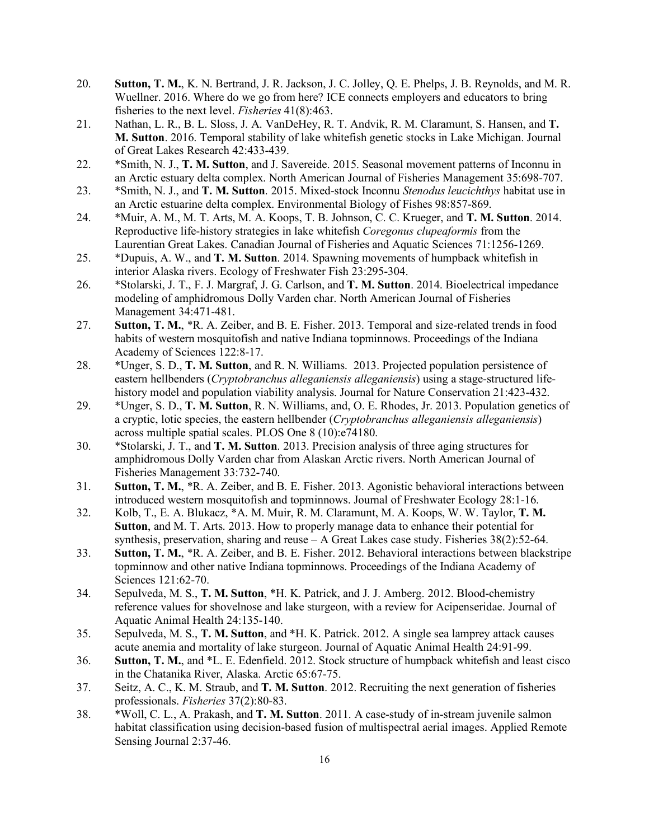- 20. **Sutton, T. M.**, K. N. Bertrand, J. R. Jackson, J. C. Jolley, Q. E. Phelps, J. B. Reynolds, and M. R. Wuellner. 2016. Where do we go from here? ICE connects employers and educators to bring fisheries to the next level. *Fisheries* 41(8):463.
- 21. Nathan, L. R., B. L. Sloss, J. A. VanDeHey, R. T. Andvik, R. M. Claramunt, S. Hansen, and **T. M. Sutton**. 2016. Temporal stability of lake whitefish genetic stocks in Lake Michigan. Journal of Great Lakes Research 42:433-439.
- 22. \*Smith, N. J., **T. M. Sutton**, and J. Savereide. 2015. Seasonal movement patterns of Inconnu in an Arctic estuary delta complex. North American Journal of Fisheries Management 35:698-707.
- 23. \*Smith, N. J., and **T. M. Sutton**. 2015. Mixed-stock Inconnu *Stenodus leucichthys* habitat use in an Arctic estuarine delta complex. Environmental Biology of Fishes 98:857-869.
- 24. \*Muir, A. M., M. T. Arts, M. A. Koops, T. B. Johnson, C. C. Krueger, and **T. M. Sutton**. 2014. Reproductive life-history strategies in lake whitefish *Coregonus clupeaformis* from the Laurentian Great Lakes. Canadian Journal of Fisheries and Aquatic Sciences 71:1256-1269.
- 25. \*Dupuis, A. W., and **T. M. Sutton**. 2014. Spawning movements of humpback whitefish in interior Alaska rivers. Ecology of Freshwater Fish 23:295-304.
- 26. \*Stolarski, J. T., F. J. Margraf, J. G. Carlson, and **T. M. Sutton**. 2014. Bioelectrical impedance modeling of amphidromous Dolly Varden char. North American Journal of Fisheries Management 34:471-481.
- 27. **Sutton, T. M.**, \*R. A. Zeiber, and B. E. Fisher. 2013. Temporal and size-related trends in food habits of western mosquitofish and native Indiana topminnows. Proceedings of the Indiana Academy of Sciences 122:8-17.
- 28. \*Unger, S. D., **T. M. Sutton**, and R. N. Williams. 2013. Projected population persistence of eastern hellbenders (*Cryptobranchus alleganiensis alleganiensis*) using a stage-structured lifehistory model and population viability analysis. Journal for Nature Conservation 21:423-432.
- 29. \*Unger, S. D., **T. M. Sutton**, R. N. Williams, and, O. E. Rhodes, Jr. 2013. Population genetics of a cryptic, lotic species, the eastern hellbender (*Cryptobranchus alleganiensis alleganiensis*) across multiple spatial scales. PLOS One 8 (10):e74180.
- 30. \*Stolarski, J. T., and **T. M. Sutton**. 2013. Precision analysis of three aging structures for amphidromous Dolly Varden char from Alaskan Arctic rivers. North American Journal of Fisheries Management 33:732-740.
- 31. **Sutton, T. M.**, \*R. A. Zeiber, and B. E. Fisher. 2013. Agonistic behavioral interactions between introduced western mosquitofish and topminnows. Journal of Freshwater Ecology 28:1-16.
- 32. Kolb, T., E. A. Blukacz, \*A. M. Muir, R. M. Claramunt, M. A. Koops, W. W. Taylor, **T. M. Sutton**, and M. T. Arts. 2013. How to properly manage data to enhance their potential for synthesis, preservation, sharing and reuse  $-A$  Great Lakes case study. Fisheries  $38(2)$ :52-64.
- 33. **Sutton, T. M.**, \*R. A. Zeiber, and B. E. Fisher. 2012. Behavioral interactions between blackstripe topminnow and other native Indiana topminnows. Proceedings of the Indiana Academy of Sciences 121:62-70.
- 34. Sepulveda, M. S., **T. M. Sutton**, \*H. K. Patrick, and J. J. Amberg. 2012. Blood-chemistry reference values for shovelnose and lake sturgeon, with a review for Acipenseridae. Journal of Aquatic Animal Health 24:135-140.
- 35. Sepulveda, M. S., **T. M. Sutton**, and \*H. K. Patrick. 2012. A single sea lamprey attack causes acute anemia and mortality of lake sturgeon. Journal of Aquatic Animal Health 24:91-99.
- 36. **Sutton, T. M.**, and \*L. E. Edenfield. 2012. Stock structure of humpback whitefish and least cisco in the Chatanika River, Alaska. Arctic 65:67-75.
- 37. Seitz, A. C., K. M. Straub, and **T. M. Sutton**. 2012. Recruiting the next generation of fisheries professionals. *Fisheries* 37(2):80-83.
- 38. \*Woll, C. L., A. Prakash, and **T. M. Sutton**. 2011. A case-study of in-stream juvenile salmon habitat classification using decision-based fusion of multispectral aerial images. Applied Remote Sensing Journal 2:37-46.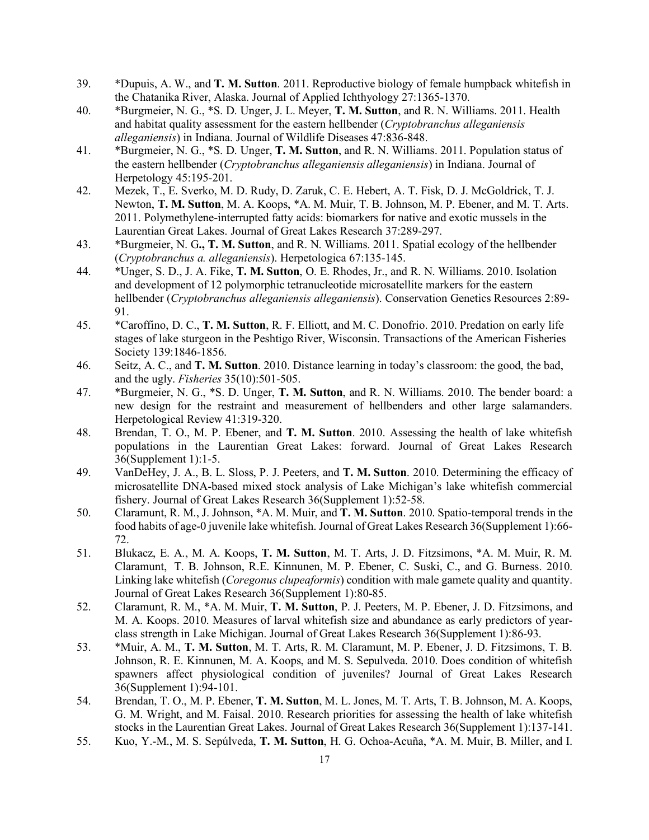- 39. \*Dupuis, A. W., and **T. M. Sutton**. 2011. Reproductive biology of female humpback whitefish in the Chatanika River, Alaska. Journal of Applied Ichthyology 27:1365-1370.
- 40. \*Burgmeier, N. G., \*S. D. Unger, J. L. Meyer, **T. M. Sutton**, and R. N. Williams. 2011. Health and habitat quality assessment for the eastern hellbender (*Cryptobranchus alleganiensis alleganiensis*) in Indiana. Journal of Wildlife Diseases 47:836-848.
- 41. \*Burgmeier, N. G., \*S. D. Unger, **T. M. Sutton**, and R. N. Williams. 2011. Population status of the eastern hellbender (*Cryptobranchus alleganiensis alleganiensis*) in Indiana. Journal of Herpetology 45:195-201.
- 42. Mezek, T., E. Sverko, M. D. Rudy, D. Zaruk, C. E. Hebert, A. T. Fisk, D. J. McGoldrick, T. J. Newton, **T. M. Sutton**, M. A. Koops, \*A. M. Muir, T. B. Johnson, M. P. Ebener, and M. T. Arts. 2011. Polymethylene-interrupted fatty acids: biomarkers for native and exotic mussels in the Laurentian Great Lakes. Journal of Great Lakes Research 37:289-297.
- 43. \*Burgmeier, N. G**., T. M. Sutton**, and R. N. Williams. 2011. Spatial ecology of the hellbender (*Cryptobranchus a. alleganiensis*). Herpetologica 67:135-145.
- 44. \*Unger, S. D., J. A. Fike, **T. M. Sutton**, O. E. Rhodes, Jr., and R. N. Williams. 2010. Isolation and development of 12 polymorphic tetranucleotide microsatellite markers for the eastern hellbender (*Cryptobranchus alleganiensis alleganiensis*). Conservation Genetics Resources 2:89- 91.
- 45. \*Caroffino, D. C., **T. M. Sutton**, R. F. Elliott, and M. C. Donofrio. 2010. Predation on early life stages of lake sturgeon in the Peshtigo River, Wisconsin. Transactions of the American Fisheries Society 139:1846-1856.
- 46. Seitz, A. C., and **T. M. Sutton**. 2010. Distance learning in today's classroom: the good, the bad, and the ugly. *Fisheries* 35(10):501-505.
- 47. \*Burgmeier, N. G., \*S. D. Unger, **T. M. Sutton**, and R. N. Williams. 2010. The bender board: a new design for the restraint and measurement of hellbenders and other large salamanders. Herpetological Review 41:319-320.
- 48. Brendan, T. O., M. P. Ebener, and **T. M. Sutton**. 2010. Assessing the health of lake whitefish populations in the Laurentian Great Lakes: forward. Journal of Great Lakes Research 36(Supplement 1):1-5.
- 49. VanDeHey, J. A., B. L. Sloss, P. J. Peeters, and **T. M. Sutton**. 2010. Determining the efficacy of microsatellite DNA-based mixed stock analysis of Lake Michigan's lake whitefish commercial fishery. Journal of Great Lakes Research 36(Supplement 1):52-58.
- 50. Claramunt, R. M., J. Johnson, \*A. M. Muir, and **T. M. Sutton**. 2010. Spatio-temporal trends in the food habits of age-0 juvenile lake whitefish. Journal of Great Lakes Research 36(Supplement 1):66- 72.
- 51. Blukacz, E. A., M. A. Koops, **T. M. Sutton**, M. T. Arts, J. D. Fitzsimons, \*A. M. Muir, R. M. Claramunt, T. B. Johnson, R.E. Kinnunen, M. P. Ebener, C. Suski, C., and G. Burness. 2010. Linking lake whitefish (*Coregonus clupeaformis*) condition with male gamete quality and quantity. Journal of Great Lakes Research 36(Supplement 1):80-85.
- 52. Claramunt, R. M., \*A. M. Muir, **T. M. Sutton**, P. J. Peeters, M. P. Ebener, J. D. Fitzsimons, and M. A. Koops. 2010. Measures of larval whitefish size and abundance as early predictors of yearclass strength in Lake Michigan. Journal of Great Lakes Research 36(Supplement 1):86-93.
- 53. \*Muir, A. M., **T. M. Sutton**, M. T. Arts, R. M. Claramunt, M. P. Ebener, J. D. Fitzsimons, T. B. Johnson, R. E. Kinnunen, M. A. Koops, and M. S. Sepulveda. 2010. Does condition of whitefish spawners affect physiological condition of juveniles? Journal of Great Lakes Research 36(Supplement 1):94-101.
- 54. Brendan, T. O., M. P. Ebener, **T. M. Sutton**, M. L. Jones, M. T. Arts, T. B. Johnson, M. A. Koops, G. M. Wright, and M. Faisal. 2010. Research priorities for assessing the health of lake whitefish stocks in the Laurentian Great Lakes. Journal of Great Lakes Research 36(Supplement 1):137-141.
- 55. Kuo, Y.-M., M. S. Sepúlveda, **T. M. Sutton**, H. G. Ochoa-Acuña, \*A. M. Muir, B. Miller, and I.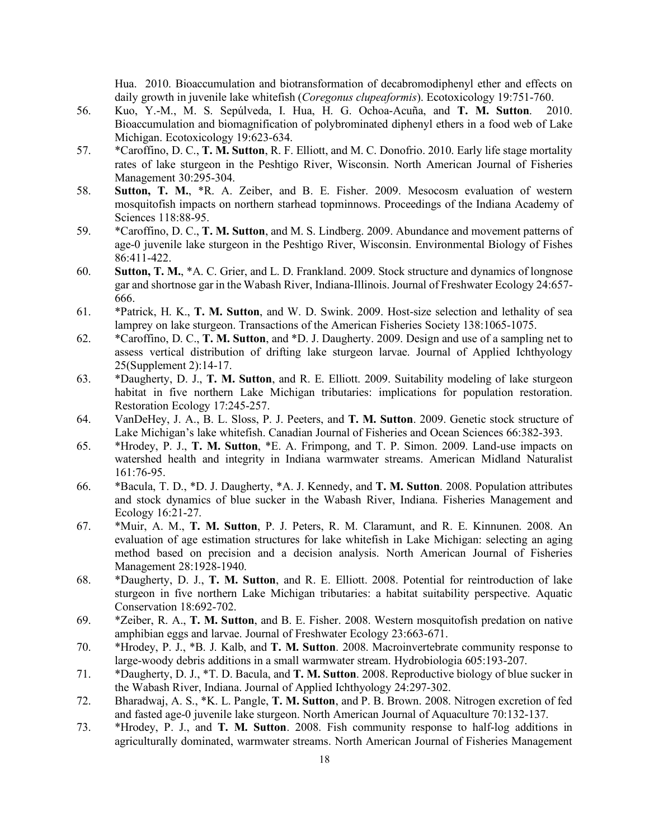Hua. 2010. Bioaccumulation and biotransformation of decabromodiphenyl ether and effects on daily growth in juvenile lake whitefish (*Coregonus clupeaformis*). Ecotoxicology 19:751-760.

- 56. Kuo, Y.-M., M. S. Sepúlveda, I. Hua, H. G. Ochoa-Acuña, and **T. M. Sutton**. 2010. Bioaccumulation and biomagnification of polybrominated diphenyl ethers in a food web of Lake Michigan. Ecotoxicology 19:623-634.
- 57. \*Caroffino, D. C., **T. M. Sutton**, R. F. Elliott, and M. C. Donofrio. 2010. Early life stage mortality rates of lake sturgeon in the Peshtigo River, Wisconsin. North American Journal of Fisheries Management 30:295-304.
- 58. **Sutton, T. M.**, \*R. A. Zeiber, and B. E. Fisher. 2009. Mesocosm evaluation of western mosquitofish impacts on northern starhead topminnows. Proceedings of the Indiana Academy of Sciences 118:88-95.
- 59. \*Caroffino, D. C., **T. M. Sutton**, and M. S. Lindberg. 2009. Abundance and movement patterns of age-0 juvenile lake sturgeon in the Peshtigo River, Wisconsin. Environmental Biology of Fishes 86:411-422.
- 60. **Sutton, T. M.**, \*A. C. Grier, and L. D. Frankland. 2009. Stock structure and dynamics of longnose gar and shortnose gar in the Wabash River, Indiana-Illinois. Journal of Freshwater Ecology 24:657- 666.
- 61. \*Patrick, H. K., **T. M. Sutton**, and W. D. Swink. 2009. Host-size selection and lethality of sea lamprey on lake sturgeon. Transactions of the American Fisheries Society 138:1065-1075.
- 62. \*Caroffino, D. C., **T. M. Sutton**, and \*D. J. Daugherty. 2009. Design and use of a sampling net to assess vertical distribution of drifting lake sturgeon larvae. Journal of Applied Ichthyology 25(Supplement 2):14-17.
- 63. \*Daugherty, D. J., **T. M. Sutton**, and R. E. Elliott. 2009. Suitability modeling of lake sturgeon habitat in five northern Lake Michigan tributaries: implications for population restoration. Restoration Ecology 17:245-257.
- 64. VanDeHey, J. A., B. L. Sloss, P. J. Peeters, and **T. M. Sutton**. 2009. Genetic stock structure of Lake Michigan's lake whitefish. Canadian Journal of Fisheries and Ocean Sciences 66:382-393.
- 65. \*Hrodey, P. J., **T. M. Sutton**, \*E. A. Frimpong, and T. P. Simon. 2009. Land-use impacts on watershed health and integrity in Indiana warmwater streams. American Midland Naturalist 161:76-95.
- 66. \*Bacula, T. D., \*D. J. Daugherty, \*A. J. Kennedy, and **T. M. Sutton**. 2008. Population attributes and stock dynamics of blue sucker in the Wabash River, Indiana. Fisheries Management and Ecology 16:21-27.
- 67. \*Muir, A. M., **T. M. Sutton**, P. J. Peters, R. M. Claramunt, and R. E. Kinnunen. 2008. An evaluation of age estimation structures for lake whitefish in Lake Michigan: selecting an aging method based on precision and a decision analysis. North American Journal of Fisheries Management 28:1928-1940.
- 68. \*Daugherty, D. J., **T. M. Sutton**, and R. E. Elliott. 2008. Potential for reintroduction of lake sturgeon in five northern Lake Michigan tributaries: a habitat suitability perspective. Aquatic Conservation 18:692-702.
- 69. \*Zeiber, R. A., **T. M. Sutton**, and B. E. Fisher. 2008. Western mosquitofish predation on native amphibian eggs and larvae. Journal of Freshwater Ecology 23:663-671.
- 70. \*Hrodey, P. J., \*B. J. Kalb, and **T. M. Sutton**. 2008. Macroinvertebrate community response to large-woody debris additions in a small warmwater stream. Hydrobiologia 605:193-207.
- 71. \*Daugherty, D. J., \*T. D. Bacula, and **T. M. Sutton**. 2008. Reproductive biology of blue sucker in the Wabash River, Indiana. Journal of Applied Ichthyology 24:297-302.
- 72. Bharadwaj, A. S., \*K. L. Pangle, **T. M. Sutton**, and P. B. Brown. 2008. Nitrogen excretion of fed and fasted age-0 juvenile lake sturgeon. North American Journal of Aquaculture 70:132-137.
- 73. \*Hrodey, P. J., and **T. M. Sutton**. 2008. Fish community response to half-log additions in agriculturally dominated, warmwater streams. North American Journal of Fisheries Management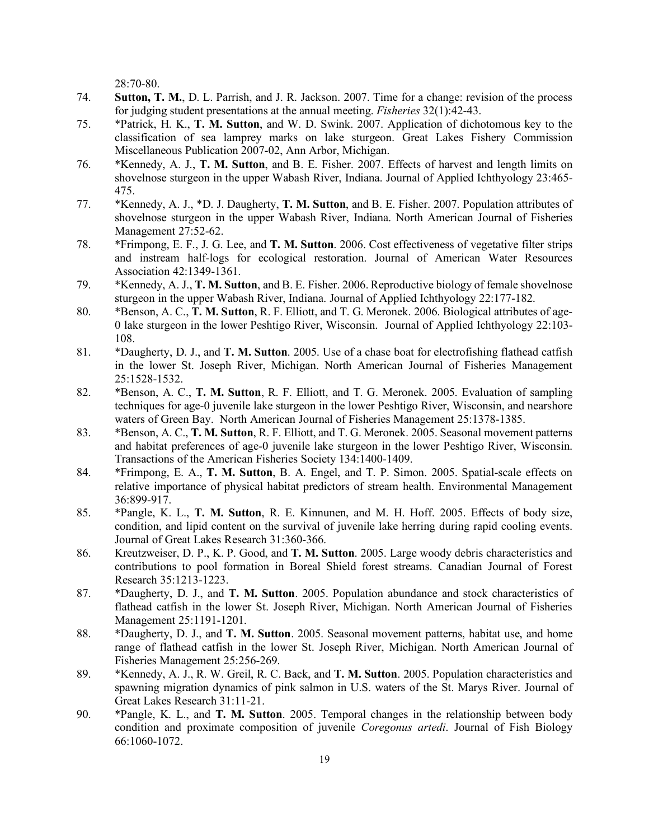28:70-80.

- 74. **Sutton, T. M.**, D. L. Parrish, and J. R. Jackson. 2007. Time for a change: revision of the process for judging student presentations at the annual meeting. *Fisheries* 32(1):42-43.
- 75. \*Patrick, H. K., **T. M. Sutton**, and W. D. Swink. 2007. Application of dichotomous key to the classification of sea lamprey marks on lake sturgeon. Great Lakes Fishery Commission Miscellaneous Publication 2007-02, Ann Arbor, Michigan.
- 76. \*Kennedy, A. J., **T. M. Sutton**, and B. E. Fisher. 2007. Effects of harvest and length limits on shovelnose sturgeon in the upper Wabash River, Indiana. Journal of Applied Ichthyology 23:465- 475.
- 77. \*Kennedy, A. J., \*D. J. Daugherty, **T. M. Sutton**, and B. E. Fisher. 2007. Population attributes of shovelnose sturgeon in the upper Wabash River, Indiana. North American Journal of Fisheries Management 27:52-62.
- 78. \*Frimpong, E. F., J. G. Lee, and **T. M. Sutton**. 2006. Cost effectiveness of vegetative filter strips and instream half-logs for ecological restoration. Journal of American Water Resources Association 42:1349-1361.
- 79. \*Kennedy, A. J., **T. M. Sutton**, and B. E. Fisher. 2006. Reproductive biology of female shovelnose sturgeon in the upper Wabash River, Indiana. Journal of Applied Ichthyology 22:177-182.
- 80. \*Benson, A. C., **T. M. Sutton**, R. F. Elliott, and T. G. Meronek. 2006. Biological attributes of age-0 lake sturgeon in the lower Peshtigo River, Wisconsin. Journal of Applied Ichthyology 22:103- 108.
- 81. \*Daugherty, D. J., and **T. M. Sutton**. 2005. Use of a chase boat for electrofishing flathead catfish in the lower St. Joseph River, Michigan. North American Journal of Fisheries Management 25:1528-1532.
- 82. \*Benson, A. C., **T. M. Sutton**, R. F. Elliott, and T. G. Meronek. 2005. Evaluation of sampling techniques for age-0 juvenile lake sturgeon in the lower Peshtigo River, Wisconsin, and nearshore waters of Green Bay. North American Journal of Fisheries Management 25:1378-1385.
- 83. \*Benson, A. C., **T. M. Sutton**, R. F. Elliott, and T. G. Meronek. 2005. Seasonal movement patterns and habitat preferences of age-0 juvenile lake sturgeon in the lower Peshtigo River, Wisconsin. Transactions of the American Fisheries Society 134:1400-1409.
- 84. \*Frimpong, E. A., **T. M. Sutton**, B. A. Engel, and T. P. Simon. 2005. Spatial-scale effects on relative importance of physical habitat predictors of stream health. Environmental Management 36:899-917.
- 85. \*Pangle, K. L., **T. M. Sutton**, R. E. Kinnunen, and M. H. Hoff. 2005. Effects of body size, condition, and lipid content on the survival of juvenile lake herring during rapid cooling events. Journal of Great Lakes Research 31:360-366.
- 86. Kreutzweiser, D. P., K. P. Good, and **T. M. Sutton**. 2005. Large woody debris characteristics and contributions to pool formation in Boreal Shield forest streams. Canadian Journal of Forest Research 35:1213-1223.
- 87. \*Daugherty, D. J., and **T. M. Sutton**. 2005. Population abundance and stock characteristics of flathead catfish in the lower St. Joseph River, Michigan. North American Journal of Fisheries Management 25:1191-1201.
- 88. \*Daugherty, D. J., and **T. M. Sutton**. 2005. Seasonal movement patterns, habitat use, and home range of flathead catfish in the lower St. Joseph River, Michigan. North American Journal of Fisheries Management 25:256-269.
- 89. \*Kennedy, A. J., R. W. Greil, R. C. Back, and **T. M. Sutton**. 2005. Population characteristics and spawning migration dynamics of pink salmon in U.S. waters of the St. Marys River. Journal of Great Lakes Research 31:11-21.
- 90. \*Pangle, K. L., and **T. M. Sutton**. 2005. Temporal changes in the relationship between body condition and proximate composition of juvenile *Coregonus artedi*. Journal of Fish Biology 66:1060-1072.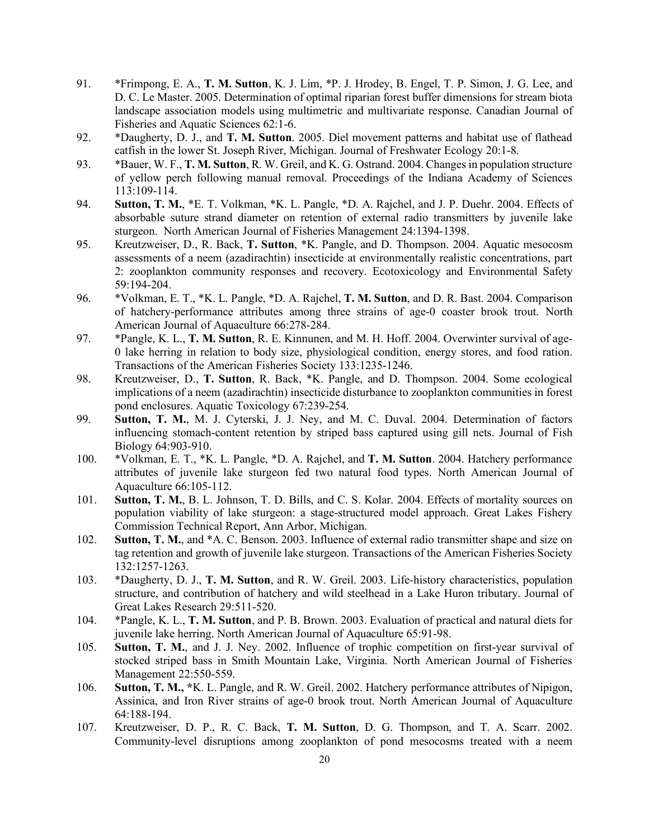- 91. \*Frimpong, E. A., **T. M. Sutton**, K. J. Lim, \*P. J. Hrodey, B. Engel, T. P. Simon, J. G. Lee, and D. C. Le Master. 2005. Determination of optimal riparian forest buffer dimensions for stream biota landscape association models using multimetric and multivariate response. Canadian Journal of Fisheries and Aquatic Sciences 62:1-6.
- 92. \*Daugherty, D. J., and **T. M. Sutton**. 2005. Diel movement patterns and habitat use of flathead catfish in the lower St. Joseph River, Michigan. Journal of Freshwater Ecology 20:1-8.
- 93. \*Bauer, W. F., **T. M. Sutton**, R. W. Greil, and K. G. Ostrand. 2004. Changes in population structure of yellow perch following manual removal. Proceedings of the Indiana Academy of Sciences 113:109-114.
- 94. **Sutton, T. M.**, \*E. T. Volkman, \*K. L. Pangle, \*D. A. Rajchel, and J. P. Duehr. 2004. Effects of absorbable suture strand diameter on retention of external radio transmitters by juvenile lake sturgeon. North American Journal of Fisheries Management 24:1394-1398.
- 95. Kreutzweiser, D., R. Back, **T. Sutton**, \*K. Pangle, and D. Thompson. 2004. Aquatic mesocosm assessments of a neem (azadirachtin) insecticide at environmentally realistic concentrations, part 2: zooplankton community responses and recovery. Ecotoxicology and Environmental Safety 59:194-204.
- 96. \*Volkman, E. T., \*K. L. Pangle, \*D. A. Rajchel, **T. M. Sutton**, and D. R. Bast. 2004. Comparison of hatchery-performance attributes among three strains of age-0 coaster brook trout. North American Journal of Aquaculture 66:278-284.
- 97. \*Pangle, K. L., **T. M. Sutton**, R. E. Kinnunen, and M. H. Hoff. 2004. Overwinter survival of age-0 lake herring in relation to body size, physiological condition, energy stores, and food ration. Transactions of the American Fisheries Society 133:1235-1246.
- 98. Kreutzweiser, D., **T. Sutton**, R. Back, \*K. Pangle, and D. Thompson. 2004. Some ecological implications of a neem (azadirachtin) insecticide disturbance to zooplankton communities in forest pond enclosures. Aquatic Toxicology 67:239-254.
- 99. **Sutton, T. M.**, M. J. Cyterski, J. J. Ney, and M. C. Duval. 2004. Determination of factors influencing stomach-content retention by striped bass captured using gill nets. Journal of Fish Biology 64:903-910.
- 100. \*Volkman, E. T., \*K. L. Pangle, \*D. A. Rajchel, and **T. M. Sutton**. 2004. Hatchery performance attributes of juvenile lake sturgeon fed two natural food types. North American Journal of Aquaculture 66:105-112.
- 101. **Sutton, T. M.**, B. L. Johnson, T. D. Bills, and C. S. Kolar. 2004. Effects of mortality sources on population viability of lake sturgeon: a stage-structured model approach. Great Lakes Fishery Commission Technical Report, Ann Arbor, Michigan.
- 102. **Sutton, T. M.**, and \*A. C. Benson. 2003. Influence of external radio transmitter shape and size on tag retention and growth of juvenile lake sturgeon. Transactions of the American Fisheries Society 132:1257-1263.
- 103. \*Daugherty, D. J., **T. M. Sutton**, and R. W. Greil. 2003. Life-history characteristics, population structure, and contribution of hatchery and wild steelhead in a Lake Huron tributary. Journal of Great Lakes Research 29:511-520.
- 104. \*Pangle, K. L., **T. M. Sutton**, and P. B. Brown. 2003. Evaluation of practical and natural diets for juvenile lake herring. North American Journal of Aquaculture 65:91-98.
- 105. **Sutton, T. M.**, and J. J. Ney. 2002. Influence of trophic competition on first-year survival of stocked striped bass in Smith Mountain Lake, Virginia. North American Journal of Fisheries Management 22:550-559.
- 106. **Sutton, T. M., \***K. L. Pangle, and R. W. Greil. 2002. Hatchery performance attributes of Nipigon, Assinica, and Iron River strains of age-0 brook trout. North American Journal of Aquaculture 64:188-194.
- 107. Kreutzweiser, D. P., R. C. Back, **T. M. Sutton**, D. G. Thompson, and T. A. Scarr. 2002. Community-level disruptions among zooplankton of pond mesocosms treated with a neem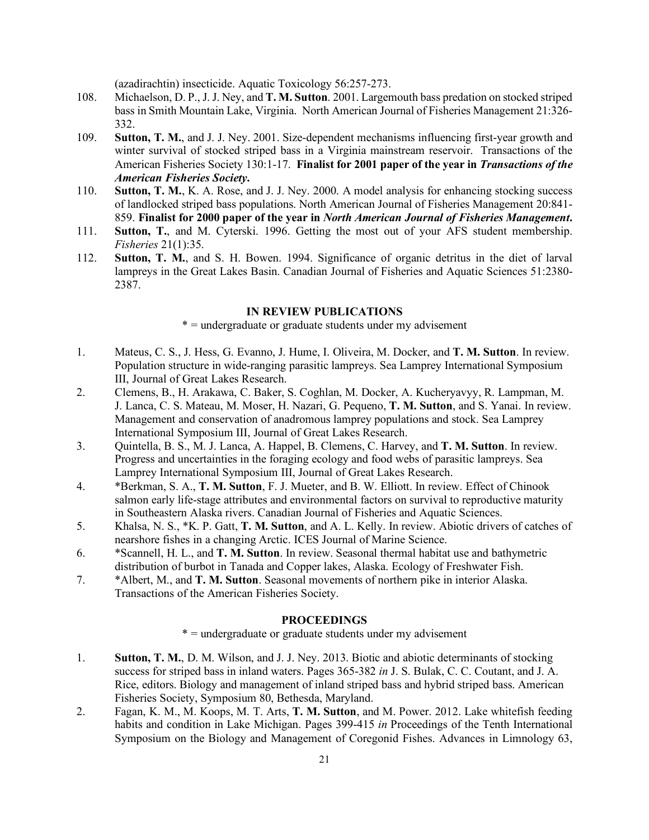(azadirachtin) insecticide. Aquatic Toxicology 56:257-273.

- 108. Michaelson, D. P., J. J. Ney, and **T. M. Sutton**. 2001. Largemouth bass predation on stocked striped bass in Smith Mountain Lake, Virginia. North American Journal of Fisheries Management 21:326- 332.
- 109. **Sutton, T. M.**, and J. J. Ney. 2001. Size-dependent mechanisms influencing first-year growth and winter survival of stocked striped bass in a Virginia mainstream reservoir. Transactions of the American Fisheries Society 130:1-17. **Finalist for 2001 paper of the year in** *Transactions of the American Fisheries Society***.**
- 110. **Sutton, T. M.**, K. A. Rose, and J. J. Ney. 2000. A model analysis for enhancing stocking success of landlocked striped bass populations. North American Journal of Fisheries Management 20:841- 859. **Finalist for 2000 paper of the year in** *North American Journal of Fisheries Management***.**
- 111. **Sutton, T.**, and M. Cyterski. 1996. Getting the most out of your AFS student membership. *Fisheries* 21(1):35.
- 112. **Sutton, T. M.**, and S. H. Bowen. 1994. Significance of organic detritus in the diet of larval lampreys in the Great Lakes Basin. Canadian Journal of Fisheries and Aquatic Sciences 51:2380- 2387.

### **IN REVIEW PUBLICATIONS**

\* = undergraduate or graduate students under my advisement

- 1. Mateus, C. S., J. Hess, G. Evanno, J. Hume, I. Oliveira, M. Docker, and **T. M. Sutton**. In review. Population structure in wide-ranging parasitic lampreys. Sea Lamprey International Symposium III, Journal of Great Lakes Research.
- 2. Clemens, B., H. Arakawa, C. Baker, S. Coghlan, M. Docker, A. Kucheryavyy, R. Lampman, M. J. Lanca, C. S. Mateau, M. Moser, H. Nazari, G. Pequeno, **T. M. Sutton**, and S. Yanai. In review. Management and conservation of anadromous lamprey populations and stock. Sea Lamprey International Symposium III, Journal of Great Lakes Research.
- 3. Quintella, B. S., M. J. Lanca, A. Happel, B. Clemens, C. Harvey, and **T. M. Sutton**. In review. Progress and uncertainties in the foraging ecology and food webs of parasitic lampreys. Sea Lamprey International Symposium III, Journal of Great Lakes Research.
- 4. \*Berkman, S. A., **T. M. Sutton**, F. J. Mueter, and B. W. Elliott. In review. Effect of Chinook salmon early life-stage attributes and environmental factors on survival to reproductive maturity in Southeastern Alaska rivers. Canadian Journal of Fisheries and Aquatic Sciences.
- 5. Khalsa, N. S., \*K. P. Gatt, **T. M. Sutton**, and A. L. Kelly. In review. Abiotic drivers of catches of nearshore fishes in a changing Arctic. ICES Journal of Marine Science.
- 6. \*Scannell, H. L., and **T. M. Sutton**. In review. Seasonal thermal habitat use and bathymetric distribution of burbot in Tanada and Copper lakes, Alaska. Ecology of Freshwater Fish.
- 7. \*Albert, M., and **T. M. Sutton**. Seasonal movements of northern pike in interior Alaska. Transactions of the American Fisheries Society.

### **PROCEEDINGS**

\* = undergraduate or graduate students under my advisement

- 1. **Sutton, T. M.**, D. M. Wilson, and J. J. Ney. 2013. Biotic and abiotic determinants of stocking success for striped bass in inland waters. Pages 365-382 *in* J. S. Bulak, C. C. Coutant, and J. A. Rice, editors. Biology and management of inland striped bass and hybrid striped bass. American Fisheries Society, Symposium 80, Bethesda, Maryland.
- 2. Fagan, K. M., M. Koops, M. T. Arts, **T. M. Sutton**, and M. Power. 2012. Lake whitefish feeding habits and condition in Lake Michigan. Pages 399-415 *in* Proceedings of the Tenth International Symposium on the Biology and Management of Coregonid Fishes. Advances in Limnology 63,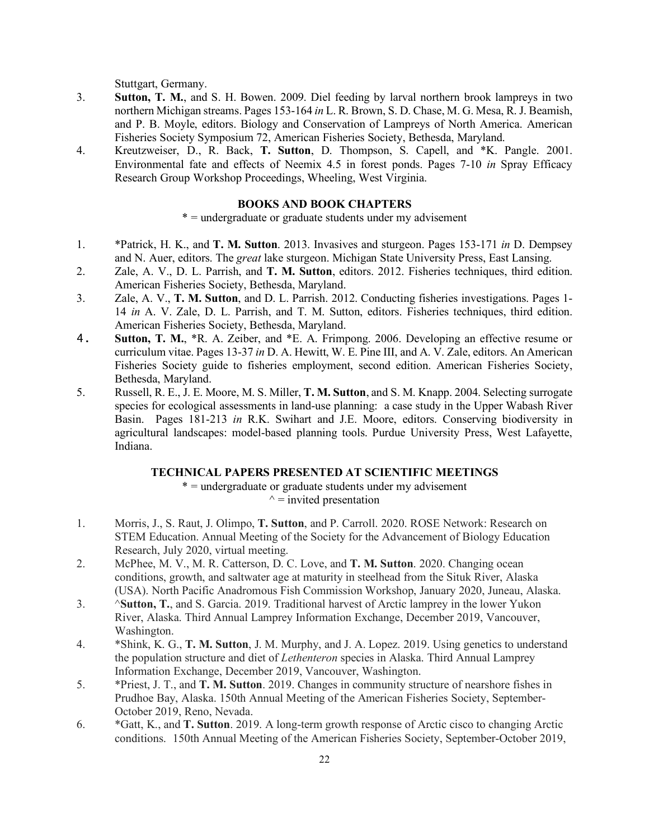Stuttgart, Germany.

- 3. **Sutton, T. M.**, and S. H. Bowen. 2009. Diel feeding by larval northern brook lampreys in two northern Michigan streams. Pages 153-164 *in* L. R. Brown, S. D. Chase, M. G. Mesa, R. J. Beamish, and P. B. Moyle, editors. Biology and Conservation of Lampreys of North America. American Fisheries Society Symposium 72, American Fisheries Society, Bethesda, Maryland.
- 4. Kreutzweiser, D., R. Back, **T. Sutton**, D. Thompson, S. Capell, and \*K. Pangle. 2001. Environmental fate and effects of Neemix 4.5 in forest ponds. Pages 7-10 *in* Spray Efficacy Research Group Workshop Proceedings, Wheeling, West Virginia.

### **BOOKS AND BOOK CHAPTERS**

\* = undergraduate or graduate students under my advisement

- 1. \*Patrick, H. K., and **T. M. Sutton**. 2013. Invasives and sturgeon. Pages 153-171 *in* D. Dempsey and N. Auer, editors. The *great* lake sturgeon. Michigan State University Press, East Lansing.
- 2. Zale, A. V., D. L. Parrish, and **T. M. Sutton**, editors. 2012. Fisheries techniques, third edition. American Fisheries Society, Bethesda, Maryland.
- 3. Zale, A. V., **T. M. Sutton**, and D. L. Parrish. 2012. Conducting fisheries investigations. Pages 1- 14 *in* A. V. Zale, D. L. Parrish, and T. M. Sutton, editors. Fisheries techniques, third edition. American Fisheries Society, Bethesda, Maryland.
- 4. **Sutton, T. M.**, \*R. A. Zeiber, and \*E. A. Frimpong. 2006. Developing an effective resume or curriculum vitae. Pages 13-37 *in* D. A. Hewitt, W. E. Pine III, and A. V. Zale, editors. An American Fisheries Society guide to fisheries employment, second edition. American Fisheries Society, Bethesda, Maryland.
- 5. Russell, R. E., J. E. Moore, M. S. Miller, **T. M. Sutton**, and S. M. Knapp. 2004. Selecting surrogate species for ecological assessments in land-use planning: a case study in the Upper Wabash River Basin. Pages 181-213 *in* R.K. Swihart and J.E. Moore, editors. Conserving biodiversity in agricultural landscapes: model-based planning tools. Purdue University Press, West Lafayette, Indiana.

# **TECHNICAL PAPERS PRESENTED AT SCIENTIFIC MEETINGS**

\* = undergraduate or graduate students under my advisement  $\gamma$  = invited presentation

- 1. Morris, J., S. Raut, J. Olimpo, **T. Sutton**, and P. Carroll. 2020. ROSE Network: Research on STEM Education. Annual Meeting of the Society for the Advancement of Biology Education Research, July 2020, virtual meeting.
- 2. McPhee, M. V., M. R. Catterson, D. C. Love, and **T. M. Sutton**. 2020. Changing ocean conditions, growth, and saltwater age at maturity in steelhead from the Situk River, Alaska (USA). North Pacific Anadromous Fish Commission Workshop, January 2020, Juneau, Alaska.
- 3. ^**Sutton, T.**, and S. Garcia. 2019. Traditional harvest of Arctic lamprey in the lower Yukon River, Alaska. Third Annual Lamprey Information Exchange, December 2019, Vancouver, Washington.
- 4. \*Shink, K. G., **T. M. Sutton**, J. M. Murphy, and J. A. Lopez. 2019. Using genetics to understand the population structure and diet of *Lethenteron* species in Alaska. Third Annual Lamprey Information Exchange, December 2019, Vancouver, Washington.
- 5. \*Priest, J. T., and **T. M. Sutton**. 2019. Changes in community structure of nearshore fishes in Prudhoe Bay, Alaska. 150th Annual Meeting of the American Fisheries Society, September-October 2019, Reno, Nevada.
- 6. \*Gatt, K., and **T. Sutton**. 2019. A long-term growth response of Arctic cisco to changing Arctic conditions. 150th Annual Meeting of the American Fisheries Society, September-October 2019,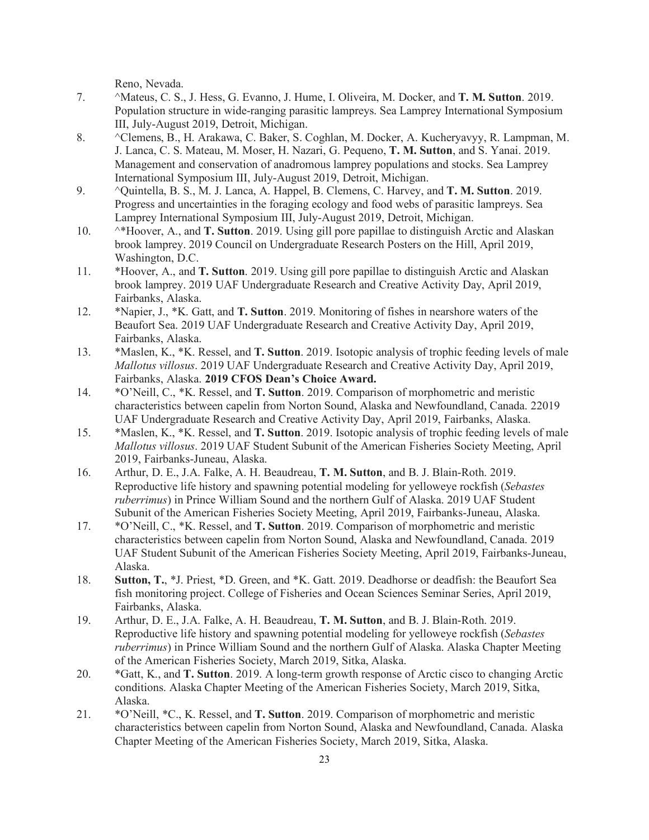Reno, Nevada.

- 7. ^Mateus, C. S., J. Hess, G. Evanno, J. Hume, I. Oliveira, M. Docker, and **T. M. Sutton**. 2019. Population structure in wide-ranging parasitic lampreys. Sea Lamprey International Symposium III, July-August 2019, Detroit, Michigan.
- 8. ^Clemens, B., H. Arakawa, C. Baker, S. Coghlan, M. Docker, A. Kucheryavyy, R. Lampman, M. J. Lanca, C. S. Mateau, M. Moser, H. Nazari, G. Pequeno, **T. M. Sutton**, and S. Yanai. 2019. Management and conservation of anadromous lamprey populations and stocks. Sea Lamprey International Symposium III, July-August 2019, Detroit, Michigan.
- 9. ^Quintella, B. S., M. J. Lanca, A. Happel, B. Clemens, C. Harvey, and **T. M. Sutton**. 2019. Progress and uncertainties in the foraging ecology and food webs of parasitic lampreys. Sea Lamprey International Symposium III, July-August 2019, Detroit, Michigan.
- 10. ^\*Hoover, A., and **T. Sutton**. 2019. Using gill pore papillae to distinguish Arctic and Alaskan brook lamprey. 2019 Council on Undergraduate Research Posters on the Hill, April 2019, Washington, D.C.
- 11. \*Hoover, A., and **T. Sutton**. 2019. Using gill pore papillae to distinguish Arctic and Alaskan brook lamprey. 2019 UAF Undergraduate Research and Creative Activity Day, April 2019, Fairbanks, Alaska.
- 12. \*Napier, J., \*K. Gatt, and **T. Sutton**. 2019. Monitoring of fishes in nearshore waters of the Beaufort Sea. 2019 UAF Undergraduate Research and Creative Activity Day, April 2019, Fairbanks, Alaska.
- 13. \*Maslen, K., \*K. Ressel, and **T. Sutton**. 2019. Isotopic analysis of trophic feeding levels of male *Mallotus villosus*. 2019 UAF Undergraduate Research and Creative Activity Day, April 2019, Fairbanks, Alaska. **2019 CFOS Dean's Choice Award.**
- 14. \*O'Neill, C., \*K. Ressel, and **T. Sutton**. 2019. Comparison of morphometric and meristic characteristics between capelin from Norton Sound, Alaska and Newfoundland, Canada. 22019 UAF Undergraduate Research and Creative Activity Day, April 2019, Fairbanks, Alaska.
- 15. \*Maslen, K., \*K. Ressel, and **T. Sutton**. 2019. Isotopic analysis of trophic feeding levels of male *Mallotus villosus*. 2019 UAF Student Subunit of the American Fisheries Society Meeting, April 2019, Fairbanks-Juneau, Alaska.
- 16. Arthur, D. E., J.A. Falke, A. H. Beaudreau, **T. M. Sutton**, and B. J. Blain-Roth. 2019. Reproductive life history and spawning potential modeling for yelloweye rockfish (*Sebastes ruberrimus*) in Prince William Sound and the northern Gulf of Alaska. 2019 UAF Student Subunit of the American Fisheries Society Meeting, April 2019, Fairbanks-Juneau, Alaska.
- 17. \*O'Neill, C., \*K. Ressel, and **T. Sutton**. 2019. Comparison of morphometric and meristic characteristics between capelin from Norton Sound, Alaska and Newfoundland, Canada. 2019 UAF Student Subunit of the American Fisheries Society Meeting, April 2019, Fairbanks-Juneau, Alaska.
- 18. **Sutton, T.**, \*J. Priest, \*D. Green, and \*K. Gatt. 2019. Deadhorse or deadfish: the Beaufort Sea fish monitoring project. College of Fisheries and Ocean Sciences Seminar Series, April 2019, Fairbanks, Alaska.
- 19. Arthur, D. E., J.A. Falke, A. H. Beaudreau, **T. M. Sutton**, and B. J. Blain-Roth. 2019. Reproductive life history and spawning potential modeling for yelloweye rockfish (*Sebastes ruberrimus*) in Prince William Sound and the northern Gulf of Alaska. Alaska Chapter Meeting of the American Fisheries Society, March 2019, Sitka, Alaska.
- 20. \*Gatt, K., and **T. Sutton**. 2019. A long-term growth response of Arctic cisco to changing Arctic conditions. Alaska Chapter Meeting of the American Fisheries Society, March 2019, Sitka, Alaska.
- 21. \*O'Neill, \*C., K. Ressel, and **T. Sutton**. 2019. Comparison of morphometric and meristic characteristics between capelin from Norton Sound, Alaska and Newfoundland, Canada. Alaska Chapter Meeting of the American Fisheries Society, March 2019, Sitka, Alaska.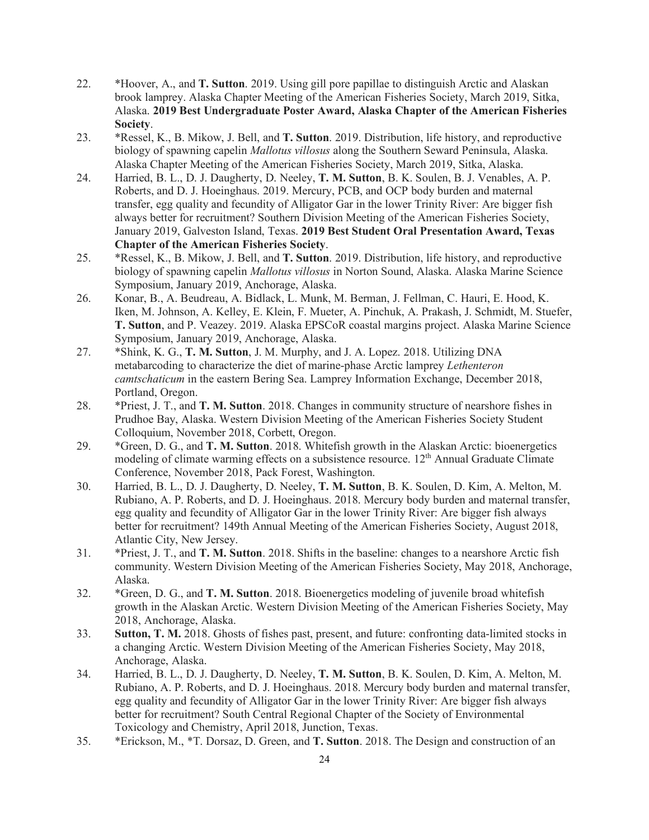- 22. \*Hoover, A., and **T. Sutton**. 2019. Using gill pore papillae to distinguish Arctic and Alaskan brook lamprey. Alaska Chapter Meeting of the American Fisheries Society, March 2019, Sitka, Alaska. **2019 Best Undergraduate Poster Award, Alaska Chapter of the American Fisheries Society**.
- 23. \*Ressel, K., B. Mikow, J. Bell, and **T. Sutton**. 2019. Distribution, life history, and reproductive biology of spawning capelin *Mallotus villosus* along the Southern Seward Peninsula, Alaska. Alaska Chapter Meeting of the American Fisheries Society, March 2019, Sitka, Alaska.
- 24. Harried, B. L., D. J. Daugherty, D. Neeley, **T. M. Sutton**, B. K. Soulen, B. J. Venables, A. P. Roberts, and D. J. Hoeinghaus. 2019. Mercury, PCB, and OCP body burden and maternal transfer, egg quality and fecundity of Alligator Gar in the lower Trinity River: Are bigger fish always better for recruitment? Southern Division Meeting of the American Fisheries Society, January 2019, Galveston Island, Texas. **2019 Best Student Oral Presentation Award, Texas Chapter of the American Fisheries Society**.
- 25. \*Ressel, K., B. Mikow, J. Bell, and **T. Sutton**. 2019. Distribution, life history, and reproductive biology of spawning capelin *Mallotus villosus* in Norton Sound, Alaska. Alaska Marine Science Symposium, January 2019, Anchorage, Alaska.
- 26. Konar, B., A. Beudreau, A. Bidlack, L. Munk, M. Berman, J. Fellman, C. Hauri, E. Hood, K. Iken, M. Johnson, A. Kelley, E. Klein, F. Mueter, A. Pinchuk, A. Prakash, J. Schmidt, M. Stuefer, **T. Sutton**, and P. Veazey. 2019. Alaska EPSCoR coastal margins project. Alaska Marine Science Symposium, January 2019, Anchorage, Alaska.
- 27. \*Shink, K. G., **T. M. Sutton**, J. M. Murphy, and J. A. Lopez. 2018. Utilizing DNA metabarcoding to characterize the diet of marine-phase Arctic lamprey *Lethenteron camtschaticum* in the eastern Bering Sea. Lamprey Information Exchange, December 2018, Portland, Oregon.
- 28. \*Priest, J. T., and **T. M. Sutton**. 2018. Changes in community structure of nearshore fishes in Prudhoe Bay, Alaska. Western Division Meeting of the American Fisheries Society Student Colloquium, November 2018, Corbett, Oregon.
- 29. \*Green, D. G., and **T. M. Sutton**. 2018. Whitefish growth in the Alaskan Arctic: bioenergetics modeling of climate warming effects on a subsistence resource. 12<sup>th</sup> Annual Graduate Climate Conference, November 2018, Pack Forest, Washington.
- 30. Harried, B. L., D. J. Daugherty, D. Neeley, **T. M. Sutton**, B. K. Soulen, D. Kim, A. Melton, M. Rubiano, A. P. Roberts, and D. J. Hoeinghaus. 2018. Mercury body burden and maternal transfer, egg quality and fecundity of Alligator Gar in the lower Trinity River: Are bigger fish always better for recruitment? 149th Annual Meeting of the American Fisheries Society, August 2018, Atlantic City, New Jersey.
- 31. \*Priest, J. T., and **T. M. Sutton**. 2018. Shifts in the baseline: changes to a nearshore Arctic fish community. Western Division Meeting of the American Fisheries Society, May 2018, Anchorage, Alaska.
- 32. \*Green, D. G., and **T. M. Sutton**. 2018. Bioenergetics modeling of juvenile broad whitefish growth in the Alaskan Arctic. Western Division Meeting of the American Fisheries Society, May 2018, Anchorage, Alaska.
- 33. **Sutton, T. M.** 2018. Ghosts of fishes past, present, and future: confronting data-limited stocks in a changing Arctic. Western Division Meeting of the American Fisheries Society, May 2018, Anchorage, Alaska.
- 34. Harried, B. L., D. J. Daugherty, D. Neeley, **T. M. Sutton**, B. K. Soulen, D. Kim, A. Melton, M. Rubiano, A. P. Roberts, and D. J. Hoeinghaus. 2018. Mercury body burden and maternal transfer, egg quality and fecundity of Alligator Gar in the lower Trinity River: Are bigger fish always better for recruitment? South Central Regional Chapter of the Society of Environmental Toxicology and Chemistry, April 2018, Junction, Texas.
- 35. \*Erickson, M., \*T. Dorsaz, D. Green, and **T. Sutton**. 2018. The Design and construction of an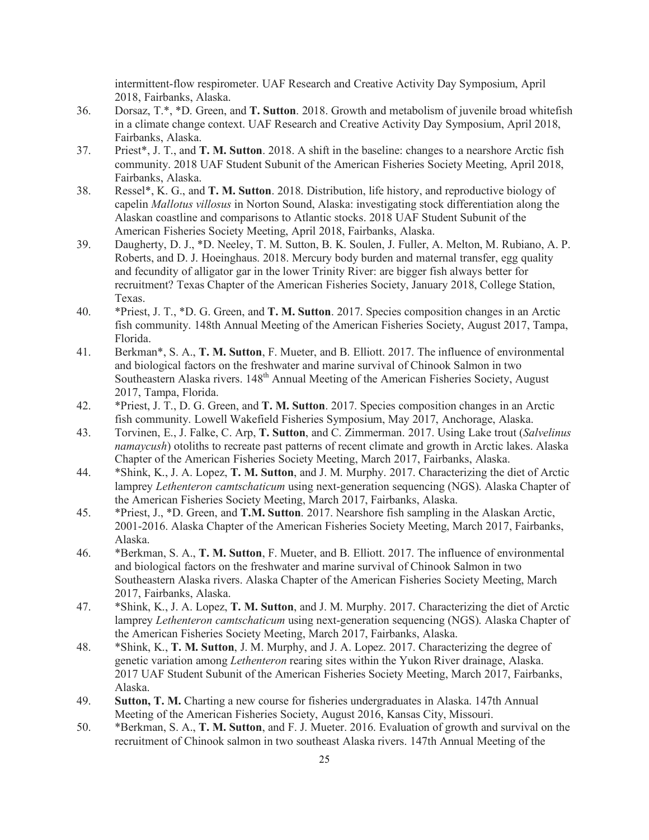intermittent-flow respirometer. UAF Research and Creative Activity Day Symposium, April 2018, Fairbanks, Alaska.

- 36. Dorsaz, T.\*, \*D. Green, and **T. Sutton**. 2018. Growth and metabolism of juvenile broad whitefish in a climate change context. UAF Research and Creative Activity Day Symposium, April 2018, Fairbanks, Alaska.
- 37. Priest\*, J. T., and **T. M. Sutton**. 2018. A shift in the baseline: changes to a nearshore Arctic fish community. 2018 UAF Student Subunit of the American Fisheries Society Meeting, April 2018, Fairbanks, Alaska.
- 38. Ressel\*, K. G., and **T. M. Sutton**. 2018. Distribution, life history, and reproductive biology of capelin *Mallotus villosus* in Norton Sound, Alaska: investigating stock differentiation along the Alaskan coastline and comparisons to Atlantic stocks. 2018 UAF Student Subunit of the American Fisheries Society Meeting, April 2018, Fairbanks, Alaska.
- 39. Daugherty, D. J., \*D. Neeley, T. M. Sutton, B. K. Soulen, J. Fuller, A. Melton, M. Rubiano, A. P. Roberts, and D. J. Hoeinghaus. 2018. Mercury body burden and maternal transfer, egg quality and fecundity of alligator gar in the lower Trinity River: are bigger fish always better for recruitment? Texas Chapter of the American Fisheries Society, January 2018, College Station, Texas.
- 40. \*Priest, J. T., \*D. G. Green, and **T. M. Sutton**. 2017. Species composition changes in an Arctic fish community. 148th Annual Meeting of the American Fisheries Society, August 2017, Tampa, Florida.
- 41. Berkman\*, S. A., **T. M. Sutton**, F. Mueter, and B. Elliott. 2017. The influence of environmental and biological factors on the freshwater and marine survival of Chinook Salmon in two Southeastern Alaska rivers. 148<sup>th</sup> Annual Meeting of the American Fisheries Society, August 2017, Tampa, Florida.
- 42. \*Priest, J. T., D. G. Green, and **T. M. Sutton**. 2017. Species composition changes in an Arctic fish community. Lowell Wakefield Fisheries Symposium, May 2017, Anchorage, Alaska.
- 43. Torvinen, E., J. Falke, C. Arp, **T. Sutton**, and C. Zimmerman. 2017. Using Lake trout (*Salvelinus namaycush*) otoliths to recreate past patterns of recent climate and growth in Arctic lakes. Alaska Chapter of the American Fisheries Society Meeting, March 2017, Fairbanks, Alaska.
- 44. \*Shink, K., J. A. Lopez, **T. M. Sutton**, and J. M. Murphy. 2017. Characterizing the diet of Arctic lamprey *Lethenteron camtschaticum* using next-generation sequencing (NGS). Alaska Chapter of the American Fisheries Society Meeting, March 2017, Fairbanks, Alaska.
- 45. \*Priest, J., \*D. Green, and **T.M. Sutton**. 2017. Nearshore fish sampling in the Alaskan Arctic, 2001-2016. Alaska Chapter of the American Fisheries Society Meeting, March 2017, Fairbanks, Alaska.
- 46. \*Berkman, S. A., **T. M. Sutton**, F. Mueter, and B. Elliott. 2017. The influence of environmental and biological factors on the freshwater and marine survival of Chinook Salmon in two Southeastern Alaska rivers. Alaska Chapter of the American Fisheries Society Meeting, March 2017, Fairbanks, Alaska.
- 47. \*Shink, K., J. A. Lopez, **T. M. Sutton**, and J. M. Murphy. 2017. Characterizing the diet of Arctic lamprey *Lethenteron camtschaticum* using next-generation sequencing (NGS). Alaska Chapter of the American Fisheries Society Meeting, March 2017, Fairbanks, Alaska.
- 48. \*Shink, K., **T. M. Sutton**, J. M. Murphy, and J. A. Lopez. 2017. Characterizing the degree of genetic variation among *Lethenteron* rearing sites within the Yukon River drainage, Alaska. 2017 UAF Student Subunit of the American Fisheries Society Meeting, March 2017, Fairbanks, Alaska.
- 49. **Sutton, T. M.** Charting a new course for fisheries undergraduates in Alaska. 147th Annual Meeting of the American Fisheries Society, August 2016, Kansas City, Missouri.
- 50. \*Berkman, S. A., **T. M. Sutton**, and F. J. Mueter. 2016. Evaluation of growth and survival on the recruitment of Chinook salmon in two southeast Alaska rivers. 147th Annual Meeting of the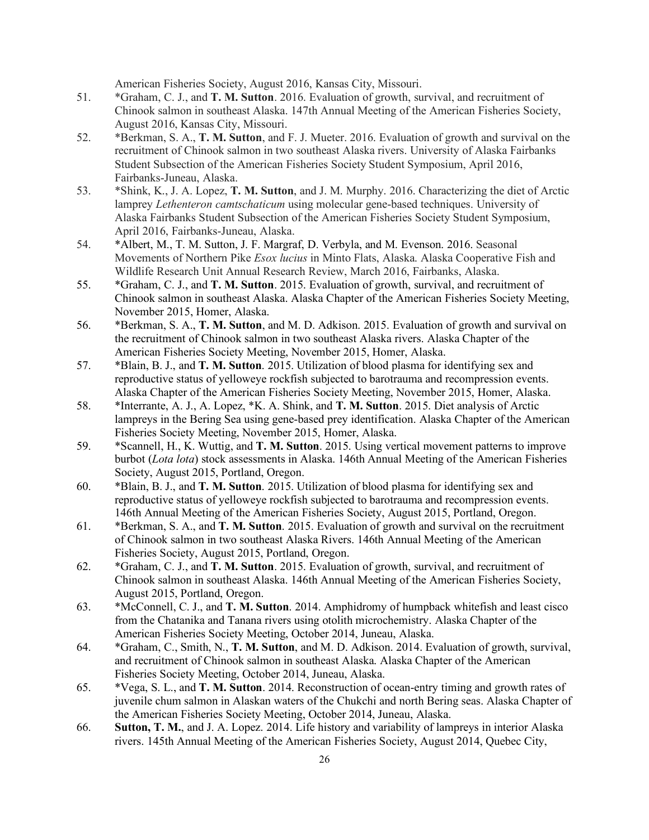American Fisheries Society, August 2016, Kansas City, Missouri.

- 51. \*Graham, C. J., and **T. M. Sutton**. 2016. Evaluation of growth, survival, and recruitment of Chinook salmon in southeast Alaska. 147th Annual Meeting of the American Fisheries Society, August 2016, Kansas City, Missouri.
- 52. \*Berkman, S. A., **T. M. Sutton**, and F. J. Mueter. 2016. Evaluation of growth and survival on the recruitment of Chinook salmon in two southeast Alaska rivers. University of Alaska Fairbanks Student Subsection of the American Fisheries Society Student Symposium, April 2016, Fairbanks-Juneau, Alaska.
- 53. \*Shink, K., J. A. Lopez, **T. M. Sutton**, and J. M. Murphy. 2016. Characterizing the diet of Arctic lamprey *Lethenteron camtschaticum* using molecular gene-based techniques. University of Alaska Fairbanks Student Subsection of the American Fisheries Society Student Symposium, April 2016, Fairbanks-Juneau, Alaska.
- 54. \*Albert, M., T. M. Sutton, J. F. Margraf, D. Verbyla, and M. Evenson. 2016. Seasonal Movements of Northern Pike *Esox lucius* in Minto Flats, Alaska. Alaska Cooperative Fish and Wildlife Research Unit Annual Research Review, March 2016, Fairbanks, Alaska.
- 55. \*Graham, C. J., and **T. M. Sutton**. 2015. Evaluation of growth, survival, and recruitment of Chinook salmon in southeast Alaska. Alaska Chapter of the American Fisheries Society Meeting, November 2015, Homer, Alaska.
- 56. \*Berkman, S. A., **T. M. Sutton**, and M. D. Adkison. 2015. Evaluation of growth and survival on the recruitment of Chinook salmon in two southeast Alaska rivers. Alaska Chapter of the American Fisheries Society Meeting, November 2015, Homer, Alaska.
- 57. \*Blain, B. J., and **T. M. Sutton**. 2015. Utilization of blood plasma for identifying sex and reproductive status of yelloweye rockfish subjected to barotrauma and recompression events. Alaska Chapter of the American Fisheries Society Meeting, November 2015, Homer, Alaska.
- 58. \*Interrante, A. J., A. Lopez, \*K. A. Shink, and **T. M. Sutton**. 2015. Diet analysis of Arctic lampreys in the Bering Sea using gene-based prey identification. Alaska Chapter of the American Fisheries Society Meeting, November 2015, Homer, Alaska.
- 59. \*Scannell, H., K. Wuttig, and **T. M. Sutton**. 2015. Using vertical movement patterns to improve burbot (*Lota lota*) stock assessments in Alaska. 146th Annual Meeting of the American Fisheries Society, August 2015, Portland, Oregon.
- 60. \*Blain, B. J., and **T. M. Sutton**. 2015. Utilization of blood plasma for identifying sex and reproductive status of yelloweye rockfish subjected to barotrauma and recompression events. 146th Annual Meeting of the American Fisheries Society, August 2015, Portland, Oregon.
- 61. \*Berkman, S. A., and **T. M. Sutton**. 2015. Evaluation of growth and survival on the recruitment of Chinook salmon in two southeast Alaska Rivers. 146th Annual Meeting of the American Fisheries Society, August 2015, Portland, Oregon.
- 62. \*Graham, C. J., and **T. M. Sutton**. 2015. Evaluation of growth, survival, and recruitment of Chinook salmon in southeast Alaska. 146th Annual Meeting of the American Fisheries Society, August 2015, Portland, Oregon.
- 63. \*McConnell, C. J., and **T. M. Sutton**. 2014. Amphidromy of humpback whitefish and least cisco from the Chatanika and Tanana rivers using otolith microchemistry. Alaska Chapter of the American Fisheries Society Meeting, October 2014, Juneau, Alaska.
- 64. \*Graham, C., Smith, N., **T. M. Sutton**, and M. D. Adkison. 2014. Evaluation of growth, survival, and recruitment of Chinook salmon in southeast Alaska. Alaska Chapter of the American Fisheries Society Meeting, October 2014, Juneau, Alaska.
- 65. \*Vega, S. L., and **T. M. Sutton**. 2014. Reconstruction of ocean-entry timing and growth rates of juvenile chum salmon in Alaskan waters of the Chukchi and north Bering seas. Alaska Chapter of the American Fisheries Society Meeting, October 2014, Juneau, Alaska.
- 66. **Sutton, T. M.**, and J. A. Lopez. 2014. Life history and variability of lampreys in interior Alaska rivers. 145th Annual Meeting of the American Fisheries Society, August 2014, Quebec City,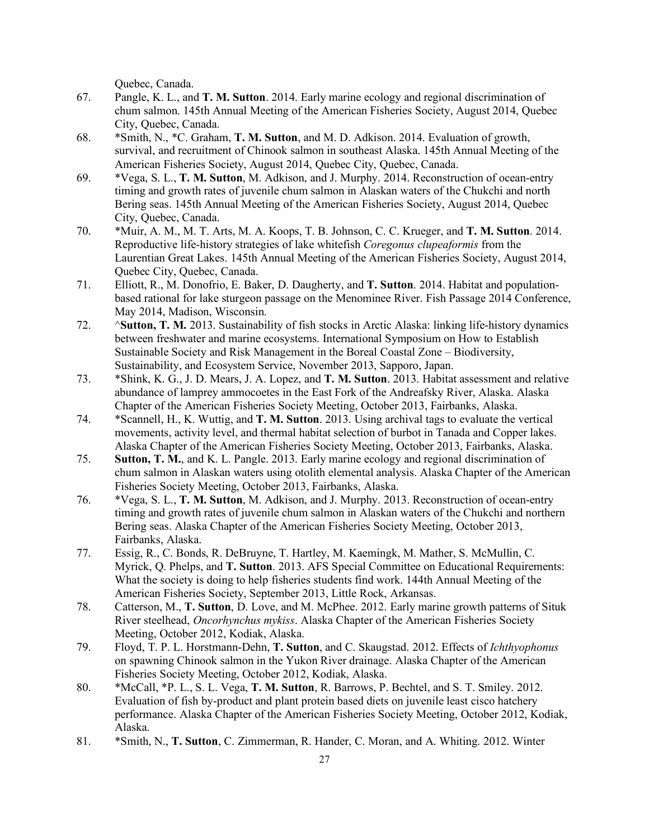Quebec, Canada.

- 67. Pangle, K. L., and **T. M. Sutton**. 2014. Early marine ecology and regional discrimination of chum salmon. 145th Annual Meeting of the American Fisheries Society, August 2014, Quebec City, Quebec, Canada.
- 68. \*Smith, N., \*C. Graham, **T. M. Sutton**, and M. D. Adkison. 2014. Evaluation of growth, survival, and recruitment of Chinook salmon in southeast Alaska. 145th Annual Meeting of the American Fisheries Society, August 2014, Quebec City, Quebec, Canada.
- 69. \*Vega, S. L., **T. M. Sutton**, M. Adkison, and J. Murphy. 2014. Reconstruction of ocean-entry timing and growth rates of juvenile chum salmon in Alaskan waters of the Chukchi and north Bering seas. 145th Annual Meeting of the American Fisheries Society, August 2014, Quebec City, Quebec, Canada.
- 70. \*Muir, A. M., M. T. Arts, M. A. Koops, T. B. Johnson, C. C. Krueger, and **T. M. Sutton**. 2014. Reproductive life-history strategies of lake whitefish *Coregonus clupeaformis* from the Laurentian Great Lakes. 145th Annual Meeting of the American Fisheries Society, August 2014, Quebec City, Quebec, Canada.
- 71. Elliott, R., M. Donofrio, E. Baker, D. Daugherty, and **T. Sutton**. 2014. Habitat and populationbased rational for lake sturgeon passage on the Menominee River. Fish Passage 2014 Conference, May 2014, Madison, Wisconsin.
- 72. ^**Sutton, T. M.** 2013. Sustainability of fish stocks in Arctic Alaska: linking life-history dynamics between freshwater and marine ecosystems. International Symposium on How to Establish Sustainable Society and Risk Management in the Boreal Coastal Zone – Biodiversity, Sustainability, and Ecosystem Service, November 2013, Sapporo, Japan.
- 73. \*Shink, K. G., J. D. Mears, J. A. Lopez, and **T. M. Sutton**. 2013. Habitat assessment and relative abundance of lamprey ammocoetes in the East Fork of the Andreafsky River, Alaska. Alaska Chapter of the American Fisheries Society Meeting, October 2013, Fairbanks, Alaska.
- 74. \*Scannell, H., K. Wuttig, and **T. M. Sutton**. 2013. Using archival tags to evaluate the vertical movements, activity level, and thermal habitat selection of burbot in Tanada and Copper lakes. Alaska Chapter of the American Fisheries Society Meeting, October 2013, Fairbanks, Alaska.
- 75. **Sutton, T. M.**, and K. L. Pangle. 2013. Early marine ecology and regional discrimination of chum salmon in Alaskan waters using otolith elemental analysis. Alaska Chapter of the American Fisheries Society Meeting, October 2013, Fairbanks, Alaska.
- 76. \*Vega, S. L., **T. M. Sutton**, M. Adkison, and J. Murphy. 2013. Reconstruction of ocean-entry timing and growth rates of juvenile chum salmon in Alaskan waters of the Chukchi and northern Bering seas. Alaska Chapter of the American Fisheries Society Meeting, October 2013, Fairbanks, Alaska.
- 77. Essig, R., C. Bonds, R. DeBruyne, T. Hartley, M. Kaemingk, M. Mather, S. McMullin, C. Myrick, Q. Phelps, and **T. Sutton**. 2013. AFS Special Committee on Educational Requirements: What the society is doing to help fisheries students find work. 144th Annual Meeting of the American Fisheries Society, September 2013, Little Rock, Arkansas.
- 78. Catterson, M., **T. Sutton**, D. Love, and M. McPhee. 2012. Early marine growth patterns of Situk River steelhead, *Oncorhynchus mykiss*. Alaska Chapter of the American Fisheries Society Meeting, October 2012, Kodiak, Alaska.
- 79. Floyd, T. P. L. Horstmann-Dehn, **T. Sutton**, and C. Skaugstad. 2012. Effects of *Ichthyophonus* on spawning Chinook salmon in the Yukon River drainage. Alaska Chapter of the American Fisheries Society Meeting, October 2012, Kodiak, Alaska.
- 80. \*McCall, \*P. L., S. L. Vega, **T. M. Sutton**, R. Barrows, P. Bechtel, and S. T. Smiley. 2012. Evaluation of fish by-product and plant protein based diets on juvenile least cisco hatchery performance. Alaska Chapter of the American Fisheries Society Meeting, October 2012, Kodiak, Alaska.
- 81. \*Smith, N., **T. Sutton**, C. Zimmerman, R. Hander, C. Moran, and A. Whiting. 2012. Winter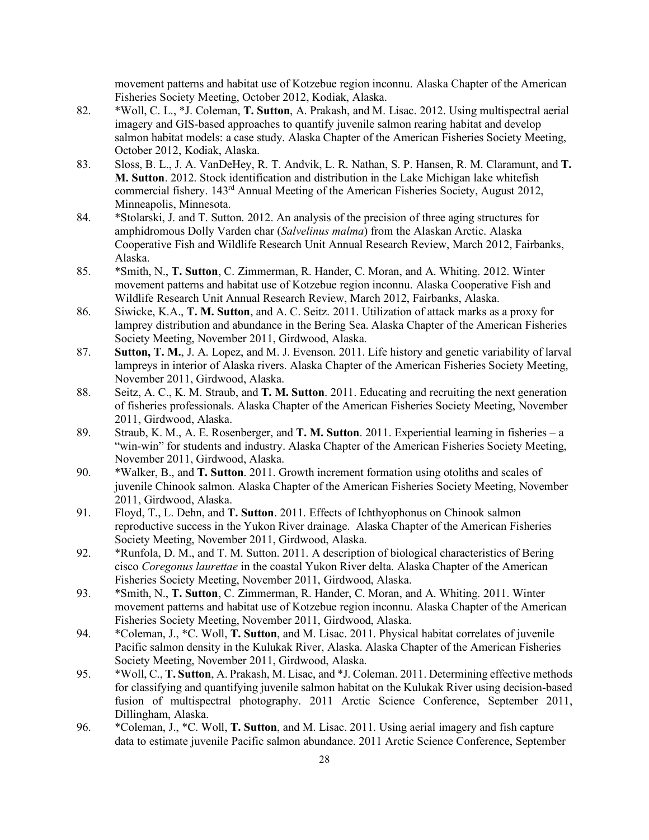movement patterns and habitat use of Kotzebue region inconnu. Alaska Chapter of the American Fisheries Society Meeting, October 2012, Kodiak, Alaska.

- 82. \*Woll, C. L., \*J. Coleman, **T. Sutton**, A. Prakash, and M. Lisac. 2012. Using multispectral aerial imagery and GIS-based approaches to quantify juvenile salmon rearing habitat and develop salmon habitat models: a case study. Alaska Chapter of the American Fisheries Society Meeting, October 2012, Kodiak, Alaska.
- 83. Sloss, B. L., J. A. VanDeHey, R. T. Andvik, L. R. Nathan, S. P. Hansen, R. M. Claramunt, and **T. M. Sutton**. 2012. Stock identification and distribution in the Lake Michigan lake whitefish commercial fishery. 143rd Annual Meeting of the American Fisheries Society, August 2012, Minneapolis, Minnesota.
- 84. \*Stolarski, J. and T. Sutton. 2012. An analysis of the precision of three aging structures for amphidromous Dolly Varden char (*Salvelinus malma*) from the Alaskan Arctic. Alaska Cooperative Fish and Wildlife Research Unit Annual Research Review, March 2012, Fairbanks, Alaska.
- 85. \*Smith, N., **T. Sutton**, C. Zimmerman, R. Hander, C. Moran, and A. Whiting. 2012. Winter movement patterns and habitat use of Kotzebue region inconnu. Alaska Cooperative Fish and Wildlife Research Unit Annual Research Review, March 2012, Fairbanks, Alaska.
- 86. Siwicke, K.A., **T. M. Sutton**, and A. C. Seitz. 2011. Utilization of attack marks as a proxy for lamprey distribution and abundance in the Bering Sea. Alaska Chapter of the American Fisheries Society Meeting, November 2011, Girdwood, Alaska.
- 87. **Sutton, T. M.**, J. A. Lopez, and M. J. Evenson. 2011. Life history and genetic variability of larval lampreys in interior of Alaska rivers. Alaska Chapter of the American Fisheries Society Meeting, November 2011, Girdwood, Alaska.
- 88. Seitz, A. C., K. M. Straub, and **T. M. Sutton**. 2011. Educating and recruiting the next generation of fisheries professionals. Alaska Chapter of the American Fisheries Society Meeting, November 2011, Girdwood, Alaska.
- 89. Straub, K. M., A. E. Rosenberger, and **T. M. Sutton**. 2011. Experiential learning in fisheries a "win-win" for students and industry. Alaska Chapter of the American Fisheries Society Meeting, November 2011, Girdwood, Alaska.
- 90. \*Walker, B., and **T. Sutton**. 2011. Growth increment formation using otoliths and scales of juvenile Chinook salmon. Alaska Chapter of the American Fisheries Society Meeting, November 2011, Girdwood, Alaska.
- 91. Floyd, T., L. Dehn, and **T. Sutton**. 2011. Effects of Ichthyophonus on Chinook salmon reproductive success in the Yukon River drainage. Alaska Chapter of the American Fisheries Society Meeting, November 2011, Girdwood, Alaska.
- 92. \*Runfola, D. M., and T. M. Sutton. 2011. A description of biological characteristics of Bering cisco *Coregonus laurettae* in the coastal Yukon River delta. Alaska Chapter of the American Fisheries Society Meeting, November 2011, Girdwood, Alaska.
- 93. \*Smith, N., **T. Sutton**, C. Zimmerman, R. Hander, C. Moran, and A. Whiting. 2011. Winter movement patterns and habitat use of Kotzebue region inconnu. Alaska Chapter of the American Fisheries Society Meeting, November 2011, Girdwood, Alaska.
- 94. \*Coleman, J., \*C. Woll, **T. Sutton**, and M. Lisac. 2011. Physical habitat correlates of juvenile Pacific salmon density in the Kulukak River, Alaska. Alaska Chapter of the American Fisheries Society Meeting, November 2011, Girdwood, Alaska.
- 95. \*Woll, C., **T. Sutton**, A. Prakash, M. Lisac, and \*J. Coleman. 2011. Determining effective methods for classifying and quantifying juvenile salmon habitat on the Kulukak River using decision-based fusion of multispectral photography. 2011 Arctic Science Conference, September 2011, Dillingham, Alaska.
- 96. \*Coleman, J., \*C. Woll, **T. Sutton**, and M. Lisac. 2011. Using aerial imagery and fish capture data to estimate juvenile Pacific salmon abundance. 2011 Arctic Science Conference, September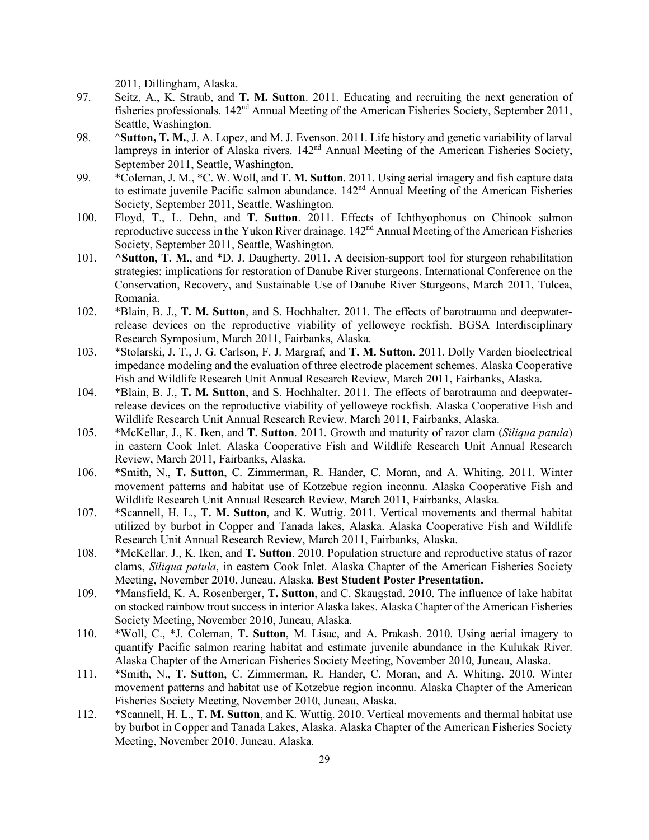2011, Dillingham, Alaska.

- 97. Seitz, A., K. Straub, and **T. M. Sutton**. 2011. Educating and recruiting the next generation of fisheries professionals.  $142<sup>nd</sup>$  Annual Meeting of the American Fisheries Society, September 2011, Seattle, Washington.
- 98. ^**Sutton, T. M.**, J. A. Lopez, and M. J. Evenson. 2011. Life history and genetic variability of larval lampreys in interior of Alaska rivers. 142<sup>nd</sup> Annual Meeting of the American Fisheries Society, September 2011, Seattle, Washington.
- 99. \*Coleman, J. M., \*C. W. Woll, and **T. M. Sutton**. 2011. Using aerial imagery and fish capture data to estimate juvenile Pacific salmon abundance.  $142<sup>nd</sup>$  Annual Meeting of the American Fisheries Society, September 2011, Seattle, Washington.
- 100. Floyd, T., L. Dehn, and **T. Sutton**. 2011. Effects of Ichthyophonus on Chinook salmon reproductive success in the Yukon River drainage. 142<sup>nd</sup> Annual Meeting of the American Fisheries Society, September 2011, Seattle, Washington.
- 101. **^Sutton, T. M.**, and \*D. J. Daugherty. 2011. A decision-support tool for sturgeon rehabilitation strategies: implications for restoration of Danube River sturgeons. International Conference on the Conservation, Recovery, and Sustainable Use of Danube River Sturgeons, March 2011, Tulcea, Romania.
- 102. \*Blain, B. J., **T. M. Sutton**, and S. Hochhalter. 2011. The effects of barotrauma and deepwaterrelease devices on the reproductive viability of yelloweye rockfish. BGSA Interdisciplinary Research Symposium, March 2011, Fairbanks, Alaska.
- 103. \*Stolarski, J. T., J. G. Carlson, F. J. Margraf, and **T. M. Sutton**. 2011. Dolly Varden bioelectrical impedance modeling and the evaluation of three electrode placement schemes. Alaska Cooperative Fish and Wildlife Research Unit Annual Research Review, March 2011, Fairbanks, Alaska.
- 104. \*Blain, B. J., **T. M. Sutton**, and S. Hochhalter. 2011. The effects of barotrauma and deepwaterrelease devices on the reproductive viability of yelloweye rockfish. Alaska Cooperative Fish and Wildlife Research Unit Annual Research Review, March 2011, Fairbanks, Alaska.
- 105. \*McKellar, J., K. Iken, and **T. Sutton**. 2011. Growth and maturity of razor clam (*Siliqua patula*) in eastern Cook Inlet. Alaska Cooperative Fish and Wildlife Research Unit Annual Research Review, March 2011, Fairbanks, Alaska.
- 106. \*Smith, N., **T. Sutton**, C. Zimmerman, R. Hander, C. Moran, and A. Whiting. 2011. Winter movement patterns and habitat use of Kotzebue region inconnu. Alaska Cooperative Fish and Wildlife Research Unit Annual Research Review, March 2011, Fairbanks, Alaska.
- 107. \*Scannell, H. L., **T. M. Sutton**, and K. Wuttig. 2011. Vertical movements and thermal habitat utilized by burbot in Copper and Tanada lakes, Alaska. Alaska Cooperative Fish and Wildlife Research Unit Annual Research Review, March 2011, Fairbanks, Alaska.
- 108. \*McKellar, J., K. Iken, and **T. Sutton**. 2010. Population structure and reproductive status of razor clams, *Siliqua patula*, in eastern Cook Inlet. Alaska Chapter of the American Fisheries Society Meeting, November 2010, Juneau, Alaska. **Best Student Poster Presentation.**
- 109. \*Mansfield, K. A. Rosenberger, **T. Sutton**, and C. Skaugstad. 2010. The influence of lake habitat on stocked rainbow trout success in interior Alaska lakes. Alaska Chapter of the American Fisheries Society Meeting, November 2010, Juneau, Alaska.
- 110. \*Woll, C., \*J. Coleman, **T. Sutton**, M. Lisac, and A. Prakash. 2010. Using aerial imagery to quantify Pacific salmon rearing habitat and estimate juvenile abundance in the Kulukak River. Alaska Chapter of the American Fisheries Society Meeting, November 2010, Juneau, Alaska.
- 111. \*Smith, N., **T. Sutton**, C. Zimmerman, R. Hander, C. Moran, and A. Whiting. 2010. Winter movement patterns and habitat use of Kotzebue region inconnu. Alaska Chapter of the American Fisheries Society Meeting, November 2010, Juneau, Alaska.
- 112. \*Scannell, H. L., **T. M. Sutton**, and K. Wuttig. 2010. Vertical movements and thermal habitat use by burbot in Copper and Tanada Lakes, Alaska. Alaska Chapter of the American Fisheries Society Meeting, November 2010, Juneau, Alaska.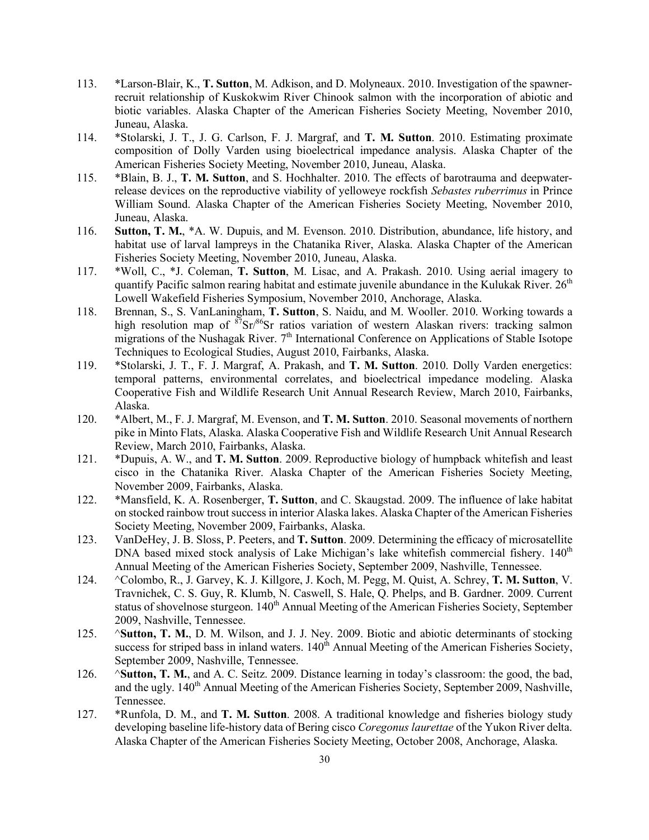- 113. \*Larson-Blair, K., **T. Sutton**, M. Adkison, and D. Molyneaux. 2010. Investigation of the spawnerrecruit relationship of Kuskokwim River Chinook salmon with the incorporation of abiotic and biotic variables. Alaska Chapter of the American Fisheries Society Meeting, November 2010, Juneau, Alaska.
- 114. \*Stolarski, J. T., J. G. Carlson, F. J. Margraf, and **T. M. Sutton**. 2010. Estimating proximate composition of Dolly Varden using bioelectrical impedance analysis. Alaska Chapter of the American Fisheries Society Meeting, November 2010, Juneau, Alaska.
- 115. \*Blain, B. J., **T. M. Sutton**, and S. Hochhalter. 2010. The effects of barotrauma and deepwaterrelease devices on the reproductive viability of yelloweye rockfish *Sebastes ruberrimus* in Prince William Sound. Alaska Chapter of the American Fisheries Society Meeting, November 2010, Juneau, Alaska.
- 116. **Sutton, T. M.**, \*A. W. Dupuis, and M. Evenson. 2010. Distribution, abundance, life history, and habitat use of larval lampreys in the Chatanika River, Alaska. Alaska Chapter of the American Fisheries Society Meeting, November 2010, Juneau, Alaska.
- 117. \*Woll, C., \*J. Coleman, **T. Sutton**, M. Lisac, and A. Prakash. 2010. Using aerial imagery to quantify Pacific salmon rearing habitat and estimate juvenile abundance in the Kulukak River.  $26<sup>th</sup>$ Lowell Wakefield Fisheries Symposium, November 2010, Anchorage, Alaska.
- 118. Brennan, S., S. VanLaningham, **T. Sutton**, S. Naidu, and M. Wooller. 2010. Working towards a high resolution map of  $87$ Sr/ $86$ Sr ratios variation of western Alaskan rivers: tracking salmon migrations of the Nushagak River.  $7<sup>th</sup>$  International Conference on Applications of Stable Isotope Techniques to Ecological Studies, August 2010, Fairbanks, Alaska.
- 119. \*Stolarski, J. T., F. J. Margraf, A. Prakash, and **T. M. Sutton**. 2010. Dolly Varden energetics: temporal patterns, environmental correlates, and bioelectrical impedance modeling. Alaska Cooperative Fish and Wildlife Research Unit Annual Research Review, March 2010, Fairbanks, Alaska.
- 120. \*Albert, M., F. J. Margraf, M. Evenson, and **T. M. Sutton**. 2010. Seasonal movements of northern pike in Minto Flats, Alaska. Alaska Cooperative Fish and Wildlife Research Unit Annual Research Review, March 2010, Fairbanks, Alaska.
- 121. \*Dupuis, A. W., and **T. M. Sutton**. 2009. Reproductive biology of humpback whitefish and least cisco in the Chatanika River. Alaska Chapter of the American Fisheries Society Meeting, November 2009, Fairbanks, Alaska.
- 122. \*Mansfield, K. A. Rosenberger, **T. Sutton**, and C. Skaugstad. 2009. The influence of lake habitat on stocked rainbow trout success in interior Alaska lakes. Alaska Chapter of the American Fisheries Society Meeting, November 2009, Fairbanks, Alaska.
- 123. VanDeHey, J. B. Sloss, P. Peeters, and **T. Sutton**. 2009. Determining the efficacy of microsatellite DNA based mixed stock analysis of Lake Michigan's lake whitefish commercial fishery.  $140<sup>th</sup>$ Annual Meeting of the American Fisheries Society, September 2009, Nashville, Tennessee.
- 124. ^Colombo, R., J. Garvey, K. J. Killgore, J. Koch, M. Pegg, M. Quist, A. Schrey, **T. M. Sutton**, V. Travnichek, C. S. Guy, R. Klumb, N. Caswell, S. Hale, Q. Phelps, and B. Gardner. 2009. Current status of shovelnose sturgeon. 140<sup>th</sup> Annual Meeting of the American Fisheries Society, September 2009, Nashville, Tennessee.
- 125. ^**Sutton, T. M.**, D. M. Wilson, and J. J. Ney. 2009. Biotic and abiotic determinants of stocking success for striped bass in inland waters. 140<sup>th</sup> Annual Meeting of the American Fisheries Society, September 2009, Nashville, Tennessee.
- 126. ^**Sutton, T. M.**, and A. C. Seitz. 2009. Distance learning in today's classroom: the good, the bad, and the ugly.  $140<sup>th</sup>$  Annual Meeting of the American Fisheries Society, September 2009, Nashville, Tennessee.
- 127. \*Runfola, D. M., and **T. M. Sutton**. 2008. A traditional knowledge and fisheries biology study developing baseline life-history data of Bering cisco *Coregonus laurettae* of the Yukon River delta. Alaska Chapter of the American Fisheries Society Meeting, October 2008, Anchorage, Alaska.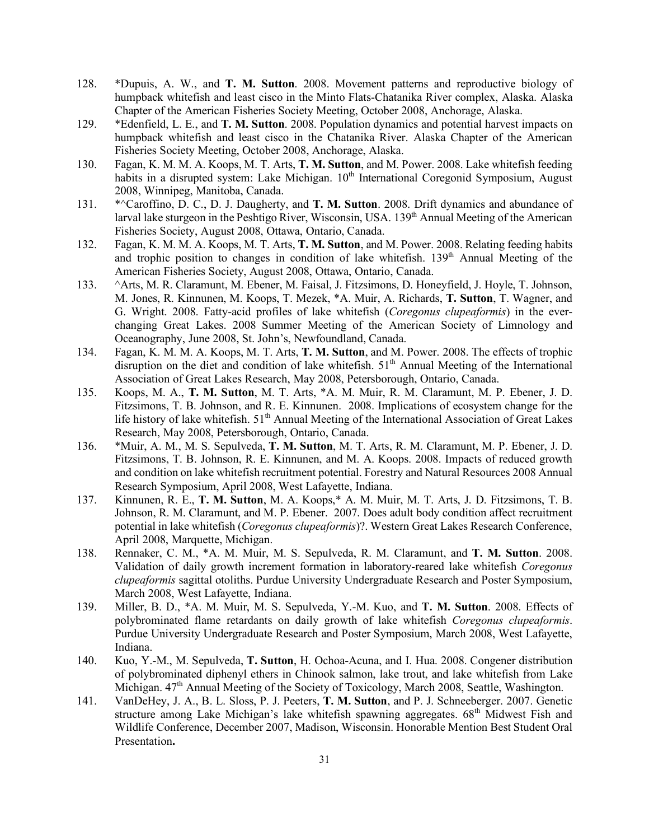- 128. \*Dupuis, A. W., and **T. M. Sutton**. 2008. Movement patterns and reproductive biology of humpback whitefish and least cisco in the Minto Flats-Chatanika River complex, Alaska. Alaska Chapter of the American Fisheries Society Meeting, October 2008, Anchorage, Alaska.
- 129. \*Edenfield, L. E., and **T. M. Sutton**. 2008. Population dynamics and potential harvest impacts on humpback whitefish and least cisco in the Chatanika River. Alaska Chapter of the American Fisheries Society Meeting, October 2008, Anchorage, Alaska.
- 130. Fagan, K. M. M. A. Koops, M. T. Arts, **T. M. Sutton**, and M. Power. 2008. Lake whitefish feeding habits in a disrupted system: Lake Michigan. 10<sup>th</sup> International Coregonid Symposium, August 2008, Winnipeg, Manitoba, Canada.
- 131. \*^Caroffino, D. C., D. J. Daugherty, and **T. M. Sutton**. 2008. Drift dynamics and abundance of larval lake sturgeon in the Peshtigo River, Wisconsin, USA. 139<sup>th</sup> Annual Meeting of the American Fisheries Society, August 2008, Ottawa, Ontario, Canada.
- 132. Fagan, K. M. M. A. Koops, M. T. Arts, **T. M. Sutton**, and M. Power. 2008. Relating feeding habits and trophic position to changes in condition of lake whitefish.  $139<sup>th</sup>$  Annual Meeting of the American Fisheries Society, August 2008, Ottawa, Ontario, Canada.
- 133. ^Arts, M. R. Claramunt, M. Ebener, M. Faisal, J. Fitzsimons, D. Honeyfield, J. Hoyle, T. Johnson, M. Jones, R. Kinnunen, M. Koops, T. Mezek, \*A. Muir, A. Richards, **T. Sutton**, T. Wagner, and G. Wright. 2008. Fatty-acid profiles of lake whitefish (*Coregonus clupeaformis*) in the everchanging Great Lakes. 2008 Summer Meeting of the American Society of Limnology and Oceanography, June 2008, St. John's, Newfoundland, Canada.
- 134. Fagan, K. M. M. A. Koops, M. T. Arts, **T. M. Sutton**, and M. Power. 2008. The effects of trophic disruption on the diet and condition of lake whitefish.  $51<sup>th</sup>$  Annual Meeting of the International Association of Great Lakes Research, May 2008, Petersborough, Ontario, Canada.
- 135. Koops, M. A., **T. M. Sutton**, M. T. Arts, \*A. M. Muir, R. M. Claramunt, M. P. Ebener, J. D. Fitzsimons, T. B. Johnson, and R. E. Kinnunen. 2008. Implications of ecosystem change for the life history of lake whitefish. 51<sup>th</sup> Annual Meeting of the International Association of Great Lakes Research, May 2008, Petersborough, Ontario, Canada.
- 136. \*Muir, A. M., M. S. Sepulveda, **T. M. Sutton**, M. T. Arts, R. M. Claramunt, M. P. Ebener, J. D. Fitzsimons, T. B. Johnson, R. E. Kinnunen, and M. A. Koops. 2008. Impacts of reduced growth and condition on lake whitefish recruitment potential. Forestry and Natural Resources 2008 Annual Research Symposium, April 2008, West Lafayette, Indiana.
- 137. Kinnunen, R. E., **T. M. Sutton**, M. A. Koops,\* A. M. Muir, M. T. Arts, J. D. Fitzsimons, T. B. Johnson, R. M. Claramunt, and M. P. Ebener. 2007. Does adult body condition affect recruitment potential in lake whitefish (*Coregonus clupeaformis*)?. Western Great Lakes Research Conference, April 2008, Marquette, Michigan.
- 138. Rennaker, C. M., \*A. M. Muir, M. S. Sepulveda, R. M. Claramunt, and **T. M. Sutton**. 2008. Validation of daily growth increment formation in laboratory-reared lake whitefish *Coregonus clupeaformis* sagittal otoliths. Purdue University Undergraduate Research and Poster Symposium, March 2008, West Lafayette, Indiana.
- 139. Miller, B. D., \*A. M. Muir, M. S. Sepulveda, Y.-M. Kuo, and **T. M. Sutton**. 2008. Effects of polybrominated flame retardants on daily growth of lake whitefish *Coregonus clupeaformis*. Purdue University Undergraduate Research and Poster Symposium, March 2008, West Lafayette, Indiana.
- 140. Kuo, Y.-M., M. Sepulveda, **T. Sutton**, H. Ochoa-Acuna, and I. Hua. 2008. Congener distribution of polybrominated diphenyl ethers in Chinook salmon, lake trout, and lake whitefish from Lake Michigan.  $47<sup>th</sup>$  Annual Meeting of the Society of Toxicology, March 2008, Seattle, Washington.
- 141. VanDeHey, J. A., B. L. Sloss, P. J. Peeters, **T. M. Sutton**, and P. J. Schneeberger. 2007. Genetic structure among Lake Michigan's lake whitefish spawning aggregates.  $68<sup>th</sup>$  Midwest Fish and Wildlife Conference, December 2007, Madison, Wisconsin. Honorable Mention Best Student Oral Presentation**.**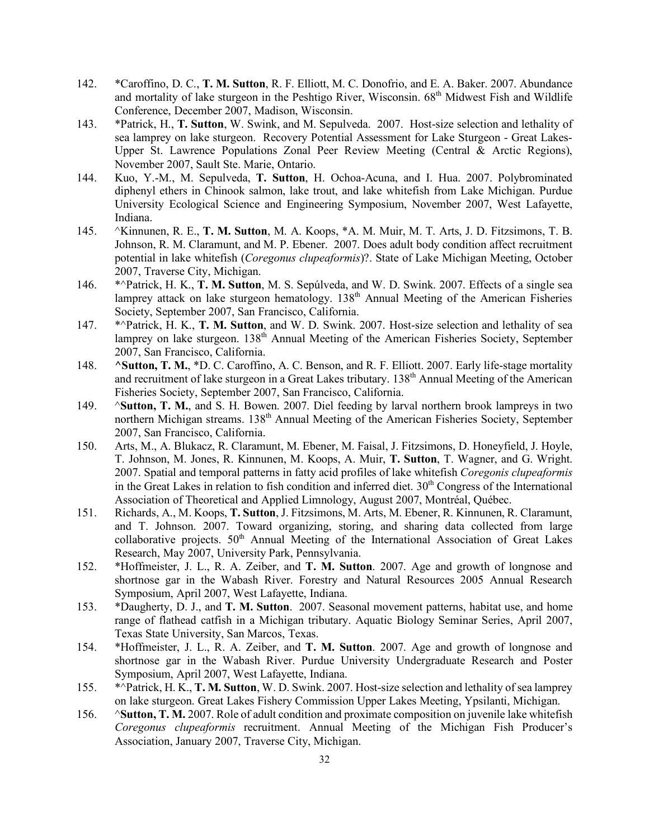- 142. \*Caroffino, D. C., **T. M. Sutton**, R. F. Elliott, M. C. Donofrio, and E. A. Baker. 2007. Abundance and mortality of lake sturgeon in the Peshtigo River, Wisconsin. 68<sup>th</sup> Midwest Fish and Wildlife Conference, December 2007, Madison, Wisconsin.
- 143. \*Patrick, H., **T. Sutton**, W. Swink, and M. Sepulveda. 2007. Host-size selection and lethality of sea lamprey on lake sturgeon. Recovery Potential Assessment for Lake Sturgeon - Great Lakes-Upper St. Lawrence Populations Zonal Peer Review Meeting (Central & Arctic Regions), November 2007, Sault Ste. Marie, Ontario.
- 144. Kuo, Y.-M., M. Sepulveda, **T. Sutton**, H. Ochoa-Acuna, and I. Hua. 2007. Polybrominated diphenyl ethers in Chinook salmon, lake trout, and lake whitefish from Lake Michigan. Purdue University Ecological Science and Engineering Symposium, November 2007, West Lafayette, Indiana.
- 145. ^Kinnunen, R. E., **T. M. Sutton**, M. A. Koops, \*A. M. Muir, M. T. Arts, J. D. Fitzsimons, T. B. Johnson, R. M. Claramunt, and M. P. Ebener. 2007. Does adult body condition affect recruitment potential in lake whitefish (*Coregonus clupeaformis*)?. State of Lake Michigan Meeting, October 2007, Traverse City, Michigan.
- 146. \*^Patrick, H. K., **T. M. Sutton**, M. S. Sepúlveda, and W. D. Swink. 2007. Effects of a single sea lamprey attack on lake sturgeon hematology.  $138<sup>th</sup>$  Annual Meeting of the American Fisheries Society, September 2007, San Francisco, California.
- 147. \*^Patrick, H. K., **T. M. Sutton**, and W. D. Swink. 2007. Host-size selection and lethality of sea lamprey on lake sturgeon. 138<sup>th</sup> Annual Meeting of the American Fisheries Society, September 2007, San Francisco, California.
- 148. **^Sutton, T. M.**, \*D. C. Caroffino, A. C. Benson, and R. F. Elliott. 2007. Early life-stage mortality and recruitment of lake sturgeon in a Great Lakes tributary. 138<sup>th</sup> Annual Meeting of the American Fisheries Society, September 2007, San Francisco, California.
- 149. ^**Sutton, T. M.**, and S. H. Bowen. 2007. Diel feeding by larval northern brook lampreys in two northern Michigan streams. 138<sup>th</sup> Annual Meeting of the American Fisheries Society, September 2007, San Francisco, California.
- 150. Arts, M., A. Blukacz, R. Claramunt, M. Ebener, M. Faisal, J. Fitzsimons, D. Honeyfield, J. Hoyle, T. Johnson, M. Jones, R. Kinnunen, M. Koops, A. Muir, **T. Sutton**, T. Wagner, and G. Wright. 2007. Spatial and temporal patterns in fatty acid profiles of lake whitefish *Coregonis clupeaformis*  in the Great Lakes in relation to fish condition and inferred diet.  $30<sup>th</sup>$  Congress of the International Association of Theoretical and Applied Limnology, August 2007, Montréal, Québec.
- 151. Richards, A., M. Koops, **T. Sutton**, J. Fitzsimons, M. Arts, M. Ebener, R. Kinnunen, R. Claramunt, and T. Johnson. 2007. Toward organizing, storing, and sharing data collected from large collaborative projects. 50<sup>th</sup> Annual Meeting of the International Association of Great Lakes Research, May 2007, University Park, Pennsylvania.
- 152. \*Hoffmeister, J. L., R. A. Zeiber, and **T. M. Sutton**. 2007. Age and growth of longnose and shortnose gar in the Wabash River. Forestry and Natural Resources 2005 Annual Research Symposium, April 2007, West Lafayette, Indiana.
- 153. \*Daugherty, D. J., and **T. M. Sutton**. 2007. Seasonal movement patterns, habitat use, and home range of flathead catfish in a Michigan tributary. Aquatic Biology Seminar Series, April 2007, Texas State University, San Marcos, Texas.
- 154. \*Hoffmeister, J. L., R. A. Zeiber, and **T. M. Sutton**. 2007. Age and growth of longnose and shortnose gar in the Wabash River. Purdue University Undergraduate Research and Poster Symposium, April 2007, West Lafayette, Indiana.
- 155. \*^Patrick, H. K., **T. M. Sutton**, W. D. Swink. 2007. Host-size selection and lethality of sea lamprey on lake sturgeon. Great Lakes Fishery Commission Upper Lakes Meeting, Ypsilanti, Michigan.
- 156. ^**Sutton, T. M.** 2007. Role of adult condition and proximate composition on juvenile lake whitefish *Coregonus clupeaformis* recruitment. Annual Meeting of the Michigan Fish Producer's Association, January 2007, Traverse City, Michigan.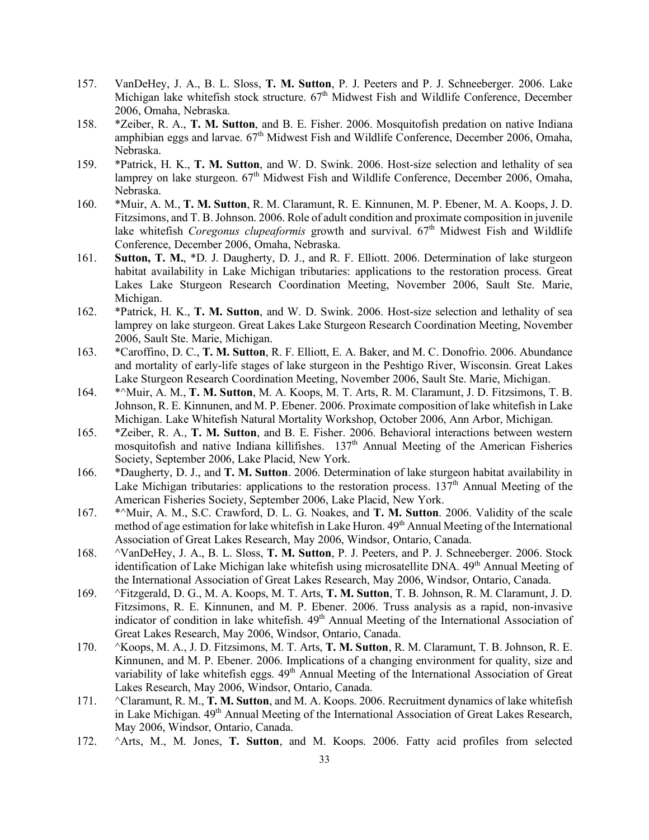- 157. VanDeHey, J. A., B. L. Sloss, **T. M. Sutton**, P. J. Peeters and P. J. Schneeberger. 2006. Lake Michigan lake whitefish stock structure. 67<sup>th</sup> Midwest Fish and Wildlife Conference, December 2006, Omaha, Nebraska.
- 158. \*Zeiber, R. A., **T. M. Sutton**, and B. E. Fisher. 2006. Mosquitofish predation on native Indiana amphibian eggs and larvae.  $67<sup>th</sup>$  Midwest Fish and Wildlife Conference, December 2006, Omaha, Nebraska.
- 159. \*Patrick, H. K., **T. M. Sutton**, and W. D. Swink. 2006. Host-size selection and lethality of sea lamprey on lake sturgeon. 67<sup>th</sup> Midwest Fish and Wildlife Conference, December 2006, Omaha, Nebraska.
- 160. \*Muir, A. M., **T. M. Sutton**, R. M. Claramunt, R. E. Kinnunen, M. P. Ebener, M. A. Koops, J. D. Fitzsimons, and T. B. Johnson. 2006. Role of adult condition and proximate composition in juvenile lake whitefish *Coregonus clupeaformis* growth and survival. 67<sup>th</sup> Midwest Fish and Wildlife Conference, December 2006, Omaha, Nebraska.
- 161. **Sutton, T. M.**, \*D. J. Daugherty, D. J., and R. F. Elliott. 2006. Determination of lake sturgeon habitat availability in Lake Michigan tributaries: applications to the restoration process. Great Lakes Lake Sturgeon Research Coordination Meeting, November 2006, Sault Ste. Marie, Michigan.
- 162. \*Patrick, H. K., **T. M. Sutton**, and W. D. Swink. 2006. Host-size selection and lethality of sea lamprey on lake sturgeon. Great Lakes Lake Sturgeon Research Coordination Meeting, November 2006, Sault Ste. Marie, Michigan.
- 163. \*Caroffino, D. C., **T. M. Sutton**, R. F. Elliott, E. A. Baker, and M. C. Donofrio. 2006. Abundance and mortality of early-life stages of lake sturgeon in the Peshtigo River, Wisconsin. Great Lakes Lake Sturgeon Research Coordination Meeting, November 2006, Sault Ste. Marie, Michigan.
- 164. \*^Muir, A. M., **T. M. Sutton**, M. A. Koops, M. T. Arts, R. M. Claramunt, J. D. Fitzsimons, T. B. Johnson, R. E. Kinnunen, and M. P. Ebener. 2006. Proximate composition of lake whitefish in Lake Michigan. Lake Whitefish Natural Mortality Workshop, October 2006, Ann Arbor, Michigan.
- 165. \*Zeiber, R. A., **T. M. Sutton**, and B. E. Fisher. 2006. Behavioral interactions between western mosquitofish and native Indiana killifishes.  $137<sup>th</sup>$  Annual Meeting of the American Fisheries Society, September 2006, Lake Placid, New York.
- 166. \*Daugherty, D. J., and **T. M. Sutton**. 2006. Determination of lake sturgeon habitat availability in Lake Michigan tributaries: applications to the restoration process.  $137<sup>th</sup>$  Annual Meeting of the American Fisheries Society, September 2006, Lake Placid, New York.
- 167. \*^Muir, A. M., S.C. Crawford, D. L. G. Noakes, and **T. M. Sutton**. 2006. Validity of the scale method of age estimation for lake whitefish in Lake Huron.  $49<sup>th</sup>$  Annual Meeting of the International Association of Great Lakes Research, May 2006, Windsor, Ontario, Canada.
- 168. ^VanDeHey, J. A., B. L. Sloss, **T. M. Sutton**, P. J. Peeters, and P. J. Schneeberger. 2006. Stock identification of Lake Michigan lake whitefish using microsatellite DNA. 49<sup>th</sup> Annual Meeting of the International Association of Great Lakes Research, May 2006, Windsor, Ontario, Canada.
- 169. ^Fitzgerald, D. G., M. A. Koops, M. T. Arts, **T. M. Sutton**, T. B. Johnson, R. M. Claramunt, J. D. Fitzsimons, R. E. Kinnunen, and M. P. Ebener. 2006. Truss analysis as a rapid, non-invasive indicator of condition in lake white fish.  $49<sup>th</sup>$  Annual Meeting of the International Association of Great Lakes Research, May 2006, Windsor, Ontario, Canada.
- 170. ^Koops, M. A., J. D. Fitzsimons, M. T. Arts, **T. M. Sutton**, R. M. Claramunt, T. B. Johnson, R. E. Kinnunen, and M. P. Ebener. 2006. Implications of a changing environment for quality, size and variability of lake whitefish eggs.  $49<sup>th</sup>$  Annual Meeting of the International Association of Great Lakes Research, May 2006, Windsor, Ontario, Canada.
- 171. ^Claramunt, R. M., **T. M. Sutton**, and M. A. Koops. 2006. Recruitment dynamics of lake whitefish in Lake Michigan. 49<sup>th</sup> Annual Meeting of the International Association of Great Lakes Research, May 2006, Windsor, Ontario, Canada.
- 172. ^Arts, M., M. Jones, **T. Sutton**, and M. Koops. 2006. Fatty acid profiles from selected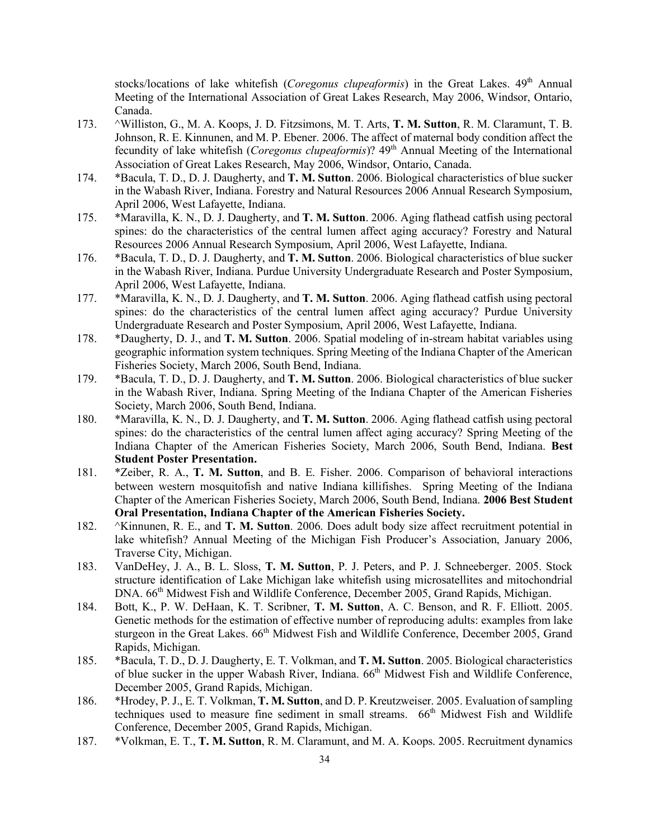stocks/locations of lake whitefish (*Coregonus clupeaformis*) in the Great Lakes. 49<sup>th</sup> Annual Meeting of the International Association of Great Lakes Research, May 2006, Windsor, Ontario, Canada.

- 173. ^Williston, G., M. A. Koops, J. D. Fitzsimons, M. T. Arts, **T. M. Sutton**, R. M. Claramunt, T. B. Johnson, R. E. Kinnunen, and M. P. Ebener. 2006. The affect of maternal body condition affect the fecundity of lake whitefish (*Coregonus clupeaformis*)? 49<sup>th</sup> Annual Meeting of the International Association of Great Lakes Research, May 2006, Windsor, Ontario, Canada.
- 174. \*Bacula, T. D., D. J. Daugherty, and **T. M. Sutton**. 2006. Biological characteristics of blue sucker in the Wabash River, Indiana. Forestry and Natural Resources 2006 Annual Research Symposium, April 2006, West Lafayette, Indiana.
- 175. \*Maravilla, K. N., D. J. Daugherty, and **T. M. Sutton**. 2006. Aging flathead catfish using pectoral spines: do the characteristics of the central lumen affect aging accuracy? Forestry and Natural Resources 2006 Annual Research Symposium, April 2006, West Lafayette, Indiana.
- 176. \*Bacula, T. D., D. J. Daugherty, and **T. M. Sutton**. 2006. Biological characteristics of blue sucker in the Wabash River, Indiana. Purdue University Undergraduate Research and Poster Symposium, April 2006, West Lafayette, Indiana.
- 177. \*Maravilla, K. N., D. J. Daugherty, and **T. M. Sutton**. 2006. Aging flathead catfish using pectoral spines: do the characteristics of the central lumen affect aging accuracy? Purdue University Undergraduate Research and Poster Symposium, April 2006, West Lafayette, Indiana.
- 178. \*Daugherty, D. J., and **T. M. Sutton**. 2006. Spatial modeling of in-stream habitat variables using geographic information system techniques. Spring Meeting of the Indiana Chapter of the American Fisheries Society, March 2006, South Bend, Indiana.
- 179. \*Bacula, T. D., D. J. Daugherty, and **T. M. Sutton**. 2006. Biological characteristics of blue sucker in the Wabash River, Indiana. Spring Meeting of the Indiana Chapter of the American Fisheries Society, March 2006, South Bend, Indiana.
- 180. \*Maravilla, K. N., D. J. Daugherty, and **T. M. Sutton**. 2006. Aging flathead catfish using pectoral spines: do the characteristics of the central lumen affect aging accuracy? Spring Meeting of the Indiana Chapter of the American Fisheries Society, March 2006, South Bend, Indiana. **Best Student Poster Presentation.**
- 181. \*Zeiber, R. A., **T. M. Sutton**, and B. E. Fisher. 2006. Comparison of behavioral interactions between western mosquitofish and native Indiana killifishes. Spring Meeting of the Indiana Chapter of the American Fisheries Society, March 2006, South Bend, Indiana. **2006 Best Student Oral Presentation, Indiana Chapter of the American Fisheries Society.**
- 182. ^Kinnunen, R. E., and **T. M. Sutton**. 2006. Does adult body size affect recruitment potential in lake whitefish? Annual Meeting of the Michigan Fish Producer's Association, January 2006, Traverse City, Michigan.
- 183. VanDeHey, J. A., B. L. Sloss, **T. M. Sutton**, P. J. Peters, and P. J. Schneeberger. 2005. Stock structure identification of Lake Michigan lake whitefish using microsatellites and mitochondrial DNA. 66<sup>th</sup> Midwest Fish and Wildlife Conference, December 2005, Grand Rapids, Michigan.
- 184. Bott, K., P. W. DeHaan, K. T. Scribner, **T. M. Sutton**, A. C. Benson, and R. F. Elliott. 2005. Genetic methods for the estimation of effective number of reproducing adults: examples from lake sturgeon in the Great Lakes. 66<sup>th</sup> Midwest Fish and Wildlife Conference, December 2005, Grand Rapids, Michigan.
- 185. \*Bacula, T. D., D. J. Daugherty, E. T. Volkman, and **T. M. Sutton**. 2005. Biological characteristics of blue sucker in the upper Wabash River, Indiana. 66<sup>th</sup> Midwest Fish and Wildlife Conference, December 2005, Grand Rapids, Michigan.
- 186. \*Hrodey, P. J., E. T. Volkman, **T. M. Sutton**, and D. P. Kreutzweiser. 2005. Evaluation of sampling techniques used to measure fine sediment in small streams.  $66<sup>th</sup>$  Midwest Fish and Wildlife Conference, December 2005, Grand Rapids, Michigan.
- 187. \*Volkman, E. T., **T. M. Sutton**, R. M. Claramunt, and M. A. Koops. 2005. Recruitment dynamics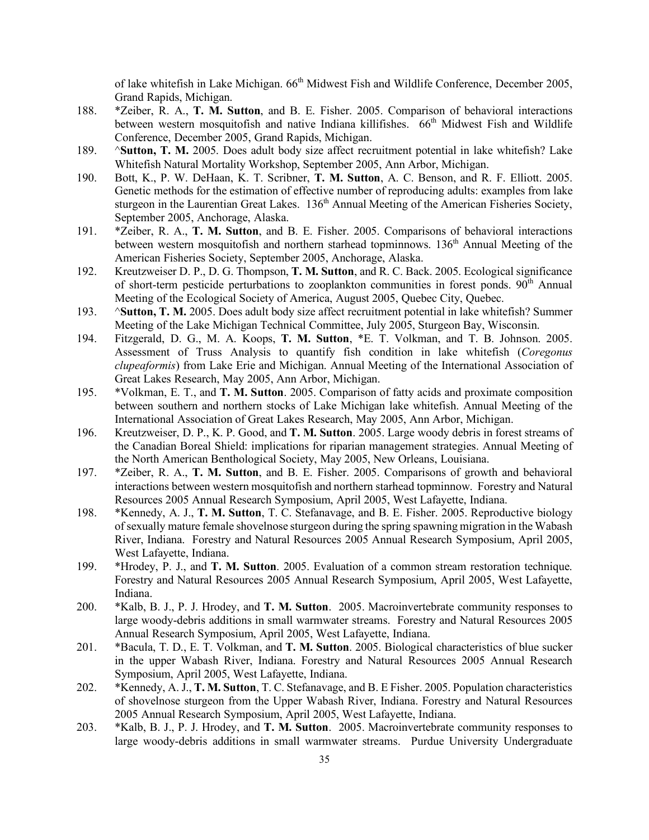of lake whitefish in Lake Michigan. 66<sup>th</sup> Midwest Fish and Wildlife Conference, December 2005, Grand Rapids, Michigan.

- 188. \*Zeiber, R. A., **T. M. Sutton**, and B. E. Fisher. 2005. Comparison of behavioral interactions between western mosquitofish and native Indiana killifishes. 66<sup>th</sup> Midwest Fish and Wildlife Conference, December 2005, Grand Rapids, Michigan.
- 189. ^**Sutton, T. M.** 2005. Does adult body size affect recruitment potential in lake whitefish? Lake Whitefish Natural Mortality Workshop, September 2005, Ann Arbor, Michigan.
- 190. Bott, K., P. W. DeHaan, K. T. Scribner, **T. M. Sutton**, A. C. Benson, and R. F. Elliott. 2005. Genetic methods for the estimation of effective number of reproducing adults: examples from lake sturgeon in the Laurentian Great Lakes.  $136<sup>th</sup>$  Annual Meeting of the American Fisheries Society, September 2005, Anchorage, Alaska.
- 191. \*Zeiber, R. A., **T. M. Sutton**, and B. E. Fisher. 2005. Comparisons of behavioral interactions between western mosquitofish and northern starhead topminnows. 136<sup>th</sup> Annual Meeting of the American Fisheries Society, September 2005, Anchorage, Alaska.
- 192. Kreutzweiser D. P., D. G. Thompson, **T. M. Sutton**, and R. C. Back. 2005. Ecological significance of short-term pesticide perturbations to zooplankton communities in forest ponds.  $90<sup>th</sup>$  Annual Meeting of the Ecological Society of America, August 2005, Quebec City, Quebec.
- 193. ^**Sutton, T. M.** 2005. Does adult body size affect recruitment potential in lake whitefish? Summer Meeting of the Lake Michigan Technical Committee, July 2005, Sturgeon Bay, Wisconsin.
- 194. Fitzgerald, D. G., M. A. Koops, **T. M. Sutton**, \*E. T. Volkman, and T. B. Johnson. 2005. Assessment of Truss Analysis to quantify fish condition in lake whitefish (*Coregonus clupeaformis*) from Lake Erie and Michigan. Annual Meeting of the International Association of Great Lakes Research, May 2005, Ann Arbor, Michigan.
- 195. \*Volkman, E. T., and **T. M. Sutton**. 2005. Comparison of fatty acids and proximate composition between southern and northern stocks of Lake Michigan lake whitefish. Annual Meeting of the International Association of Great Lakes Research, May 2005, Ann Arbor, Michigan.
- 196. Kreutzweiser, D. P., K. P. Good, and **T. M. Sutton**. 2005. Large woody debris in forest streams of the Canadian Boreal Shield: implications for riparian management strategies. Annual Meeting of the North American Benthological Society, May 2005, New Orleans, Louisiana.
- 197. \*Zeiber, R. A., **T. M. Sutton**, and B. E. Fisher. 2005. Comparisons of growth and behavioral interactions between western mosquitofish and northern starhead topminnow. Forestry and Natural Resources 2005 Annual Research Symposium, April 2005, West Lafayette, Indiana.
- 198. \*Kennedy, A. J., **T. M. Sutton**, T. C. Stefanavage, and B. E. Fisher. 2005. Reproductive biology of sexually mature female shovelnose sturgeon during the spring spawning migration in the Wabash River, Indiana. Forestry and Natural Resources 2005 Annual Research Symposium, April 2005, West Lafayette, Indiana.
- 199. \*Hrodey, P. J., and **T. M. Sutton**. 2005. Evaluation of a common stream restoration technique. Forestry and Natural Resources 2005 Annual Research Symposium, April 2005, West Lafayette, Indiana.
- 200. \*Kalb, B. J., P. J. Hrodey, and **T. M. Sutton**. 2005. Macroinvertebrate community responses to large woody-debris additions in small warmwater streams. Forestry and Natural Resources 2005 Annual Research Symposium, April 2005, West Lafayette, Indiana.
- 201. \*Bacula, T. D., E. T. Volkman, and **T. M. Sutton**. 2005. Biological characteristics of blue sucker in the upper Wabash River, Indiana. Forestry and Natural Resources 2005 Annual Research Symposium, April 2005, West Lafayette, Indiana.
- 202. \*Kennedy, A. J., **T. M. Sutton**, T. C. Stefanavage, and B. E Fisher. 2005. Population characteristics of shovelnose sturgeon from the Upper Wabash River, Indiana. Forestry and Natural Resources 2005 Annual Research Symposium, April 2005, West Lafayette, Indiana.
- 203. \*Kalb, B. J., P. J. Hrodey, and **T. M. Sutton**. 2005. Macroinvertebrate community responses to large woody-debris additions in small warmwater streams. Purdue University Undergraduate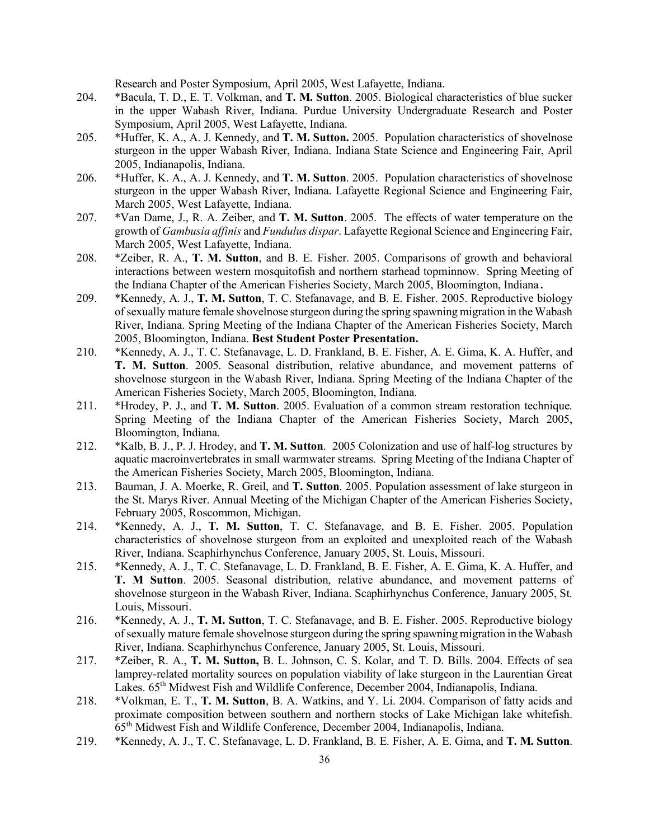Research and Poster Symposium, April 2005, West Lafayette, Indiana.

- 204. \*Bacula, T. D., E. T. Volkman, and **T. M. Sutton**. 2005. Biological characteristics of blue sucker in the upper Wabash River, Indiana. Purdue University Undergraduate Research and Poster Symposium, April 2005, West Lafayette, Indiana.
- 205. \*Huffer, K. A., A. J. Kennedy, and **T. M. Sutton.** 2005. Population characteristics of shovelnose sturgeon in the upper Wabash River, Indiana. Indiana State Science and Engineering Fair, April 2005, Indianapolis, Indiana.
- 206. \*Huffer, K. A., A. J. Kennedy, and **T. M. Sutton**. 2005. Population characteristics of shovelnose sturgeon in the upper Wabash River, Indiana. Lafayette Regional Science and Engineering Fair, March 2005, West Lafayette, Indiana.
- 207. \*Van Dame, J., R. A. Zeiber, and **T. M. Sutton**. 2005. The effects of water temperature on the growth of *Gambusia affinis* and *Fundulus dispar*. Lafayette Regional Science and Engineering Fair, March 2005, West Lafayette, Indiana.
- 208. \*Zeiber, R. A., **T. M. Sutton**, and B. E. Fisher. 2005. Comparisons of growth and behavioral interactions between western mosquitofish and northern starhead topminnow. Spring Meeting of the Indiana Chapter of the American Fisheries Society, March 2005, Bloomington, Indiana.
- 209. \*Kennedy, A. J., **T. M. Sutton**, T. C. Stefanavage, and B. E. Fisher. 2005. Reproductive biology of sexually mature female shovelnose sturgeon during the spring spawning migration in the Wabash River, Indiana. Spring Meeting of the Indiana Chapter of the American Fisheries Society, March 2005, Bloomington, Indiana. **Best Student Poster Presentation.**
- 210. \*Kennedy, A. J., T. C. Stefanavage, L. D. Frankland, B. E. Fisher, A. E. Gima, K. A. Huffer, and **T. M. Sutton**. 2005. Seasonal distribution, relative abundance, and movement patterns of shovelnose sturgeon in the Wabash River, Indiana. Spring Meeting of the Indiana Chapter of the American Fisheries Society, March 2005, Bloomington, Indiana.
- 211. \*Hrodey, P. J., and **T. M. Sutton**. 2005. Evaluation of a common stream restoration technique. Spring Meeting of the Indiana Chapter of the American Fisheries Society, March 2005, Bloomington, Indiana.
- 212. \*Kalb, B. J., P. J. Hrodey, and **T. M. Sutton**. 2005 Colonization and use of half-log structures by aquatic macroinvertebrates in small warmwater streams. Spring Meeting of the Indiana Chapter of the American Fisheries Society, March 2005, Bloomington, Indiana.
- 213. Bauman, J. A. Moerke, R. Greil, and **T. Sutton**. 2005. Population assessment of lake sturgeon in the St. Marys River. Annual Meeting of the Michigan Chapter of the American Fisheries Society, February 2005, Roscommon, Michigan.
- 214. \*Kennedy, A. J., **T. M. Sutton**, T. C. Stefanavage, and B. E. Fisher. 2005. Population characteristics of shovelnose sturgeon from an exploited and unexploited reach of the Wabash River, Indiana. Scaphirhynchus Conference, January 2005, St. Louis, Missouri.
- 215. \*Kennedy, A. J., T. C. Stefanavage, L. D. Frankland, B. E. Fisher, A. E. Gima, K. A. Huffer, and **T. M Sutton**. 2005. Seasonal distribution, relative abundance, and movement patterns of shovelnose sturgeon in the Wabash River, Indiana. Scaphirhynchus Conference, January 2005, St. Louis, Missouri.
- 216. \*Kennedy, A. J., **T. M. Sutton**, T. C. Stefanavage, and B. E. Fisher. 2005. Reproductive biology of sexually mature female shovelnose sturgeon during the spring spawning migration in the Wabash River, Indiana. Scaphirhynchus Conference, January 2005, St. Louis, Missouri.
- 217. \*Zeiber, R. A., **T. M. Sutton,** B. L. Johnson, C. S. Kolar, and T. D. Bills. 2004. Effects of sea lamprey-related mortality sources on population viability of lake sturgeon in the Laurentian Great Lakes. 65<sup>th</sup> Midwest Fish and Wildlife Conference, December 2004, Indianapolis, Indiana.
- 218. \*Volkman, E. T., **T. M. Sutton**, B. A. Watkins, and Y. Li. 2004. Comparison of fatty acids and proximate composition between southern and northern stocks of Lake Michigan lake whitefish. 65th Midwest Fish and Wildlife Conference, December 2004, Indianapolis, Indiana.
- 219. \*Kennedy, A. J., T. C. Stefanavage, L. D. Frankland, B. E. Fisher, A. E. Gima, and **T. M. Sutton**.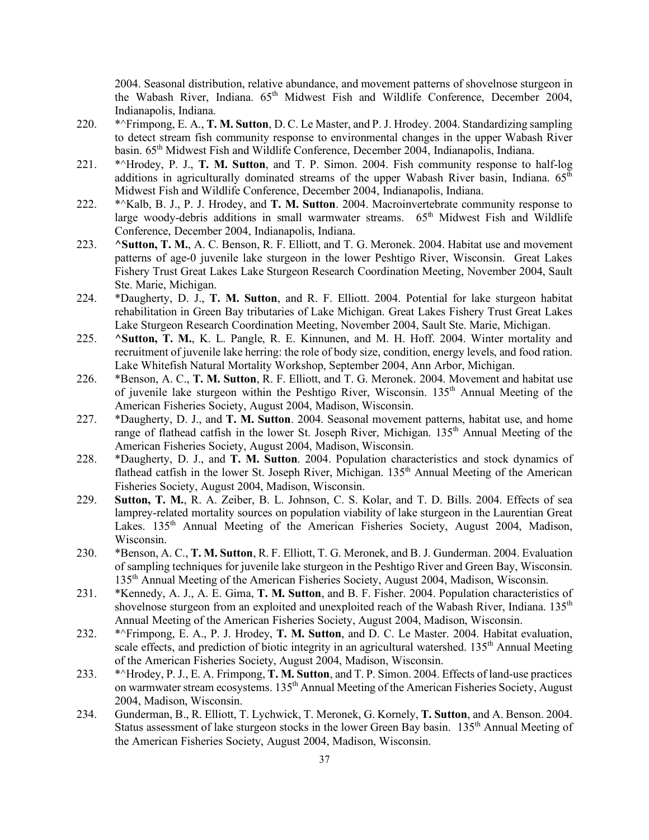2004. Seasonal distribution, relative abundance, and movement patterns of shovelnose sturgeon in the Wabash River, Indiana. 65<sup>th</sup> Midwest Fish and Wildlife Conference, December 2004, Indianapolis, Indiana.

- 220. \*^Frimpong, E. A., **T. M. Sutton**, D. C. Le Master, and P. J. Hrodey. 2004. Standardizing sampling to detect stream fish community response to environmental changes in the upper Wabash River basin. 65th Midwest Fish and Wildlife Conference, December 2004, Indianapolis, Indiana.
- 221. \*^Hrodey, P. J., **T. M. Sutton**, and T. P. Simon. 2004. Fish community response to half-log additions in agriculturally dominated streams of the upper Wabash River basin, Indiana.  $65<sup>th</sup>$ Midwest Fish and Wildlife Conference, December 2004, Indianapolis, Indiana.
- 222. \*^Kalb, B. J., P. J. Hrodey, and **T. M. Sutton**. 2004. Macroinvertebrate community response to large woody-debris additions in small warmwater streams.  $65<sup>th</sup>$  Midwest Fish and Wildlife Conference, December 2004, Indianapolis, Indiana.
- 223. **^Sutton, T. M.**, A. C. Benson, R. F. Elliott, and T. G. Meronek. 2004. Habitat use and movement patterns of age-0 juvenile lake sturgeon in the lower Peshtigo River, Wisconsin. Great Lakes Fishery Trust Great Lakes Lake Sturgeon Research Coordination Meeting, November 2004, Sault Ste. Marie, Michigan.
- 224. \*Daugherty, D. J., **T. M. Sutton**, and R. F. Elliott. 2004. Potential for lake sturgeon habitat rehabilitation in Green Bay tributaries of Lake Michigan. Great Lakes Fishery Trust Great Lakes Lake Sturgeon Research Coordination Meeting, November 2004, Sault Ste. Marie, Michigan.
- 225. **^Sutton, T. M.**, K. L. Pangle, R. E. Kinnunen, and M. H. Hoff. 2004. Winter mortality and recruitment of juvenile lake herring: the role of body size, condition, energy levels, and food ration. Lake Whitefish Natural Mortality Workshop, September 2004, Ann Arbor, Michigan.
- 226. \*Benson, A. C., **T. M. Sutton**, R. F. Elliott, and T. G. Meronek. 2004. Movement and habitat use of juvenile lake sturgeon within the Peshtigo River, Wisconsin. 135<sup>th</sup> Annual Meeting of the American Fisheries Society, August 2004, Madison, Wisconsin.
- 227. \*Daugherty, D. J., and **T. M. Sutton**. 2004. Seasonal movement patterns, habitat use, and home range of flathead catfish in the lower St. Joseph River, Michigan. 135<sup>th</sup> Annual Meeting of the American Fisheries Society, August 2004, Madison, Wisconsin.
- 228. \*Daugherty, D. J., and **T. M. Sutton**. 2004. Population characteristics and stock dynamics of flathead catfish in the lower St. Joseph River, Michigan. 135<sup>th</sup> Annual Meeting of the American Fisheries Society, August 2004, Madison, Wisconsin.
- 229. **Sutton, T. M.**, R. A. Zeiber, B. L. Johnson, C. S. Kolar, and T. D. Bills. 2004. Effects of sea lamprey-related mortality sources on population viability of lake sturgeon in the Laurentian Great Lakes. 135<sup>th</sup> Annual Meeting of the American Fisheries Society, August 2004, Madison, Wisconsin.
- 230. \*Benson, A. C., **T. M. Sutton**, R. F. Elliott, T. G. Meronek, and B. J. Gunderman. 2004. Evaluation of sampling techniques for juvenile lake sturgeon in the Peshtigo River and Green Bay, Wisconsin. 135th Annual Meeting of the American Fisheries Society, August 2004, Madison, Wisconsin.
- 231. \*Kennedy, A. J., A. E. Gima, **T. M. Sutton**, and B. F. Fisher. 2004. Population characteristics of shovelnose sturgeon from an exploited and unexploited reach of the Wabash River, Indiana. 135<sup>th</sup> Annual Meeting of the American Fisheries Society, August 2004, Madison, Wisconsin.
- 232. \*^Frimpong, E. A., P. J. Hrodey, **T. M. Sutton**, and D. C. Le Master. 2004. Habitat evaluation, scale effects, and prediction of biotic integrity in an agricultural watershed. 135<sup>th</sup> Annual Meeting of the American Fisheries Society, August 2004, Madison, Wisconsin.
- 233. \*^Hrodey, P. J., E. A. Frimpong, **T. M. Sutton**, and T. P. Simon. 2004. Effects of land-use practices on warmwater stream ecosystems. 135<sup>th</sup> Annual Meeting of the American Fisheries Society, August 2004, Madison, Wisconsin.
- 234. Gunderman, B., R. Elliott, T. Lychwick, T. Meronek, G. Kornely, **T. Sutton**, and A. Benson. 2004. Status assessment of lake sturgeon stocks in the lower Green Bay basin. 135<sup>th</sup> Annual Meeting of the American Fisheries Society, August 2004, Madison, Wisconsin.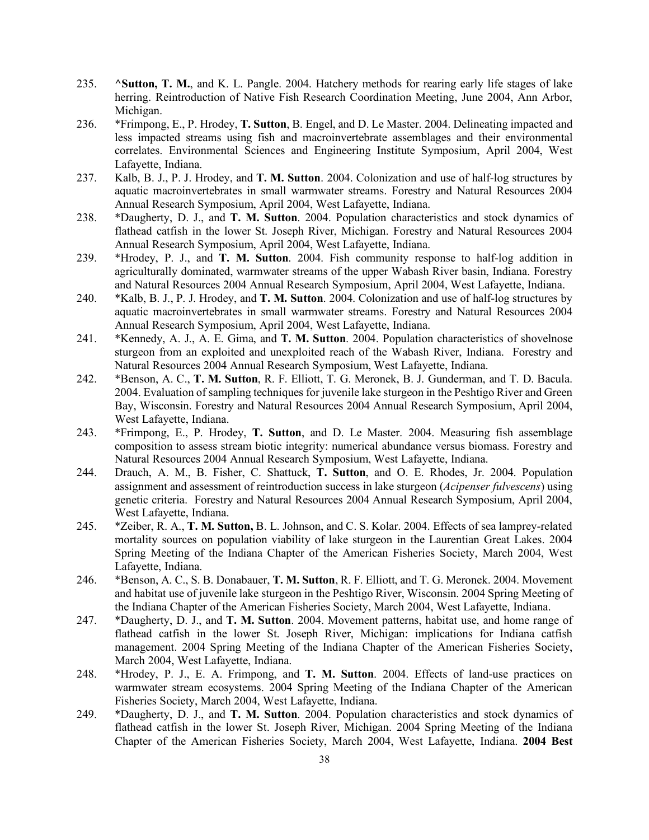- 235. **^Sutton, T. M.**, and K. L. Pangle. 2004. Hatchery methods for rearing early life stages of lake herring. Reintroduction of Native Fish Research Coordination Meeting, June 2004, Ann Arbor, Michigan.
- 236. \*Frimpong, E., P. Hrodey, **T. Sutton**, B. Engel, and D. Le Master. 2004. Delineating impacted and less impacted streams using fish and macroinvertebrate assemblages and their environmental correlates. Environmental Sciences and Engineering Institute Symposium, April 2004, West Lafayette, Indiana.
- 237. Kalb, B. J., P. J. Hrodey, and **T. M. Sutton**. 2004. Colonization and use of half-log structures by aquatic macroinvertebrates in small warmwater streams. Forestry and Natural Resources 2004 Annual Research Symposium, April 2004, West Lafayette, Indiana.
- 238. \*Daugherty, D. J., and **T. M. Sutton**. 2004. Population characteristics and stock dynamics of flathead catfish in the lower St. Joseph River, Michigan. Forestry and Natural Resources 2004 Annual Research Symposium, April 2004, West Lafayette, Indiana.
- 239. \*Hrodey, P. J., and **T. M. Sutton**. 2004. Fish community response to half-log addition in agriculturally dominated, warmwater streams of the upper Wabash River basin, Indiana. Forestry and Natural Resources 2004 Annual Research Symposium, April 2004, West Lafayette, Indiana.
- 240. \*Kalb, B. J., P. J. Hrodey, and **T. M. Sutton**. 2004. Colonization and use of half-log structures by aquatic macroinvertebrates in small warmwater streams. Forestry and Natural Resources 2004 Annual Research Symposium, April 2004, West Lafayette, Indiana.
- 241. \*Kennedy, A. J., A. E. Gima, and **T. M. Sutton**. 2004. Population characteristics of shovelnose sturgeon from an exploited and unexploited reach of the Wabash River, Indiana. Forestry and Natural Resources 2004 Annual Research Symposium, West Lafayette, Indiana.
- 242. \*Benson, A. C., **T. M. Sutton**, R. F. Elliott, T. G. Meronek, B. J. Gunderman, and T. D. Bacula. 2004. Evaluation of sampling techniques for juvenile lake sturgeon in the Peshtigo River and Green Bay, Wisconsin. Forestry and Natural Resources 2004 Annual Research Symposium, April 2004, West Lafayette, Indiana.
- 243. \*Frimpong, E., P. Hrodey, **T. Sutton**, and D. Le Master. 2004. Measuring fish assemblage composition to assess stream biotic integrity: numerical abundance versus biomass. Forestry and Natural Resources 2004 Annual Research Symposium, West Lafayette, Indiana.
- 244. Drauch, A. M., B. Fisher, C. Shattuck, **T. Sutton**, and O. E. Rhodes, Jr. 2004. Population assignment and assessment of reintroduction success in lake sturgeon (*Acipenser fulvescens*) using genetic criteria. Forestry and Natural Resources 2004 Annual Research Symposium, April 2004, West Lafayette, Indiana.
- 245. \*Zeiber, R. A., **T. M. Sutton,** B. L. Johnson, and C. S. Kolar. 2004. Effects of sea lamprey-related mortality sources on population viability of lake sturgeon in the Laurentian Great Lakes. 2004 Spring Meeting of the Indiana Chapter of the American Fisheries Society, March 2004, West Lafayette, Indiana.
- 246. \*Benson, A. C., S. B. Donabauer, **T. M. Sutton**, R. F. Elliott, and T. G. Meronek. 2004. Movement and habitat use of juvenile lake sturgeon in the Peshtigo River, Wisconsin. 2004 Spring Meeting of the Indiana Chapter of the American Fisheries Society, March 2004, West Lafayette, Indiana.
- 247. \*Daugherty, D. J., and **T. M. Sutton**. 2004. Movement patterns, habitat use, and home range of flathead catfish in the lower St. Joseph River, Michigan: implications for Indiana catfish management. 2004 Spring Meeting of the Indiana Chapter of the American Fisheries Society, March 2004, West Lafayette, Indiana.
- 248. \*Hrodey, P. J., E. A. Frimpong, and **T. M. Sutton**. 2004. Effects of land-use practices on warmwater stream ecosystems. 2004 Spring Meeting of the Indiana Chapter of the American Fisheries Society, March 2004, West Lafayette, Indiana.
- 249. \*Daugherty, D. J., and **T. M. Sutton**. 2004. Population characteristics and stock dynamics of flathead catfish in the lower St. Joseph River, Michigan. 2004 Spring Meeting of the Indiana Chapter of the American Fisheries Society, March 2004, West Lafayette, Indiana. **2004 Best**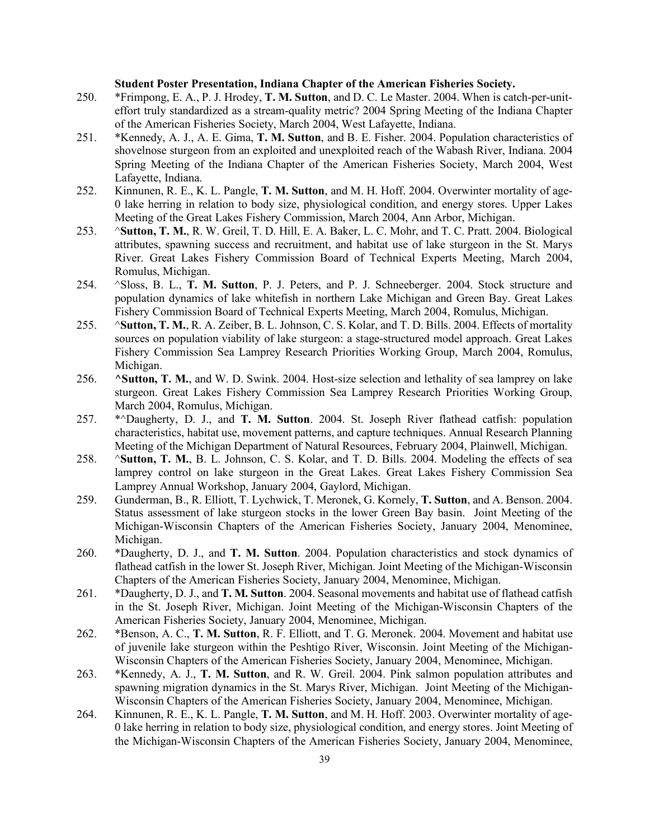#### **Student Poster Presentation, Indiana Chapter of the American Fisheries Society.**

- 250. \*Frimpong, E. A., P. J. Hrodey, **T. M. Sutton**, and D. C. Le Master. 2004. When is catch-per-uniteffort truly standardized as a stream-quality metric? 2004 Spring Meeting of the Indiana Chapter of the American Fisheries Society, March 2004, West Lafayette, Indiana.
- 251. \*Kennedy, A. J., A. E. Gima, **T. M. Sutton**, and B. E. Fisher. 2004. Population characteristics of shovelnose sturgeon from an exploited and unexploited reach of the Wabash River, Indiana. 2004 Spring Meeting of the Indiana Chapter of the American Fisheries Society, March 2004, West Lafayette, Indiana.
- 252. Kinnunen, R. E., K. L. Pangle, **T. M. Sutton**, and M. H. Hoff. 2004. Overwinter mortality of age-0 lake herring in relation to body size, physiological condition, and energy stores. Upper Lakes Meeting of the Great Lakes Fishery Commission, March 2004, Ann Arbor, Michigan.
- 253. ^**Sutton, T. M.**, R. W. Greil, T. D. Hill, E. A. Baker, L. C. Mohr, and T. C. Pratt. 2004. Biological attributes, spawning success and recruitment, and habitat use of lake sturgeon in the St. Marys River. Great Lakes Fishery Commission Board of Technical Experts Meeting, March 2004, Romulus, Michigan.
- 254. ^Sloss, B. L., **T. M. Sutton**, P. J. Peters, and P. J. Schneeberger. 2004. Stock structure and population dynamics of lake whitefish in northern Lake Michigan and Green Bay. Great Lakes Fishery Commission Board of Technical Experts Meeting, March 2004, Romulus, Michigan.
- 255. ^**Sutton, T. M.**, R. A. Zeiber, B. L. Johnson, C. S. Kolar, and T. D. Bills. 2004. Effects of mortality sources on population viability of lake sturgeon: a stage-structured model approach. Great Lakes Fishery Commission Sea Lamprey Research Priorities Working Group, March 2004, Romulus, Michigan.
- 256. **^Sutton, T. M.**, and W. D. Swink. 2004. Host-size selection and lethality of sea lamprey on lake sturgeon. Great Lakes Fishery Commission Sea Lamprey Research Priorities Working Group, March 2004, Romulus, Michigan.
- 257. \*^Daugherty, D. J., and **T. M. Sutton**. 2004. St. Joseph River flathead catfish: population characteristics, habitat use, movement patterns, and capture techniques. Annual Research Planning Meeting of the Michigan Department of Natural Resources, February 2004, Plainwell, Michigan.
- 258. ^**Sutton, T. M.**, B. L. Johnson, C. S. Kolar, and T. D. Bills. 2004. Modeling the effects of sea lamprey control on lake sturgeon in the Great Lakes. Great Lakes Fishery Commission Sea Lamprey Annual Workshop, January 2004, Gaylord, Michigan.
- 259. Gunderman, B., R. Elliott, T. Lychwick, T. Meronek, G. Kornely, **T. Sutton**, and A. Benson. 2004. Status assessment of lake sturgeon stocks in the lower Green Bay basin. Joint Meeting of the Michigan-Wisconsin Chapters of the American Fisheries Society, January 2004, Menominee, Michigan.
- 260. \*Daugherty, D. J., and **T. M. Sutton**. 2004. Population characteristics and stock dynamics of flathead catfish in the lower St. Joseph River, Michigan. Joint Meeting of the Michigan-Wisconsin Chapters of the American Fisheries Society, January 2004, Menominee, Michigan.
- 261. \*Daugherty, D. J., and **T. M. Sutton**. 2004. Seasonal movements and habitat use of flathead catfish in the St. Joseph River, Michigan. Joint Meeting of the Michigan-Wisconsin Chapters of the American Fisheries Society, January 2004, Menominee, Michigan.
- 262. \*Benson, A. C., **T. M. Sutton**, R. F. Elliott, and T. G. Meronek. 2004. Movement and habitat use of juvenile lake sturgeon within the Peshtigo River, Wisconsin. Joint Meeting of the Michigan-Wisconsin Chapters of the American Fisheries Society, January 2004, Menominee, Michigan.
- 263. \*Kennedy, A. J., **T. M. Sutton**, and R. W. Greil. 2004. Pink salmon population attributes and spawning migration dynamics in the St. Marys River, Michigan. Joint Meeting of the Michigan-Wisconsin Chapters of the American Fisheries Society, January 2004, Menominee, Michigan.
- 264. Kinnunen, R. E., K. L. Pangle, **T. M. Sutton**, and M. H. Hoff. 2003. Overwinter mortality of age-0 lake herring in relation to body size, physiological condition, and energy stores. Joint Meeting of the Michigan-Wisconsin Chapters of the American Fisheries Society, January 2004, Menominee,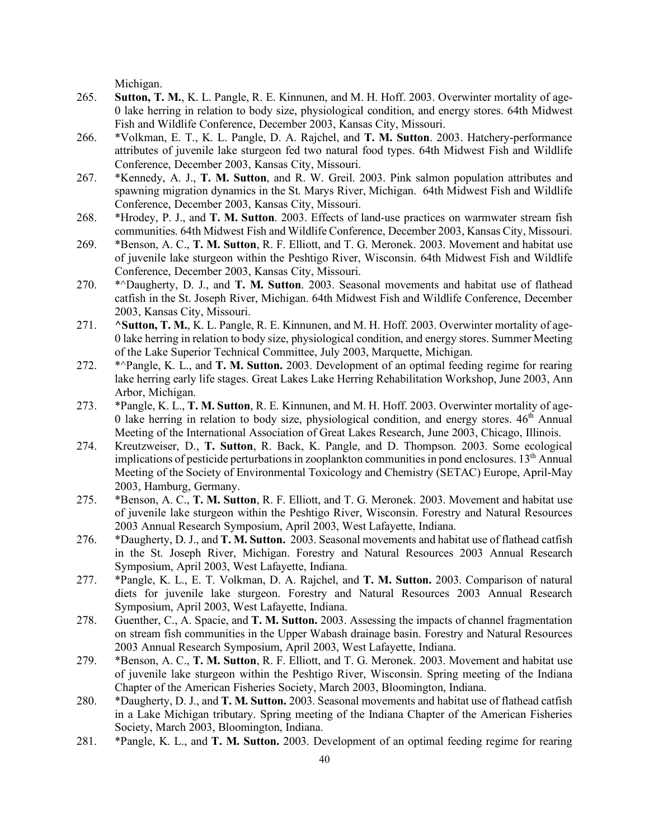Michigan.

- 265. **Sutton, T. M.**, K. L. Pangle, R. E. Kinnunen, and M. H. Hoff. 2003. Overwinter mortality of age-0 lake herring in relation to body size, physiological condition, and energy stores. 64th Midwest Fish and Wildlife Conference, December 2003, Kansas City, Missouri.
- 266. \*Volkman, E. T., K. L. Pangle, D. A. Rajchel, and **T. M. Sutton**. 2003. Hatchery-performance attributes of juvenile lake sturgeon fed two natural food types. 64th Midwest Fish and Wildlife Conference, December 2003, Kansas City, Missouri.
- 267. \*Kennedy, A. J., **T. M. Sutton**, and R. W. Greil. 2003. Pink salmon population attributes and spawning migration dynamics in the St. Marys River, Michigan. 64th Midwest Fish and Wildlife Conference, December 2003, Kansas City, Missouri.
- 268. \*Hrodey, P. J., and **T. M. Sutton**. 2003. Effects of land-use practices on warmwater stream fish communities. 64th Midwest Fish and Wildlife Conference, December 2003, Kansas City, Missouri.
- 269. \*Benson, A. C., **T. M. Sutton**, R. F. Elliott, and T. G. Meronek. 2003. Movement and habitat use of juvenile lake sturgeon within the Peshtigo River, Wisconsin. 64th Midwest Fish and Wildlife Conference, December 2003, Kansas City, Missouri.
- 270. \*^Daugherty, D. J., and **T. M. Sutton**. 2003. Seasonal movements and habitat use of flathead catfish in the St. Joseph River, Michigan. 64th Midwest Fish and Wildlife Conference, December 2003, Kansas City, Missouri.
- 271. **^Sutton, T. M.**, K. L. Pangle, R. E. Kinnunen, and M. H. Hoff. 2003. Overwinter mortality of age-0 lake herring in relation to body size, physiological condition, and energy stores. Summer Meeting of the Lake Superior Technical Committee, July 2003, Marquette, Michigan.
- 272. \*^Pangle, K. L., and **T. M. Sutton.** 2003. Development of an optimal feeding regime for rearing lake herring early life stages. Great Lakes Lake Herring Rehabilitation Workshop, June 2003, Ann Arbor, Michigan.
- 273. \*Pangle, K. L., **T. M. Sutton**, R. E. Kinnunen, and M. H. Hoff. 2003. Overwinter mortality of age-0 lake herring in relation to body size, physiological condition, and energy stores.  $46<sup>th</sup>$  Annual Meeting of the International Association of Great Lakes Research, June 2003, Chicago, Illinois.
- 274. Kreutzweiser, D., **T. Sutton**, R. Back, K. Pangle, and D. Thompson. 2003. Some ecological implications of pesticide perturbations in zooplankton communities in pond enclosures. 13<sup>th</sup> Annual Meeting of the Society of Environmental Toxicology and Chemistry (SETAC) Europe, April-May 2003, Hamburg, Germany.
- 275. \*Benson, A. C., **T. M. Sutton**, R. F. Elliott, and T. G. Meronek. 2003. Movement and habitat use of juvenile lake sturgeon within the Peshtigo River, Wisconsin. Forestry and Natural Resources 2003 Annual Research Symposium, April 2003, West Lafayette, Indiana.
- 276. \*Daugherty, D. J., and **T. M. Sutton.** 2003. Seasonal movements and habitat use of flathead catfish in the St. Joseph River, Michigan. Forestry and Natural Resources 2003 Annual Research Symposium, April 2003, West Lafayette, Indiana.
- 277. \*Pangle, K. L., E. T. Volkman, D. A. Rajchel, and **T. M. Sutton.** 2003. Comparison of natural diets for juvenile lake sturgeon. Forestry and Natural Resources 2003 Annual Research Symposium, April 2003, West Lafayette, Indiana.
- 278. Guenther, C., A. Spacie, and **T. M. Sutton.** 2003. Assessing the impacts of channel fragmentation on stream fish communities in the Upper Wabash drainage basin. Forestry and Natural Resources 2003 Annual Research Symposium, April 2003, West Lafayette, Indiana.
- 279. \*Benson, A. C., **T. M. Sutton**, R. F. Elliott, and T. G. Meronek. 2003. Movement and habitat use of juvenile lake sturgeon within the Peshtigo River, Wisconsin. Spring meeting of the Indiana Chapter of the American Fisheries Society, March 2003, Bloomington, Indiana.
- 280. \*Daugherty, D. J., and **T. M. Sutton.** 2003. Seasonal movements and habitat use of flathead catfish in a Lake Michigan tributary. Spring meeting of the Indiana Chapter of the American Fisheries Society, March 2003, Bloomington, Indiana.
- 281. \*Pangle, K. L., and **T. M. Sutton.** 2003. Development of an optimal feeding regime for rearing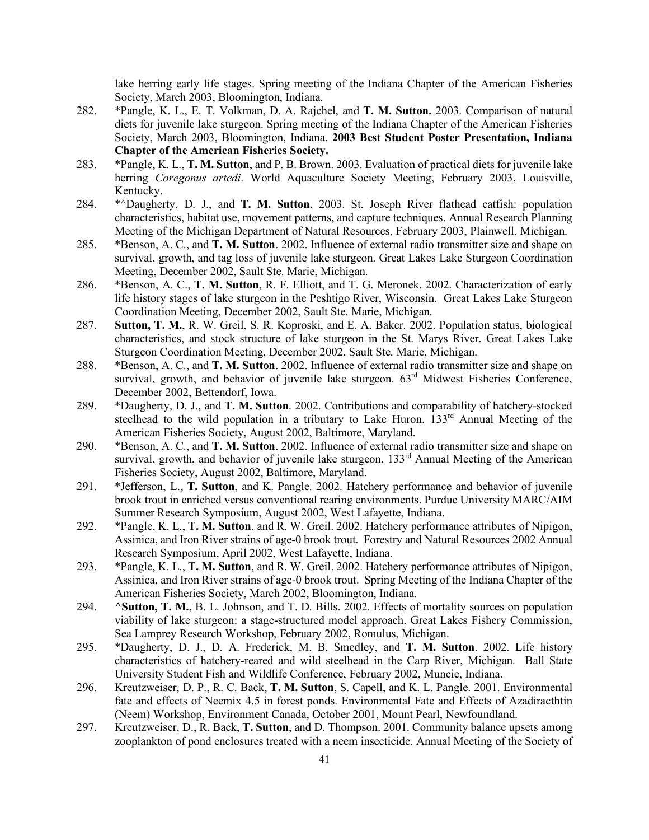lake herring early life stages. Spring meeting of the Indiana Chapter of the American Fisheries Society, March 2003, Bloomington, Indiana.

- 282. \*Pangle, K. L., E. T. Volkman, D. A. Rajchel, and **T. M. Sutton.** 2003. Comparison of natural diets for juvenile lake sturgeon. Spring meeting of the Indiana Chapter of the American Fisheries Society, March 2003, Bloomington, Indiana. **2003 Best Student Poster Presentation, Indiana Chapter of the American Fisheries Society.**
- 283. \*Pangle, K. L., **T. M. Sutton**, and P. B. Brown. 2003. Evaluation of practical diets for juvenile lake herring *Coregonus artedi*. World Aquaculture Society Meeting, February 2003, Louisville, Kentucky.
- 284. \*^Daugherty, D. J., and **T. M. Sutton**. 2003. St. Joseph River flathead catfish: population characteristics, habitat use, movement patterns, and capture techniques. Annual Research Planning Meeting of the Michigan Department of Natural Resources, February 2003, Plainwell, Michigan.
- 285. \*Benson, A. C., and **T. M. Sutton**. 2002. Influence of external radio transmitter size and shape on survival, growth, and tag loss of juvenile lake sturgeon. Great Lakes Lake Sturgeon Coordination Meeting, December 2002, Sault Ste. Marie, Michigan.
- 286. \*Benson, A. C., **T. M. Sutton**, R. F. Elliott, and T. G. Meronek. 2002. Characterization of early life history stages of lake sturgeon in the Peshtigo River, Wisconsin. Great Lakes Lake Sturgeon Coordination Meeting, December 2002, Sault Ste. Marie, Michigan.
- 287. **Sutton, T. M.**, R. W. Greil, S. R. Koproski, and E. A. Baker. 2002. Population status, biological characteristics, and stock structure of lake sturgeon in the St. Marys River. Great Lakes Lake Sturgeon Coordination Meeting, December 2002, Sault Ste. Marie, Michigan.
- 288. \*Benson, A. C., and **T. M. Sutton**. 2002. Influence of external radio transmitter size and shape on survival, growth, and behavior of juvenile lake sturgeon.  $63<sup>rd</sup>$  Midwest Fisheries Conference, December 2002, Bettendorf, Iowa.
- 289. \*Daugherty, D. J., and **T. M. Sutton**. 2002. Contributions and comparability of hatchery-stocked steelhead to the wild population in a tributary to Lake Huron.  $133<sup>rd</sup>$  Annual Meeting of the American Fisheries Society, August 2002, Baltimore, Maryland.
- 290. \*Benson, A. C., and **T. M. Sutton**. 2002. Influence of external radio transmitter size and shape on survival, growth, and behavior of juvenile lake sturgeon.  $133<sup>rd</sup>$  Annual Meeting of the American Fisheries Society, August 2002, Baltimore, Maryland.
- 291. \*Jefferson, L., **T. Sutton**, and K. Pangle. 2002. Hatchery performance and behavior of juvenile brook trout in enriched versus conventional rearing environments. Purdue University MARC/AIM Summer Research Symposium, August 2002, West Lafayette, Indiana.
- 292. \*Pangle, K. L., **T. M. Sutton**, and R. W. Greil. 2002. Hatchery performance attributes of Nipigon, Assinica, and Iron River strains of age-0 brook trout. Forestry and Natural Resources 2002 Annual Research Symposium, April 2002, West Lafayette, Indiana.
- 293. \*Pangle, K. L., **T. M. Sutton**, and R. W. Greil. 2002. Hatchery performance attributes of Nipigon, Assinica, and Iron River strains of age-0 brook trout. Spring Meeting of the Indiana Chapter of the American Fisheries Society, March 2002, Bloomington, Indiana.
- 294. **^Sutton, T. M.**, B. L. Johnson, and T. D. Bills. 2002. Effects of mortality sources on population viability of lake sturgeon: a stage-structured model approach. Great Lakes Fishery Commission, Sea Lamprey Research Workshop, February 2002, Romulus, Michigan.
- 295. \*Daugherty, D. J., D. A. Frederick, M. B. Smedley, and **T. M. Sutton**. 2002. Life history characteristics of hatchery-reared and wild steelhead in the Carp River, Michigan. Ball State University Student Fish and Wildlife Conference, February 2002, Muncie, Indiana.
- 296. Kreutzweiser, D. P., R. C. Back, **T. M. Sutton**, S. Capell, and K. L. Pangle. 2001. Environmental fate and effects of Neemix 4.5 in forest ponds. Environmental Fate and Effects of Azadiracthtin (Neem) Workshop, Environment Canada, October 2001, Mount Pearl, Newfoundland.
- 297. Kreutzweiser, D., R. Back, **T. Sutton**, and D. Thompson. 2001. Community balance upsets among zooplankton of pond enclosures treated with a neem insecticide. Annual Meeting of the Society of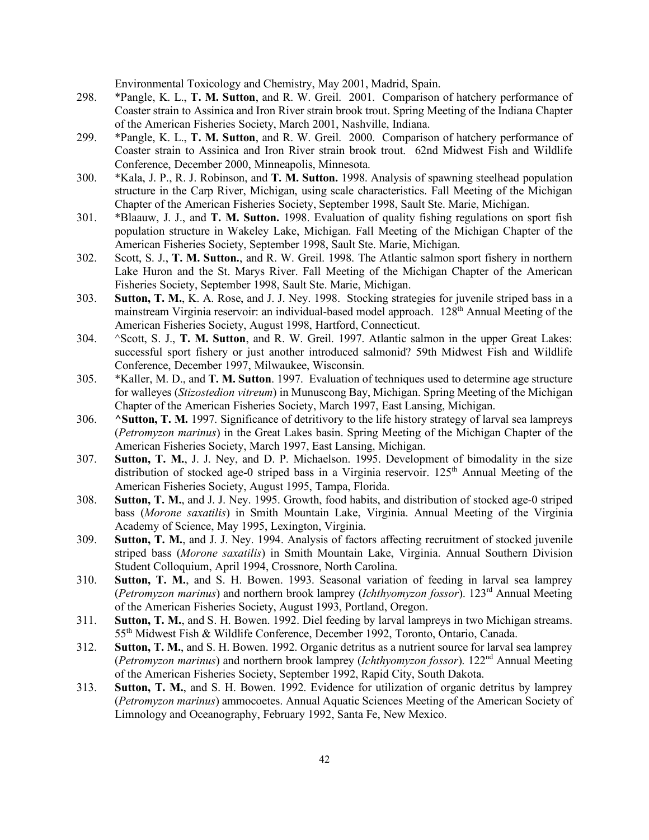Environmental Toxicology and Chemistry, May 2001, Madrid, Spain.

- 298. \*Pangle, K. L., **T. M. Sutton**, and R. W. Greil. 2001. Comparison of hatchery performance of Coaster strain to Assinica and Iron River strain brook trout. Spring Meeting of the Indiana Chapter of the American Fisheries Society, March 2001, Nashville, Indiana.
- 299. \*Pangle, K. L., **T. M. Sutton**, and R. W. Greil. 2000. Comparison of hatchery performance of Coaster strain to Assinica and Iron River strain brook trout. 62nd Midwest Fish and Wildlife Conference, December 2000, Minneapolis, Minnesota.
- 300. \*Kala, J. P., R. J. Robinson, and **T. M. Sutton.** 1998. Analysis of spawning steelhead population structure in the Carp River, Michigan, using scale characteristics. Fall Meeting of the Michigan Chapter of the American Fisheries Society, September 1998, Sault Ste. Marie, Michigan.
- 301. \*Blaauw, J. J., and **T. M. Sutton.** 1998. Evaluation of quality fishing regulations on sport fish population structure in Wakeley Lake, Michigan. Fall Meeting of the Michigan Chapter of the American Fisheries Society, September 1998, Sault Ste. Marie, Michigan.
- 302. Scott, S. J., **T. M. Sutton.**, and R. W. Greil. 1998. The Atlantic salmon sport fishery in northern Lake Huron and the St. Marys River. Fall Meeting of the Michigan Chapter of the American Fisheries Society, September 1998, Sault Ste. Marie, Michigan.
- 303. **Sutton, T. M.**, K. A. Rose, and J. J. Ney. 1998. Stocking strategies for juvenile striped bass in a mainstream Virginia reservoir: an individual-based model approach. 128<sup>th</sup> Annual Meeting of the American Fisheries Society, August 1998, Hartford, Connecticut.
- 304. ^Scott, S. J., **T. M. Sutton**, and R. W. Greil. 1997. Atlantic salmon in the upper Great Lakes: successful sport fishery or just another introduced salmonid? 59th Midwest Fish and Wildlife Conference, December 1997, Milwaukee, Wisconsin.
- 305. \*Kaller, M. D., and **T. M. Sutton**. 1997. Evaluation of techniques used to determine age structure for walleyes (*Stizostedion vitreum*) in Munuscong Bay, Michigan. Spring Meeting of the Michigan Chapter of the American Fisheries Society, March 1997, East Lansing, Michigan.
- 306. **^Sutton, T. M.** 1997. Significance of detritivory to the life history strategy of larval sea lampreys (*Petromyzon marinus*) in the Great Lakes basin. Spring Meeting of the Michigan Chapter of the American Fisheries Society, March 1997, East Lansing, Michigan.
- 307. **Sutton, T. M.**, J. J. Ney, and D. P. Michaelson. 1995. Development of bimodality in the size distribution of stocked age-0 striped bass in a Virginia reservoir.  $125<sup>th</sup>$  Annual Meeting of the American Fisheries Society, August 1995, Tampa, Florida.
- 308. **Sutton, T. M.**, and J. J. Ney. 1995. Growth, food habits, and distribution of stocked age-0 striped bass (*Morone saxatilis*) in Smith Mountain Lake, Virginia. Annual Meeting of the Virginia Academy of Science, May 1995, Lexington, Virginia.
- 309. **Sutton, T. M.**, and J. J. Ney. 1994. Analysis of factors affecting recruitment of stocked juvenile striped bass (*Morone saxatilis*) in Smith Mountain Lake, Virginia. Annual Southern Division Student Colloquium, April 1994, Crossnore, North Carolina.
- 310. **Sutton, T. M.**, and S. H. Bowen. 1993. Seasonal variation of feeding in larval sea lamprey (*Petromyzon marinus*) and northern brook lamprey (*Ichthyomyzon fossor*). 123rd Annual Meeting of the American Fisheries Society, August 1993, Portland, Oregon.
- 311. **Sutton, T. M.**, and S. H. Bowen. 1992. Diel feeding by larval lampreys in two Michigan streams. 55th Midwest Fish & Wildlife Conference, December 1992, Toronto, Ontario, Canada.
- 312. **Sutton, T. M.**, and S. H. Bowen. 1992. Organic detritus as a nutrient source for larval sea lamprey (*Petromyzon marinus*) and northern brook lamprey (*Ichthyomyzon fossor*). 122nd Annual Meeting of the American Fisheries Society, September 1992, Rapid City, South Dakota.
- 313. **Sutton, T. M.**, and S. H. Bowen. 1992. Evidence for utilization of organic detritus by lamprey (*Petromyzon marinus*) ammocoetes. Annual Aquatic Sciences Meeting of the American Society of Limnology and Oceanography, February 1992, Santa Fe, New Mexico.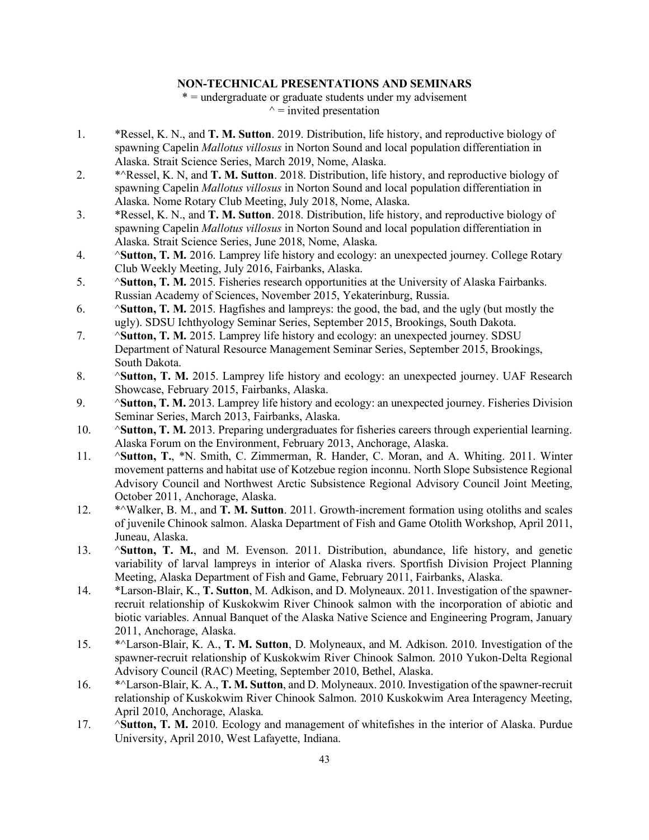### **NON-TECHNICAL PRESENTATIONS AND SEMINARS**

\* = undergraduate or graduate students under my advisement  $\gamma$  = invited presentation

- 1. \*Ressel, K. N., and **T. M. Sutton**. 2019. Distribution, life history, and reproductive biology of spawning Capelin *Mallotus villosus* in Norton Sound and local population differentiation in Alaska. Strait Science Series, March 2019, Nome, Alaska.
- 2. \*^Ressel, K. N, and **T. M. Sutton**. 2018. Distribution, life history, and reproductive biology of spawning Capelin *Mallotus villosus* in Norton Sound and local population differentiation in Alaska. Nome Rotary Club Meeting, July 2018, Nome, Alaska.
- 3. \*Ressel, K. N., and **T. M. Sutton**. 2018. Distribution, life history, and reproductive biology of spawning Capelin *Mallotus villosus* in Norton Sound and local population differentiation in Alaska. Strait Science Series, June 2018, Nome, Alaska.
- 4. ^**Sutton, T. M.** 2016. Lamprey life history and ecology: an unexpected journey. College Rotary Club Weekly Meeting, July 2016, Fairbanks, Alaska.
- 5. ^**Sutton, T. M.** 2015. Fisheries research opportunities at the University of Alaska Fairbanks. Russian Academy of Sciences, November 2015, Yekaterinburg, Russia.
- 6. ^**Sutton, T. M.** 2015. Hagfishes and lampreys: the good, the bad, and the ugly (but mostly the ugly). SDSU Ichthyology Seminar Series, September 2015, Brookings, South Dakota.
- 7. ^**Sutton, T. M.** 2015. Lamprey life history and ecology: an unexpected journey. SDSU Department of Natural Resource Management Seminar Series, September 2015, Brookings, South Dakota.
- 8. ^**Sutton, T. M.** 2015. Lamprey life history and ecology: an unexpected journey. UAF Research Showcase, February 2015, Fairbanks, Alaska.
- 9. ^**Sutton, T. M.** 2013. Lamprey life history and ecology: an unexpected journey. Fisheries Division Seminar Series, March 2013, Fairbanks, Alaska.
- 10. ^**Sutton, T. M.** 2013. Preparing undergraduates for fisheries careers through experiential learning. Alaska Forum on the Environment, February 2013, Anchorage, Alaska.
- 11. ^**Sutton, T.**, \*N. Smith, C. Zimmerman, R. Hander, C. Moran, and A. Whiting. 2011. Winter movement patterns and habitat use of Kotzebue region inconnu. North Slope Subsistence Regional Advisory Council and Northwest Arctic Subsistence Regional Advisory Council Joint Meeting, October 2011, Anchorage, Alaska.
- 12. \*^Walker, B. M., and **T. M. Sutton**. 2011. Growth-increment formation using otoliths and scales of juvenile Chinook salmon. Alaska Department of Fish and Game Otolith Workshop, April 2011, Juneau, Alaska.
- 13. ^**Sutton, T. M.**, and M. Evenson. 2011. Distribution, abundance, life history, and genetic variability of larval lampreys in interior of Alaska rivers. Sportfish Division Project Planning Meeting, Alaska Department of Fish and Game, February 2011, Fairbanks, Alaska.
- 14. \*Larson-Blair, K., **T. Sutton**, M. Adkison, and D. Molyneaux. 2011. Investigation of the spawnerrecruit relationship of Kuskokwim River Chinook salmon with the incorporation of abiotic and biotic variables. Annual Banquet of the Alaska Native Science and Engineering Program, January 2011, Anchorage, Alaska.
- 15. \*^Larson-Blair, K. A., **T. M. Sutton**, D. Molyneaux, and M. Adkison. 2010. Investigation of the spawner-recruit relationship of Kuskokwim River Chinook Salmon. 2010 Yukon-Delta Regional Advisory Council (RAC) Meeting, September 2010, Bethel, Alaska.
- 16. \*^Larson-Blair, K. A., **T. M. Sutton**, and D. Molyneaux. 2010. Investigation of the spawner-recruit relationship of Kuskokwim River Chinook Salmon. 2010 Kuskokwim Area Interagency Meeting, April 2010, Anchorage, Alaska.
- 17. ^**Sutton, T. M.** 2010. Ecology and management of whitefishes in the interior of Alaska. Purdue University, April 2010, West Lafayette, Indiana.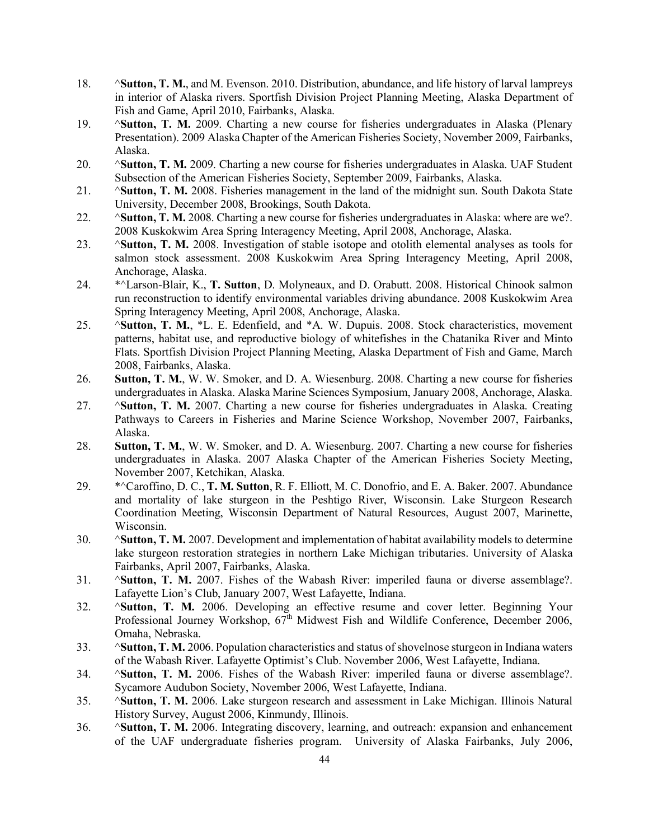- 18. ^**Sutton, T. M.**, and M. Evenson. 2010. Distribution, abundance, and life history of larval lampreys in interior of Alaska rivers. Sportfish Division Project Planning Meeting, Alaska Department of Fish and Game, April 2010, Fairbanks, Alaska.
- 19. ^**Sutton, T. M.** 2009. Charting a new course for fisheries undergraduates in Alaska (Plenary Presentation). 2009 Alaska Chapter of the American Fisheries Society, November 2009, Fairbanks, Alaska.
- 20. ^**Sutton, T. M.** 2009. Charting a new course for fisheries undergraduates in Alaska. UAF Student Subsection of the American Fisheries Society, September 2009, Fairbanks, Alaska.
- 21. ^**Sutton, T. M.** 2008. Fisheries management in the land of the midnight sun. South Dakota State University, December 2008, Brookings, South Dakota.
- 22. ^**Sutton, T. M.** 2008. Charting a new course for fisheries undergraduates in Alaska: where are we?. 2008 Kuskokwim Area Spring Interagency Meeting, April 2008, Anchorage, Alaska.
- 23. ^**Sutton, T. M.** 2008. Investigation of stable isotope and otolith elemental analyses as tools for salmon stock assessment. 2008 Kuskokwim Area Spring Interagency Meeting, April 2008, Anchorage, Alaska.
- 24. \*^Larson-Blair, K., **T. Sutton**, D. Molyneaux, and D. Orabutt. 2008. Historical Chinook salmon run reconstruction to identify environmental variables driving abundance. 2008 Kuskokwim Area Spring Interagency Meeting, April 2008, Anchorage, Alaska.
- 25. ^**Sutton, T. M.**, \*L. E. Edenfield, and \*A. W. Dupuis. 2008. Stock characteristics, movement patterns, habitat use, and reproductive biology of whitefishes in the Chatanika River and Minto Flats. Sportfish Division Project Planning Meeting, Alaska Department of Fish and Game, March 2008, Fairbanks, Alaska.
- 26. **Sutton, T. M.**, W. W. Smoker, and D. A. Wiesenburg. 2008. Charting a new course for fisheries undergraduates in Alaska. Alaska Marine Sciences Symposium, January 2008, Anchorage, Alaska.
- 27. ^**Sutton, T. M.** 2007. Charting a new course for fisheries undergraduates in Alaska. Creating Pathways to Careers in Fisheries and Marine Science Workshop, November 2007, Fairbanks, Alaska.
- 28. **Sutton, T. M.**, W. W. Smoker, and D. A. Wiesenburg. 2007. Charting a new course for fisheries undergraduates in Alaska. 2007 Alaska Chapter of the American Fisheries Society Meeting, November 2007, Ketchikan, Alaska.
- 29. \*^Caroffino, D. C., **T. M. Sutton**, R. F. Elliott, M. C. Donofrio, and E. A. Baker. 2007. Abundance and mortality of lake sturgeon in the Peshtigo River, Wisconsin. Lake Sturgeon Research Coordination Meeting, Wisconsin Department of Natural Resources, August 2007, Marinette, Wisconsin.
- 30. ^**Sutton, T. M.** 2007. Development and implementation of habitat availability models to determine lake sturgeon restoration strategies in northern Lake Michigan tributaries. University of Alaska Fairbanks, April 2007, Fairbanks, Alaska.
- 31. ^**Sutton, T. M.** 2007. Fishes of the Wabash River: imperiled fauna or diverse assemblage?. Lafayette Lion's Club, January 2007, West Lafayette, Indiana.
- 32. ^**Sutton, T. M.** 2006. Developing an effective resume and cover letter. Beginning Your Professional Journey Workshop, 67<sup>th</sup> Midwest Fish and Wildlife Conference, December 2006, Omaha, Nebraska.
- 33. ^**Sutton, T. M.** 2006. Population characteristics and status of shovelnose sturgeon in Indiana waters of the Wabash River. Lafayette Optimist's Club. November 2006, West Lafayette, Indiana.
- 34. ^**Sutton, T. M.** 2006. Fishes of the Wabash River: imperiled fauna or diverse assemblage?. Sycamore Audubon Society, November 2006, West Lafayette, Indiana.
- 35. ^**Sutton, T. M.** 2006. Lake sturgeon research and assessment in Lake Michigan. Illinois Natural History Survey, August 2006, Kinmundy, Illinois.
- 36. ^**Sutton, T. M.** 2006. Integrating discovery, learning, and outreach: expansion and enhancement of the UAF undergraduate fisheries program. University of Alaska Fairbanks, July 2006,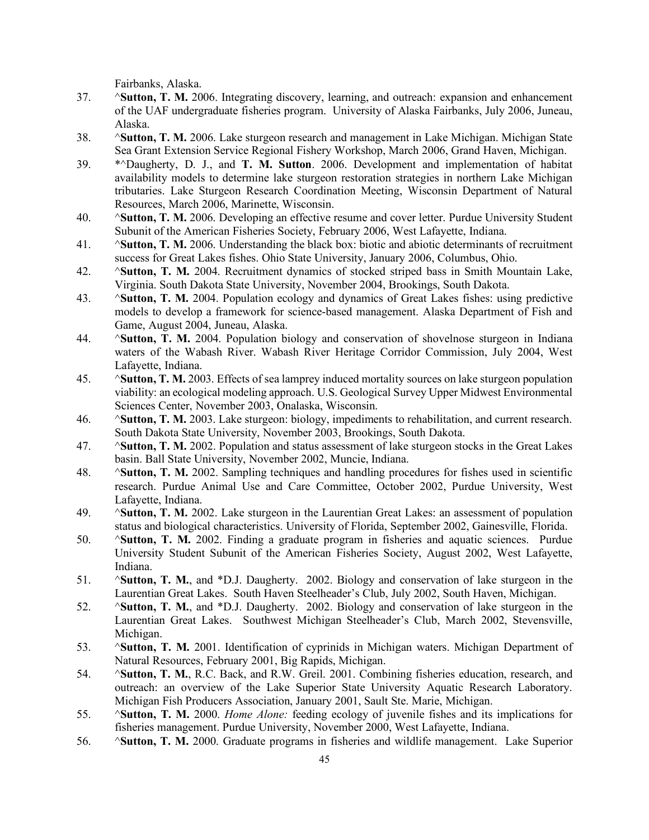Fairbanks, Alaska.

- 37. ^**Sutton, T. M.** 2006. Integrating discovery, learning, and outreach: expansion and enhancement of the UAF undergraduate fisheries program. University of Alaska Fairbanks, July 2006, Juneau, Alaska.
- 38. ^**Sutton, T. M.** 2006. Lake sturgeon research and management in Lake Michigan. Michigan State Sea Grant Extension Service Regional Fishery Workshop, March 2006, Grand Haven, Michigan.
- 39. \*^Daugherty, D. J., and **T. M. Sutton**. 2006. Development and implementation of habitat availability models to determine lake sturgeon restoration strategies in northern Lake Michigan tributaries. Lake Sturgeon Research Coordination Meeting, Wisconsin Department of Natural Resources, March 2006, Marinette, Wisconsin.
- 40. ^**Sutton, T. M.** 2006. Developing an effective resume and cover letter. Purdue University Student Subunit of the American Fisheries Society, February 2006, West Lafayette, Indiana.
- 41. ^**Sutton, T. M.** 2006. Understanding the black box: biotic and abiotic determinants of recruitment success for Great Lakes fishes. Ohio State University, January 2006, Columbus, Ohio.
- 42. ^**Sutton, T. M.** 2004. Recruitment dynamics of stocked striped bass in Smith Mountain Lake, Virginia. South Dakota State University, November 2004, Brookings, South Dakota.
- 43. ^**Sutton, T. M.** 2004. Population ecology and dynamics of Great Lakes fishes: using predictive models to develop a framework for science-based management. Alaska Department of Fish and Game, August 2004, Juneau, Alaska.
- 44. ^**Sutton, T. M.** 2004. Population biology and conservation of shovelnose sturgeon in Indiana waters of the Wabash River. Wabash River Heritage Corridor Commission, July 2004, West Lafayette, Indiana.
- 45. ^**Sutton, T. M.** 2003. Effects of sea lamprey induced mortality sources on lake sturgeon population viability: an ecological modeling approach. U.S. Geological Survey Upper Midwest Environmental Sciences Center, November 2003, Onalaska, Wisconsin.
- 46. ^**Sutton, T. M.** 2003. Lake sturgeon: biology, impediments to rehabilitation, and current research. South Dakota State University, November 2003, Brookings, South Dakota.
- 47. ^**Sutton, T. M.** 2002. Population and status assessment of lake sturgeon stocks in the Great Lakes basin. Ball State University, November 2002, Muncie, Indiana.
- 48. ^**Sutton, T. M.** 2002. Sampling techniques and handling procedures for fishes used in scientific research. Purdue Animal Use and Care Committee, October 2002, Purdue University, West Lafayette, Indiana.
- 49. ^**Sutton, T. M.** 2002. Lake sturgeon in the Laurentian Great Lakes: an assessment of population status and biological characteristics. University of Florida, September 2002, Gainesville, Florida.
- 50. ^**Sutton, T. M.** 2002. Finding a graduate program in fisheries and aquatic sciences. Purdue University Student Subunit of the American Fisheries Society, August 2002, West Lafayette, Indiana.
- 51. ^**Sutton, T. M.**, and \*D.J. Daugherty. 2002. Biology and conservation of lake sturgeon in the Laurentian Great Lakes. South Haven Steelheader's Club, July 2002, South Haven, Michigan.
- 52. ^**Sutton, T. M.**, and \*D.J. Daugherty. 2002. Biology and conservation of lake sturgeon in the Laurentian Great Lakes. Southwest Michigan Steelheader's Club, March 2002, Stevensville, Michigan.
- 53. ^**Sutton, T. M.** 2001. Identification of cyprinids in Michigan waters. Michigan Department of Natural Resources, February 2001, Big Rapids, Michigan.
- 54. ^**Sutton, T. M.**, R.C. Back, and R.W. Greil. 2001. Combining fisheries education, research, and outreach: an overview of the Lake Superior State University Aquatic Research Laboratory. Michigan Fish Producers Association, January 2001, Sault Ste. Marie, Michigan.
- 55. ^**Sutton, T. M.** 2000. *Home Alone:* feeding ecology of juvenile fishes and its implications for fisheries management. Purdue University, November 2000, West Lafayette, Indiana.
- 56. ^**Sutton, T. M.** 2000. Graduate programs in fisheries and wildlife management. Lake Superior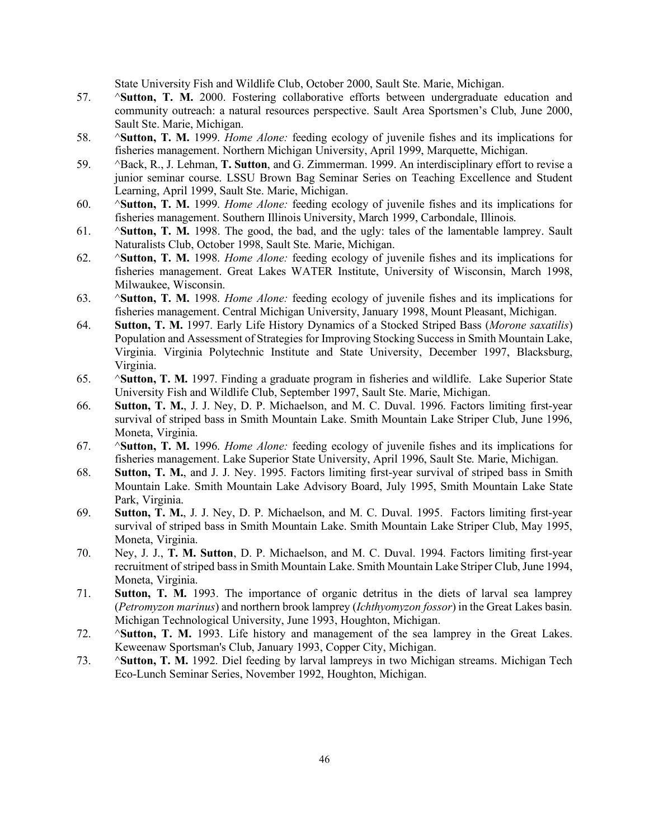State University Fish and Wildlife Club, October 2000, Sault Ste. Marie, Michigan.

- 57. ^**Sutton, T. M.** 2000. Fostering collaborative efforts between undergraduate education and community outreach: a natural resources perspective. Sault Area Sportsmen's Club, June 2000, Sault Ste. Marie, Michigan.
- 58. ^**Sutton, T. M.** 1999. *Home Alone:* feeding ecology of juvenile fishes and its implications for fisheries management. Northern Michigan University, April 1999, Marquette, Michigan.
- 59. ^Back, R., J. Lehman, **T. Sutton**, and G. Zimmerman. 1999. An interdisciplinary effort to revise a junior seminar course. LSSU Brown Bag Seminar Series on Teaching Excellence and Student Learning, April 1999, Sault Ste. Marie, Michigan.
- 60. ^**Sutton, T. M.** 1999. *Home Alone:* feeding ecology of juvenile fishes and its implications for fisheries management. Southern Illinois University, March 1999, Carbondale, Illinois.
- 61. ^**Sutton, T. M.** 1998. The good, the bad, and the ugly: tales of the lamentable lamprey. Sault Naturalists Club, October 1998, Sault Ste. Marie, Michigan.
- 62. ^**Sutton, T. M.** 1998. *Home Alone:* feeding ecology of juvenile fishes and its implications for fisheries management. Great Lakes WATER Institute, University of Wisconsin, March 1998, Milwaukee, Wisconsin.
- 63. ^**Sutton, T. M.** 1998. *Home Alone:* feeding ecology of juvenile fishes and its implications for fisheries management. Central Michigan University, January 1998, Mount Pleasant, Michigan.
- 64. **Sutton, T. M.** 1997. Early Life History Dynamics of a Stocked Striped Bass (*Morone saxatilis*) Population and Assessment of Strategies for Improving Stocking Success in Smith Mountain Lake, Virginia. Virginia Polytechnic Institute and State University, December 1997, Blacksburg, Virginia.
- 65. ^**Sutton, T. M.** 1997. Finding a graduate program in fisheries and wildlife. Lake Superior State University Fish and Wildlife Club, September 1997, Sault Ste. Marie, Michigan.
- 66. **Sutton, T. M.**, J. J. Ney, D. P. Michaelson, and M. C. Duval. 1996. Factors limiting first-year survival of striped bass in Smith Mountain Lake. Smith Mountain Lake Striper Club, June 1996, Moneta, Virginia.
- 67. ^**Sutton, T. M.** 1996. *Home Alone:* feeding ecology of juvenile fishes and its implications for fisheries management. Lake Superior State University, April 1996, Sault Ste. Marie, Michigan.
- 68. **Sutton, T. M.**, and J. J. Ney. 1995. Factors limiting first-year survival of striped bass in Smith Mountain Lake. Smith Mountain Lake Advisory Board, July 1995, Smith Mountain Lake State Park, Virginia.
- 69. **Sutton, T. M.**, J. J. Ney, D. P. Michaelson, and M. C. Duval. 1995. Factors limiting first-year survival of striped bass in Smith Mountain Lake. Smith Mountain Lake Striper Club, May 1995, Moneta, Virginia.
- 70. Ney, J. J., **T. M. Sutton**, D. P. Michaelson, and M. C. Duval. 1994. Factors limiting first-year recruitment of striped bass in Smith Mountain Lake. Smith Mountain Lake Striper Club, June 1994, Moneta, Virginia.
- 71. **Sutton, T. M.** 1993. The importance of organic detritus in the diets of larval sea lamprey (*Petromyzon marinus*) and northern brook lamprey (*Ichthyomyzon fossor*) in the Great Lakes basin. Michigan Technological University, June 1993, Houghton, Michigan.
- 72. ^**Sutton, T. M.** 1993. Life history and management of the sea lamprey in the Great Lakes. Keweenaw Sportsman's Club, January 1993, Copper City, Michigan.
- 73. ^**Sutton, T. M.** 1992. Diel feeding by larval lampreys in two Michigan streams. Michigan Tech Eco-Lunch Seminar Series, November 1992, Houghton, Michigan.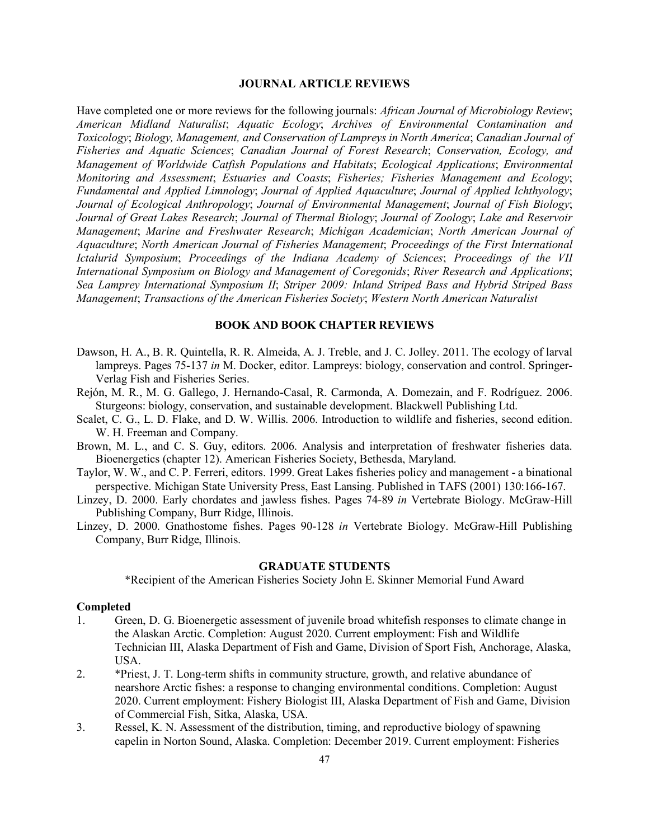#### **JOURNAL ARTICLE REVIEWS**

Have completed one or more reviews for the following journals: *African Journal of Microbiology Review*; *American Midland Naturalist*; *Aquatic Ecology*; *Archives of Environmental Contamination and Toxicology*; *Biology, Management, and Conservation of Lampreys in North America*; *Canadian Journal of Fisheries and Aquatic Sciences*; *Canadian Journal of Forest Research*; *Conservation, Ecology, and Management of Worldwide Catfish Populations and Habitats*; *Ecological Applications*; *Environmental Monitoring and Assessment*; *Estuaries and Coasts*; *Fisheries; Fisheries Management and Ecology*; *Fundamental and Applied Limnology*; *Journal of Applied Aquaculture*; *Journal of Applied Ichthyology*; *Journal of Ecological Anthropology*; *Journal of Environmental Management*; *Journal of Fish Biology*; *Journal of Great Lakes Research*; *Journal of Thermal Biology*; *Journal of Zoology*; *Lake and Reservoir Management*; *Marine and Freshwater Research*; *Michigan Academician*; *North American Journal of Aquaculture*; *North American Journal of Fisheries Management*; *Proceedings of the First International Ictalurid Symposium*; *Proceedings of the Indiana Academy of Sciences*; *Proceedings of the VII International Symposium on Biology and Management of Coregonids*; *River Research and Applications*; *Sea Lamprey International Symposium II*; *Striper 2009: Inland Striped Bass and Hybrid Striped Bass Management*; *Transactions of the American Fisheries Society*; *Western North American Naturalist*

#### **BOOK AND BOOK CHAPTER REVIEWS**

- Dawson, H. A., B. R. Quintella, R. R. Almeida, A. J. Treble, and J. C. Jolley. 2011. The ecology of larval lampreys. Pages 75-137 *in* M. Docker, editor. Lampreys: biology, conservation and control. Springer-Verlag Fish and Fisheries Series.
- Rejón, M. R., M. G. Gallego, J. Hernando-Casal, R. Carmonda, A. Domezain, and F. Rodríguez. 2006. Sturgeons: biology, conservation, and sustainable development. Blackwell Publishing Ltd.
- Scalet, C. G., L. D. Flake, and D. W. Willis. 2006. Introduction to wildlife and fisheries, second edition. W. H. Freeman and Company.
- Brown, M. L., and C. S. Guy, editors. 2006. Analysis and interpretation of freshwater fisheries data. Bioenergetics (chapter 12). American Fisheries Society, Bethesda, Maryland.
- Taylor, W. W., and C. P. Ferreri, editors. 1999. Great Lakes fisheries policy and management a binational perspective. Michigan State University Press, East Lansing. Published in TAFS (2001) 130:166-167.
- Linzey, D. 2000. Early chordates and jawless fishes. Pages 74-89 *in* Vertebrate Biology. McGraw-Hill Publishing Company, Burr Ridge, Illinois.
- Linzey, D. 2000. Gnathostome fishes. Pages 90-128 *in* Vertebrate Biology. McGraw-Hill Publishing Company, Burr Ridge, Illinois.

#### **GRADUATE STUDENTS**

\*Recipient of the American Fisheries Society John E. Skinner Memorial Fund Award

### **Completed**

- 1. Green, D. G. Bioenergetic assessment of juvenile broad whitefish responses to climate change in the Alaskan Arctic. Completion: August 2020. Current employment: Fish and Wildlife Technician III, Alaska Department of Fish and Game, Division of Sport Fish, Anchorage, Alaska, USA.
- 2. \*Priest, J. T. Long-term shifts in community structure, growth, and relative abundance of nearshore Arctic fishes: a response to changing environmental conditions. Completion: August 2020. Current employment: Fishery Biologist III, Alaska Department of Fish and Game, Division of Commercial Fish, Sitka, Alaska, USA.
- 3. Ressel, K. N. Assessment of the distribution, timing, and reproductive biology of spawning capelin in Norton Sound, Alaska. Completion: December 2019. Current employment: Fisheries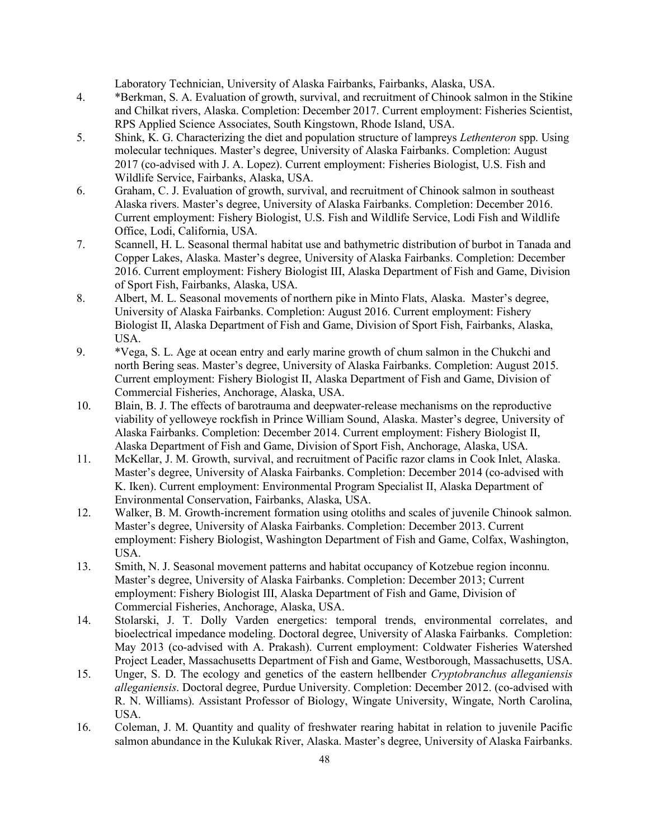Laboratory Technician, University of Alaska Fairbanks, Fairbanks, Alaska, USA.

- 4. \*Berkman, S. A. Evaluation of growth, survival, and recruitment of Chinook salmon in the Stikine and Chilkat rivers, Alaska. Completion: December 2017. Current employment: Fisheries Scientist, RPS Applied Science Associates, South Kingstown, Rhode Island, USA.
- 5. Shink, K. G. Characterizing the diet and population structure of lampreys *Lethenteron* spp. Using molecular techniques. Master's degree, University of Alaska Fairbanks. Completion: August 2017 (co-advised with J. A. Lopez). Current employment: Fisheries Biologist, U.S. Fish and Wildlife Service, Fairbanks, Alaska, USA.
- 6. Graham, C. J. Evaluation of growth, survival, and recruitment of Chinook salmon in southeast Alaska rivers. Master's degree, University of Alaska Fairbanks. Completion: December 2016. Current employment: Fishery Biologist, U.S. Fish and Wildlife Service, Lodi Fish and Wildlife Office, Lodi, California, USA.
- 7. Scannell, H. L. Seasonal thermal habitat use and bathymetric distribution of burbot in Tanada and Copper Lakes, Alaska. Master's degree, University of Alaska Fairbanks. Completion: December 2016. Current employment: Fishery Biologist III, Alaska Department of Fish and Game, Division of Sport Fish, Fairbanks, Alaska, USA.
- 8. Albert, M. L. Seasonal movements of northern pike in Minto Flats, Alaska. Master's degree, University of Alaska Fairbanks. Completion: August 2016. Current employment: Fishery Biologist II, Alaska Department of Fish and Game, Division of Sport Fish, Fairbanks, Alaska, USA.
- 9. \*Vega, S. L. Age at ocean entry and early marine growth of chum salmon in the Chukchi and north Bering seas. Master's degree, University of Alaska Fairbanks. Completion: August 2015. Current employment: Fishery Biologist II, Alaska Department of Fish and Game, Division of Commercial Fisheries, Anchorage, Alaska, USA.
- 10. Blain, B. J. The effects of barotrauma and deepwater-release mechanisms on the reproductive viability of yelloweye rockfish in Prince William Sound, Alaska. Master's degree, University of Alaska Fairbanks. Completion: December 2014. Current employment: Fishery Biologist II, Alaska Department of Fish and Game, Division of Sport Fish, Anchorage, Alaska, USA.
- 11. McKellar, J. M. Growth, survival, and recruitment of Pacific razor clams in Cook Inlet, Alaska. Master's degree, University of Alaska Fairbanks. Completion: December 2014 (co-advised with K. Iken). Current employment: Environmental Program Specialist II, Alaska Department of Environmental Conservation, Fairbanks, Alaska, USA.
- 12. Walker, B. M. Growth-increment formation using otoliths and scales of juvenile Chinook salmon. Master's degree, University of Alaska Fairbanks. Completion: December 2013. Current employment: Fishery Biologist, Washington Department of Fish and Game, Colfax, Washington, USA.
- 13. Smith, N. J. Seasonal movement patterns and habitat occupancy of Kotzebue region inconnu. Master's degree, University of Alaska Fairbanks. Completion: December 2013; Current employment: Fishery Biologist III, Alaska Department of Fish and Game, Division of Commercial Fisheries, Anchorage, Alaska, USA.
- 14. Stolarski, J. T. Dolly Varden energetics: temporal trends, environmental correlates, and bioelectrical impedance modeling. Doctoral degree, University of Alaska Fairbanks. Completion: May 2013 (co-advised with A. Prakash). Current employment: Coldwater Fisheries Watershed Project Leader, Massachusetts Department of Fish and Game, Westborough, Massachusetts, USA.
- 15. Unger, S. D. The ecology and genetics of the eastern hellbender *Cryptobranchus alleganiensis alleganiensis*. Doctoral degree, Purdue University. Completion: December 2012. (co-advised with R. N. Williams). Assistant Professor of Biology, Wingate University, Wingate, North Carolina, USA.
- 16. Coleman, J. M. Quantity and quality of freshwater rearing habitat in relation to juvenile Pacific salmon abundance in the Kulukak River, Alaska. Master's degree, University of Alaska Fairbanks.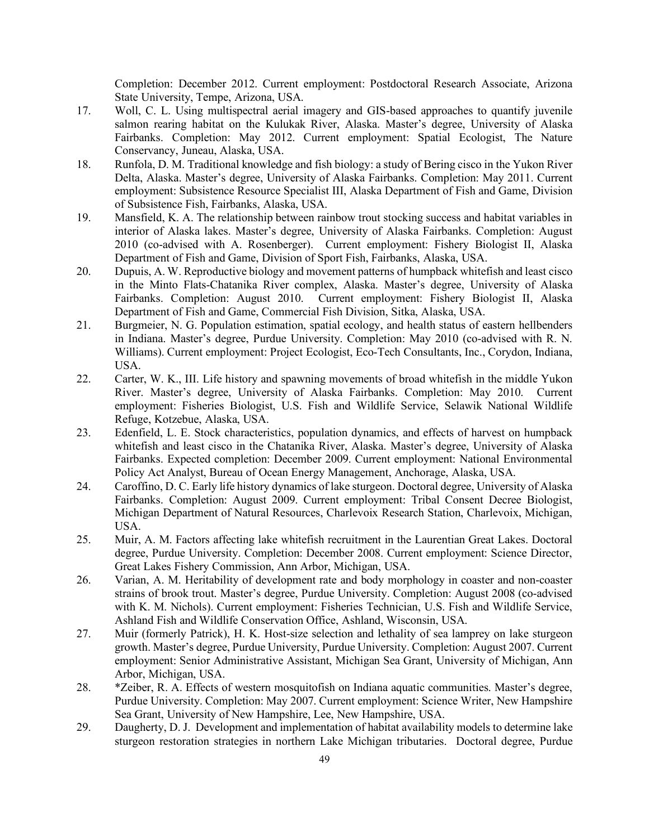Completion: December 2012. Current employment: Postdoctoral Research Associate, Arizona State University, Tempe, Arizona, USA.

- 17. Woll, C. L. Using multispectral aerial imagery and GIS-based approaches to quantify juvenile salmon rearing habitat on the Kulukak River, Alaska. Master's degree, University of Alaska Fairbanks. Completion: May 2012. Current employment: Spatial Ecologist, The Nature Conservancy, Juneau, Alaska, USA.
- 18. Runfola, D. M. Traditional knowledge and fish biology: a study of Bering cisco in the Yukon River Delta, Alaska. Master's degree, University of Alaska Fairbanks. Completion: May 2011. Current employment: Subsistence Resource Specialist III, Alaska Department of Fish and Game, Division of Subsistence Fish, Fairbanks, Alaska, USA.
- 19. Mansfield, K. A. The relationship between rainbow trout stocking success and habitat variables in interior of Alaska lakes. Master's degree, University of Alaska Fairbanks. Completion: August 2010 (co-advised with A. Rosenberger). Current employment: Fishery Biologist II, Alaska Department of Fish and Game, Division of Sport Fish, Fairbanks, Alaska, USA.
- 20. Dupuis, A. W. Reproductive biology and movement patterns of humpback whitefish and least cisco in the Minto Flats-Chatanika River complex, Alaska. Master's degree, University of Alaska Fairbanks. Completion: August 2010. Current employment: Fishery Biologist II, Alaska Department of Fish and Game, Commercial Fish Division, Sitka, Alaska, USA.
- 21. Burgmeier, N. G. Population estimation, spatial ecology, and health status of eastern hellbenders in Indiana. Master's degree, Purdue University. Completion: May 2010 (co-advised with R. N. Williams). Current employment: Project Ecologist, Eco-Tech Consultants, Inc., Corydon, Indiana, USA.
- 22. Carter, W. K., III. Life history and spawning movements of broad whitefish in the middle Yukon River. Master's degree, University of Alaska Fairbanks. Completion: May 2010. Current employment: Fisheries Biologist, U.S. Fish and Wildlife Service, Selawik National Wildlife Refuge, Kotzebue, Alaska, USA.
- 23. Edenfield, L. E. Stock characteristics, population dynamics, and effects of harvest on humpback whitefish and least cisco in the Chatanika River, Alaska. Master's degree, University of Alaska Fairbanks. Expected completion: December 2009. Current employment: National Environmental Policy Act Analyst, Bureau of Ocean Energy Management, Anchorage, Alaska, USA.
- 24. Caroffino, D. C. Early life history dynamics of lake sturgeon. Doctoral degree, University of Alaska Fairbanks. Completion: August 2009. Current employment: Tribal Consent Decree Biologist, Michigan Department of Natural Resources, Charlevoix Research Station, Charlevoix, Michigan, USA.
- 25. Muir, A. M. Factors affecting lake whitefish recruitment in the Laurentian Great Lakes. Doctoral degree, Purdue University. Completion: December 2008. Current employment: Science Director, Great Lakes Fishery Commission, Ann Arbor, Michigan, USA.
- 26. Varian, A. M. Heritability of development rate and body morphology in coaster and non-coaster strains of brook trout. Master's degree, Purdue University. Completion: August 2008 (co-advised with K. M. Nichols). Current employment: Fisheries Technician, U.S. Fish and Wildlife Service, Ashland Fish and Wildlife Conservation Office, Ashland, Wisconsin, USA.
- 27. Muir (formerly Patrick), H. K. Host-size selection and lethality of sea lamprey on lake sturgeon growth. Master's degree, Purdue University, Purdue University. Completion: August 2007. Current employment: Senior Administrative Assistant, Michigan Sea Grant, University of Michigan, Ann Arbor, Michigan, USA.
- 28. \*Zeiber, R. A. Effects of western mosquitofish on Indiana aquatic communities. Master's degree, Purdue University. Completion: May 2007. Current employment: Science Writer, New Hampshire Sea Grant, University of New Hampshire, Lee, New Hampshire, USA.
- 29. Daugherty, D. J. Development and implementation of habitat availability models to determine lake sturgeon restoration strategies in northern Lake Michigan tributaries. Doctoral degree, Purdue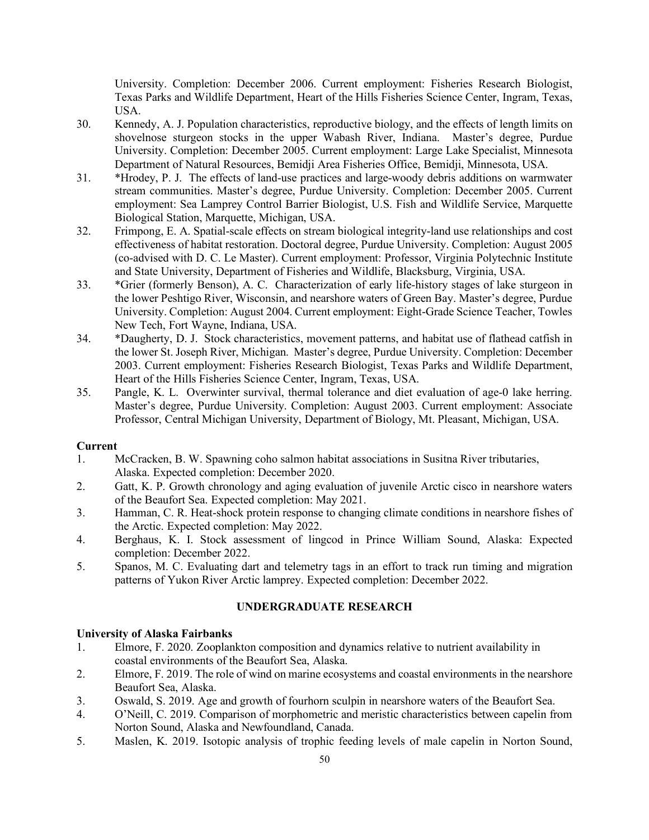University. Completion: December 2006. Current employment: Fisheries Research Biologist, Texas Parks and Wildlife Department, Heart of the Hills Fisheries Science Center, Ingram, Texas, USA.

- 30. Kennedy, A. J. Population characteristics, reproductive biology, and the effects of length limits on shovelnose sturgeon stocks in the upper Wabash River, Indiana. Master's degree, Purdue University. Completion: December 2005. Current employment: Large Lake Specialist, Minnesota Department of Natural Resources, Bemidji Area Fisheries Office, Bemidji, Minnesota, USA.
- 31. \*Hrodey, P. J. The effects of land-use practices and large-woody debris additions on warmwater stream communities. Master's degree, Purdue University. Completion: December 2005. Current employment: Sea Lamprey Control Barrier Biologist, U.S. Fish and Wildlife Service, Marquette Biological Station, Marquette, Michigan, USA.
- 32. Frimpong, E. A. Spatial-scale effects on stream biological integrity-land use relationships and cost effectiveness of habitat restoration. Doctoral degree, Purdue University. Completion: August 2005 (co-advised with D. C. Le Master). Current employment: Professor, Virginia Polytechnic Institute and State University, Department of Fisheries and Wildlife, Blacksburg, Virginia, USA.
- 33. \*Grier (formerly Benson), A. C. Characterization of early life-history stages of lake sturgeon in the lower Peshtigo River, Wisconsin, and nearshore waters of Green Bay. Master's degree, Purdue University. Completion: August 2004. Current employment: Eight-Grade Science Teacher, Towles New Tech, Fort Wayne, Indiana, USA.
- 34. \*Daugherty, D. J. Stock characteristics, movement patterns, and habitat use of flathead catfish in the lower St. Joseph River, Michigan. Master's degree, Purdue University. Completion: December 2003. Current employment: Fisheries Research Biologist, Texas Parks and Wildlife Department, Heart of the Hills Fisheries Science Center, Ingram, Texas, USA.
- 35. Pangle, K. L. Overwinter survival, thermal tolerance and diet evaluation of age-0 lake herring. Master's degree, Purdue University. Completion: August 2003. Current employment: Associate Professor, Central Michigan University, Department of Biology, Mt. Pleasant, Michigan, USA.

### **Current**

- 1. McCracken, B. W. Spawning coho salmon habitat associations in Susitna River tributaries, Alaska. Expected completion: December 2020.
- 2. Gatt, K. P. Growth chronology and aging evaluation of juvenile Arctic cisco in nearshore waters of the Beaufort Sea. Expected completion: May 2021.
- 3. Hamman, C. R. Heat-shock protein response to changing climate conditions in nearshore fishes of the Arctic. Expected completion: May 2022.
- 4. Berghaus, K. I. Stock assessment of lingcod in Prince William Sound, Alaska: Expected completion: December 2022.
- 5. Spanos, M. C. Evaluating dart and telemetry tags in an effort to track run timing and migration patterns of Yukon River Arctic lamprey. Expected completion: December 2022.

# **UNDERGRADUATE RESEARCH**

### **University of Alaska Fairbanks**

- 1. Elmore, F. 2020. Zooplankton composition and dynamics relative to nutrient availability in coastal environments of the Beaufort Sea, Alaska.
- 2. Elmore, F. 2019. The role of wind on marine ecosystems and coastal environments in the nearshore Beaufort Sea, Alaska.
- 3. Oswald, S. 2019. Age and growth of fourhorn sculpin in nearshore waters of the Beaufort Sea.
- 4. O'Neill, C. 2019. Comparison of morphometric and meristic characteristics between capelin from Norton Sound, Alaska and Newfoundland, Canada.
- 5. Maslen, K. 2019. Isotopic analysis of trophic feeding levels of male capelin in Norton Sound,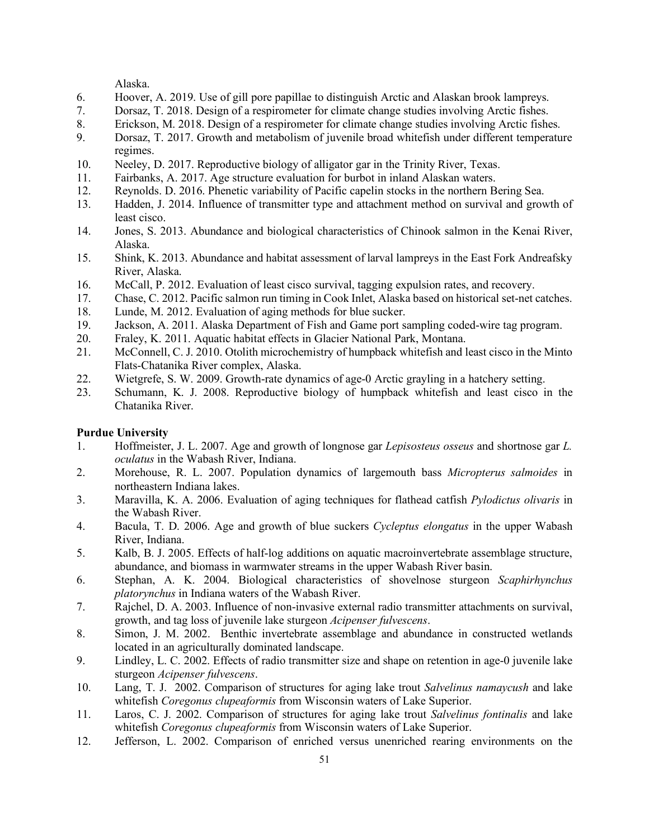Alaska.

- 6. Hoover, A. 2019. Use of gill pore papillae to distinguish Arctic and Alaskan brook lampreys.
- 7. Dorsaz, T. 2018. Design of a respirometer for climate change studies involving Arctic fishes.
- 8. Erickson, M. 2018. Design of a respirometer for climate change studies involving Arctic fishes.
- 9. Dorsaz, T. 2017. Growth and metabolism of juvenile broad whitefish under different temperature regimes.
- 10. Neeley, D. 2017. Reproductive biology of alligator gar in the Trinity River, Texas.
- 11. Fairbanks, A. 2017. Age structure evaluation for burbot in inland Alaskan waters.
- 12. Reynolds. D. 2016. Phenetic variability of Pacific capelin stocks in the northern Bering Sea.
- 13. Hadden, J. 2014. Influence of transmitter type and attachment method on survival and growth of least cisco.
- 14. Jones, S. 2013. Abundance and biological characteristics of Chinook salmon in the Kenai River, Alaska.
- 15. Shink, K. 2013. Abundance and habitat assessment of larval lampreys in the East Fork Andreafsky River, Alaska.
- 16. McCall, P. 2012. Evaluation of least cisco survival, tagging expulsion rates, and recovery.
- 17. Chase, C. 2012. Pacific salmon run timing in Cook Inlet, Alaska based on historical set-net catches.
- 18. Lunde, M. 2012. Evaluation of aging methods for blue sucker.
- 19. Jackson, A. 2011. Alaska Department of Fish and Game port sampling coded-wire tag program.
- 20. Fraley, K. 2011. Aquatic habitat effects in Glacier National Park, Montana.
- 21. McConnell, C. J. 2010. Otolith microchemistry of humpback whitefish and least cisco in the Minto Flats-Chatanika River complex, Alaska.
- 22. Wietgrefe, S. W. 2009. Growth-rate dynamics of age-0 Arctic grayling in a hatchery setting.
- 23. Schumann, K. J. 2008. Reproductive biology of humpback whitefish and least cisco in the Chatanika River.

# **Purdue University**

- 1. Hoffmeister, J. L. 2007. Age and growth of longnose gar *Lepisosteus osseus* and shortnose gar *L. oculatus* in the Wabash River, Indiana.
- 2. Morehouse, R. L. 2007. Population dynamics of largemouth bass *Micropterus salmoides* in northeastern Indiana lakes.
- 3. Maravilla, K. A. 2006. Evaluation of aging techniques for flathead catfish *Pylodictus olivaris* in the Wabash River.
- 4. Bacula, T. D. 2006. Age and growth of blue suckers *Cycleptus elongatus* in the upper Wabash River, Indiana.
- 5. Kalb, B. J. 2005. Effects of half-log additions on aquatic macroinvertebrate assemblage structure, abundance, and biomass in warmwater streams in the upper Wabash River basin.
- 6. Stephan, A. K. 2004. Biological characteristics of shovelnose sturgeon *Scaphirhynchus platorynchus* in Indiana waters of the Wabash River.
- 7. Rajchel, D. A. 2003. Influence of non-invasive external radio transmitter attachments on survival, growth, and tag loss of juvenile lake sturgeon *Acipenser fulvescens*.
- 8. Simon, J. M. 2002. Benthic invertebrate assemblage and abundance in constructed wetlands located in an agriculturally dominated landscape.
- 9. Lindley, L. C. 2002. Effects of radio transmitter size and shape on retention in age-0 juvenile lake sturgeon *Acipenser fulvescens*.
- 10. Lang, T. J. 2002. Comparison of structures for aging lake trout *Salvelinus namaycush* and lake whitefish *Coregonus clupeaformis* from Wisconsin waters of Lake Superior.
- 11. Laros, C. J. 2002. Comparison of structures for aging lake trout *Salvelinus fontinalis* and lake whitefish *Coregonus clupeaformis* from Wisconsin waters of Lake Superior.
- 12. Jefferson, L. 2002. Comparison of enriched versus unenriched rearing environments on the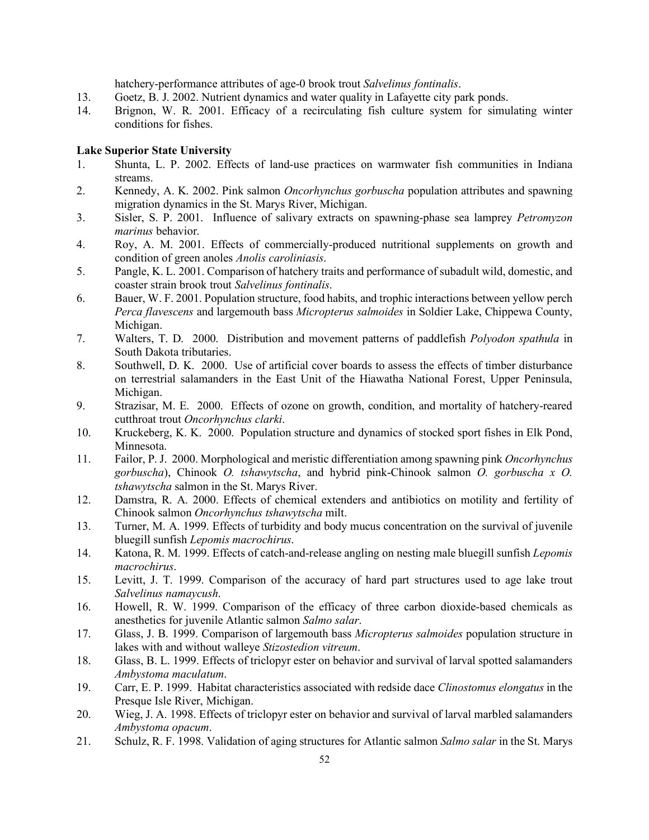hatchery-performance attributes of age-0 brook trout *Salvelinus fontinalis*.

- 13. Goetz, B. J. 2002. Nutrient dynamics and water quality in Lafayette city park ponds.
- 14. Brignon, W. R. 2001. Efficacy of a recirculating fish culture system for simulating winter conditions for fishes.

### **Lake Superior State University**

- 1. Shunta, L. P. 2002. Effects of land-use practices on warmwater fish communities in Indiana streams.
- 2. Kennedy, A. K. 2002. Pink salmon *Oncorhynchus gorbuscha* population attributes and spawning migration dynamics in the St. Marys River, Michigan.
- 3. Sisler, S. P. 2001. Influence of salivary extracts on spawning-phase sea lamprey *Petromyzon marinus* behavior.
- 4. Roy, A. M. 2001. Effects of commercially-produced nutritional supplements on growth and condition of green anoles *Anolis caroliniasis*.
- 5. Pangle, K. L. 2001. Comparison of hatchery traits and performance of subadult wild, domestic, and coaster strain brook trout *Salvelinus fontinalis*.
- 6. Bauer, W. F. 2001. Population structure, food habits, and trophic interactions between yellow perch *Perca flavescens* and largemouth bass *Micropterus salmoides* in Soldier Lake, Chippewa County, Michigan.
- 7. Walters, T. D. 2000. Distribution and movement patterns of paddlefish *Polyodon spathula* in South Dakota tributaries.
- 8. Southwell, D. K. 2000. Use of artificial cover boards to assess the effects of timber disturbance on terrestrial salamanders in the East Unit of the Hiawatha National Forest, Upper Peninsula, Michigan.
- 9. Strazisar, M. E. 2000. Effects of ozone on growth, condition, and mortality of hatchery-reared cutthroat trout *Oncorhynchus clarki*.
- 10. Kruckeberg, K. K. 2000. Population structure and dynamics of stocked sport fishes in Elk Pond, Minnesota.
- 11. Failor, P. J. 2000. Morphological and meristic differentiation among spawning pink *Oncorhynchus gorbuscha*), Chinook *O. tshawytscha*, and hybrid pink-Chinook salmon *O. gorbuscha x O. tshawytscha* salmon in the St. Marys River.
- 12. Damstra, R. A. 2000. Effects of chemical extenders and antibiotics on motility and fertility of Chinook salmon *Oncorhynchus tshawytscha* milt.
- 13. Turner, M. A. 1999. Effects of turbidity and body mucus concentration on the survival of juvenile bluegill sunfish *Lepomis macrochirus*.
- 14. Katona, R. M. 1999. Effects of catch-and-release angling on nesting male bluegill sunfish *Lepomis macrochirus*.
- 15. Levitt, J. T. 1999. Comparison of the accuracy of hard part structures used to age lake trout *Salvelinus namaycush*.
- 16. Howell, R. W. 1999. Comparison of the efficacy of three carbon dioxide-based chemicals as anesthetics for juvenile Atlantic salmon *Salmo salar*.
- 17. Glass, J. B. 1999. Comparison of largemouth bass *Micropterus salmoides* population structure in lakes with and without walleye *Stizostedion vitreum*.
- 18. Glass, B. L. 1999. Effects of triclopyr ester on behavior and survival of larval spotted salamanders *Ambystoma maculatum*.
- 19. Carr, E. P. 1999. Habitat characteristics associated with redside dace *Clinostomus elongatus* in the Presque Isle River, Michigan.
- 20. Wieg, J. A. 1998. Effects of triclopyr ester on behavior and survival of larval marbled salamanders *Ambystoma opacum*.
- 21. Schulz, R. F. 1998. Validation of aging structures for Atlantic salmon *Salmo salar* in the St. Marys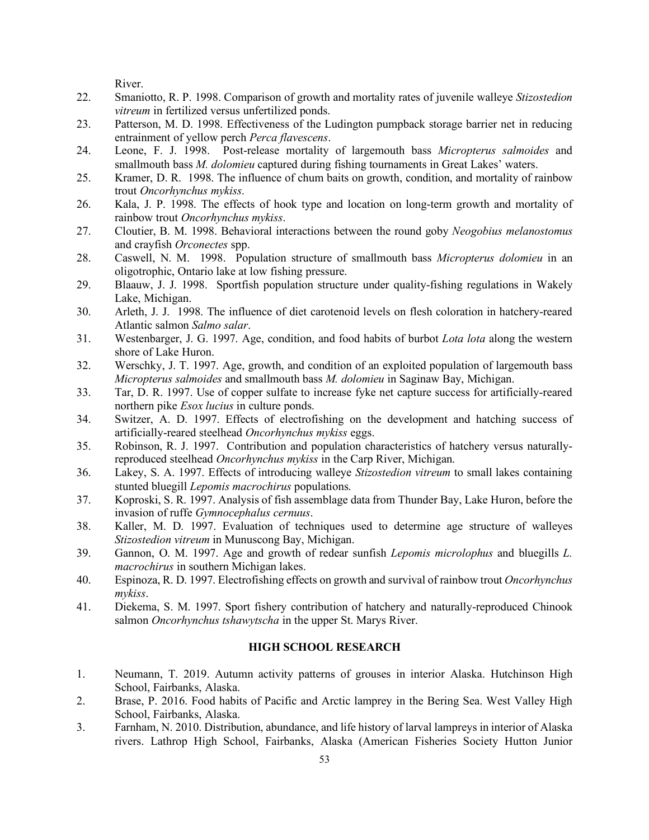River.

- 22. Smaniotto, R. P. 1998. Comparison of growth and mortality rates of juvenile walleye *Stizostedion vitreum* in fertilized versus unfertilized ponds.
- 23. Patterson, M. D. 1998. Effectiveness of the Ludington pumpback storage barrier net in reducing entrainment of yellow perch *Perca flavescens*.
- 24. Leone, F. J. 1998. Post-release mortality of largemouth bass *Micropterus salmoides* and smallmouth bass *M. dolomieu* captured during fishing tournaments in Great Lakes' waters.
- 25. Kramer, D. R. 1998. The influence of chum baits on growth, condition, and mortality of rainbow trout *Oncorhynchus mykiss*.
- 26. Kala, J. P. 1998. The effects of hook type and location on long-term growth and mortality of rainbow trout *Oncorhynchus mykiss*.
- 27. Cloutier, B. M. 1998. Behavioral interactions between the round goby *Neogobius melanostomus* and crayfish *Orconectes* spp.
- 28. Caswell, N. M. 1998. Population structure of smallmouth bass *Micropterus dolomieu* in an oligotrophic, Ontario lake at low fishing pressure.
- 29. Blaauw, J. J. 1998. Sportfish population structure under quality-fishing regulations in Wakely Lake, Michigan.
- 30. Arleth, J. J. 1998. The influence of diet carotenoid levels on flesh coloration in hatchery-reared Atlantic salmon *Salmo salar*.
- 31. Westenbarger, J. G. 1997. Age, condition, and food habits of burbot *Lota lota* along the western shore of Lake Huron.
- 32. Werschky, J. T. 1997. Age, growth, and condition of an exploited population of largemouth bass *Micropterus salmoides* and smallmouth bass *M. dolomieu* in Saginaw Bay, Michigan.
- 33. Tar, D. R. 1997. Use of copper sulfate to increase fyke net capture success for artificially-reared northern pike *Esox lucius* in culture ponds.
- 34. Switzer, A. D. 1997. Effects of electrofishing on the development and hatching success of artificially-reared steelhead *Oncorhynchus mykiss* eggs.
- 35. Robinson, R. J. 1997. Contribution and population characteristics of hatchery versus naturallyreproduced steelhead *Oncorhynchus mykiss* in the Carp River, Michigan.
- 36. Lakey, S. A. 1997. Effects of introducing walleye *Stizostedion vitreum* to small lakes containing stunted bluegill *Lepomis macrochirus* populations.
- 37. Koproski, S. R. 1997. Analysis of fish assemblage data from Thunder Bay, Lake Huron, before the invasion of ruffe *Gymnocephalus cernuus*.
- 38. Kaller, M. D. 1997. Evaluation of techniques used to determine age structure of walleyes *Stizostedion vitreum* in Munuscong Bay, Michigan.
- 39. Gannon, O. M. 1997. Age and growth of redear sunfish *Lepomis microlophus* and bluegills *L. macrochirus* in southern Michigan lakes.
- 40. Espinoza, R. D. 1997. Electrofishing effects on growth and survival of rainbow trout *Oncorhynchus mykiss*.
- 41. Diekema, S. M. 1997. Sport fishery contribution of hatchery and naturally-reproduced Chinook salmon *Oncorhynchus tshawytscha* in the upper St. Marys River.

# **HIGH SCHOOL RESEARCH**

- 1. Neumann, T. 2019. Autumn activity patterns of grouses in interior Alaska. Hutchinson High School, Fairbanks, Alaska.
- 2. Brase, P. 2016. Food habits of Pacific and Arctic lamprey in the Bering Sea. West Valley High School, Fairbanks, Alaska.
- 3. Farnham, N. 2010. Distribution, abundance, and life history of larval lampreys in interior of Alaska rivers. Lathrop High School, Fairbanks, Alaska (American Fisheries Society Hutton Junior